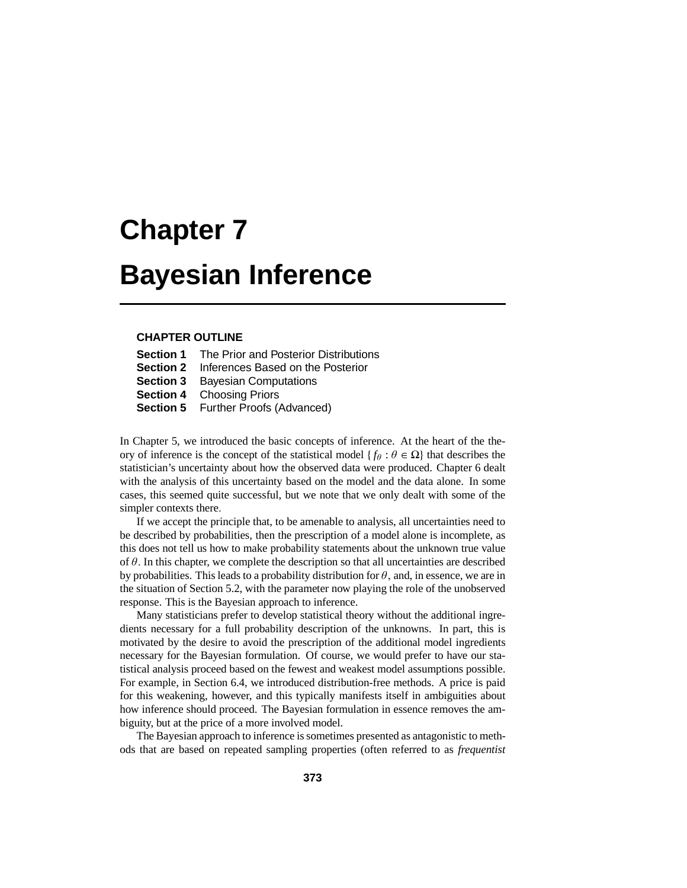# **Chapter 7 Bayesian Inference**

### **CHAPTER OUTLINE**

| <b>Section 2</b> Inferences Based on the Posterior |
|----------------------------------------------------|
|                                                    |
|                                                    |
|                                                    |
|                                                    |

In Chapter 5, we introduced the basic concepts of inference. At the heart of the theory of inference is the concept of the statistical model  $\{f_{\theta} : \theta \in \Omega\}$  that describes the statistician's uncertainty about how the observed data were produced. Chapter 6 dealt with the analysis of this uncertainty based on the model and the data alone. In some cases, this seemed quite successful, but we note that we only dealt with some of the simpler contexts there.

If we accept the principle that, to be amenable to analysis, all uncertainties need to be described by probabilities, then the prescription of a model alone is incomplete, as this does not tell us how to make probability statements about the unknown true value of  $\theta$ . In this chapter, we complete the description so that all uncertainties are described by probabilities. This leads to a probability distribution for  $\theta$ , and, in essence, we are in the situation of Section 5.2, with the parameter now playing the role of the unobserved response. This is the Bayesian approach to inference.

Many statisticians prefer to develop statistical theory without the additional ingredients necessary for a full probability description of the unknowns. In part, this is motivated by the desire to avoid the prescription of the additional model ingredients necessary for the Bayesian formulation. Of course, we would prefer to have our statistical analysis proceed based on the fewest and weakest model assumptions possible. For example, in Section 6.4, we introduced distribution-free methods. A price is paid for this weakening, however, and this typically manifests itself in ambiguities about how inference should proceed. The Bayesian formulation in essence removes the ambiguity, but at the price of a more involved model.

The Bayesian approach to inference is sometimes presented as antagonistic to methods that are based on repeated sampling properties (often referred to as *frequentist*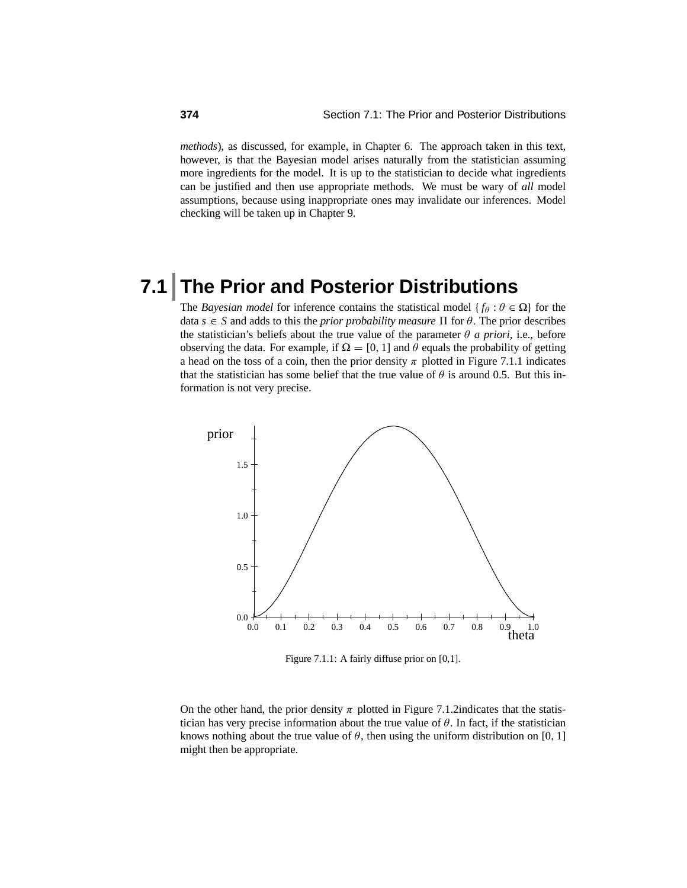*methods*), as discussed, for example, in Chapter 6. The approach taken in this text, however, is that the Bayesian model arises naturally from the statistician assuming more ingredients for the model. It is up to the statistician to decide what ingredients can be justified and then use appropriate methods. We must be wary of *all* model assumptions, because using inappropriate ones may invalidate our inferences. Model checking will be taken up in Chapter 9.

## **7.1 The Prior and Posterior Distributions**

The *Bayesian model* for inference contains the statistical model { $f_{\theta}$ :  $\theta \in \Omega$ } for the data  $s \in S$  and adds to this the *prior probability measure*  $\Pi$  for  $\theta$ . The prior describes the statistician's beliefs about the true value of the parameter  $\theta$  *a priori*, i.e., before observing the data. For example, if  $\Omega = [0, 1]$  and  $\theta$  equals the probability of getting a head on the toss of a coin, then the prior density  $\pi$  plotted in Figure 7.1.1 indicates that the statistician has some belief that the true value of  $\theta$  is around 0.5. But this information is not very precise.



Figure 7.1.1: A fairly diffuse prior on [0,1].

On the other hand, the prior density  $\pi$  plotted in Figure 7.1.2 indicates that the statistician has very precise information about the true value of  $\theta$ . In fact, if the statistician knows nothing about the true value of  $\theta$ , then using the uniform distribution on [0, 1] might then be appropriate.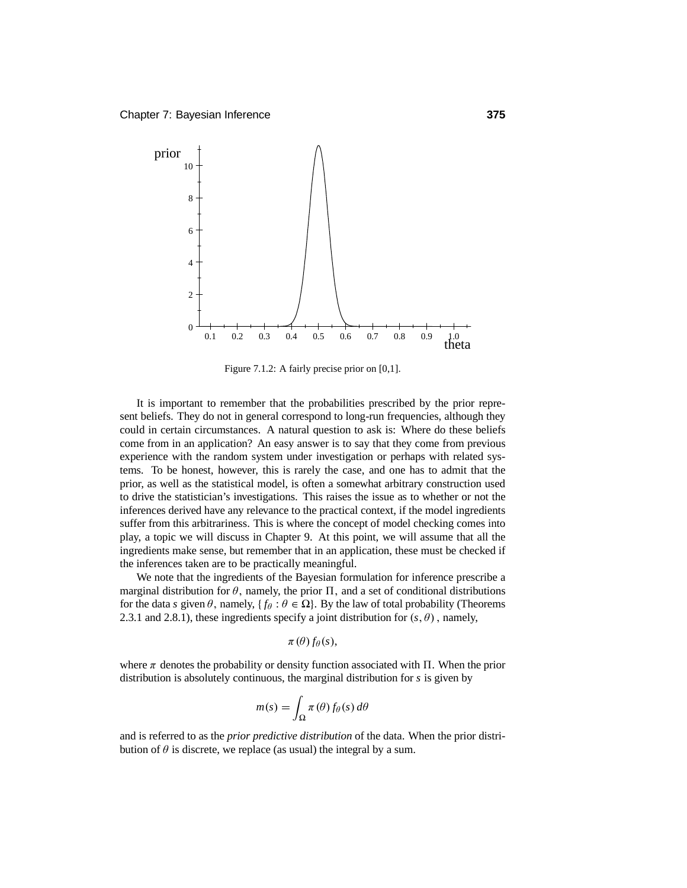

Figure 7.1.2: A fairly precise prior on [0,1].

It is important to remember that the probabilities prescribed by the prior represent beliefs. They do not in general correspond to long-run frequencies, although they could in certain circumstances. A natural question to ask is: Where do these beliefs come from in an application? An easy answer is to say that they come from previous experience with the random system under investigation or perhaps with related systems. To be honest, however, this is rarely the case, and one has to admit that the prior, as well as the statistical model, is often a somewhat arbitrary construction used to drive the statistician's investigations. This raises the issue as to whether or not the inferences derived have any relevance to the practical context, if the model ingredients suffer from this arbitrariness. This is where the concept of model checking comes into play, a topic we will discuss in Chapter 9. At this point, we will assume that all the ingredients make sense, but remember that in an application, these must be checked if the inferences taken are to be practically meaningful.

We note that the ingredients of the Bayesian formulation for inference prescribe a marginal distribution for  $\theta$ , namely, the prior  $\Pi$ , and a set of conditional distributions for the data *s* given  $\theta$ , namely, { $f_{\theta}$  :  $\theta \in \Omega$ }. By the law of total probability (Theorems 2.3.1 and 2.8.1), these ingredients specify a joint distribution for  $(s, \theta)$ , namely,

$$
\pi(\theta)f_{\theta}(s),
$$

where  $\pi$  denotes the probability or density function associated with  $\Pi$ . When the prior distribution is absolutely continuous, the marginal distribution for *s* is given by

$$
m(s) = \int_{\Omega} \pi(\theta) f_{\theta}(s) d\theta
$$

and is referred to as the *prior predictive distribution* of the data. When the prior distribution of  $\theta$  is discrete, we replace (as usual) the integral by a sum.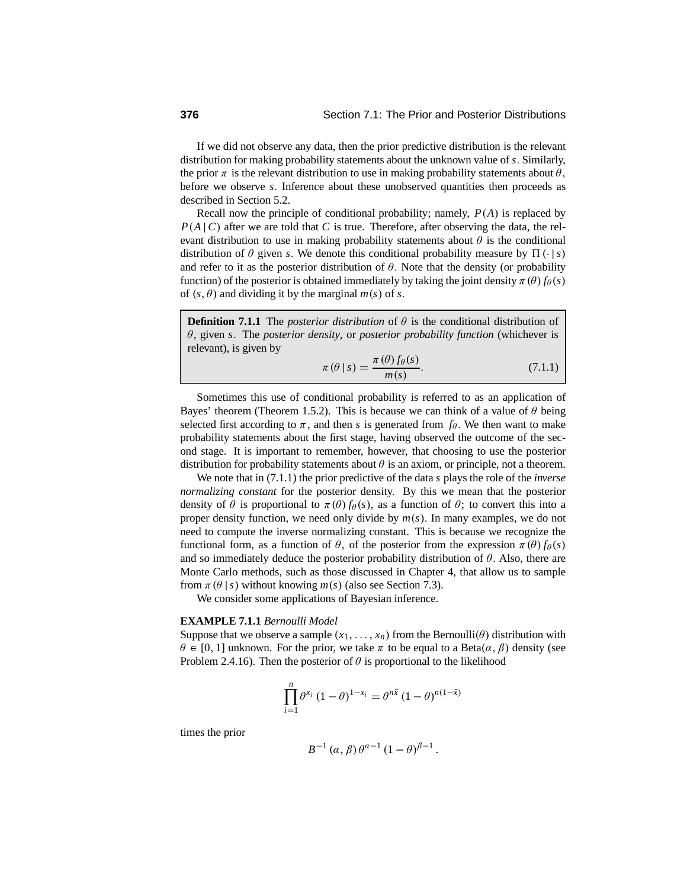If we did not observe any data, then the prior predictive distribution is the relevant distribution for making probability statements about the unknown value of *s*. Similarly, the prior  $\pi$  is the relevant distribution to use in making probability statements about  $\theta$ , before we observe *s*. Inference about these unobserved quantities then proceeds as described in Section 5.2.

Recall now the principle of conditional probability; namely, *P*(*A*) is replaced by  $P(A | C)$  after we are told that *C* is true. Therefore, after observing the data, the relevant distribution to use in making probability statements about  $\theta$  is the conditional distribution of  $\theta$  given *s*. We denote this conditional probability measure by  $\Pi(\cdot | s)$ and refer to it as the posterior distribution of  $\theta$ . Note that the density (or probability function) of the posterior is obtained immediately by taking the joint density  $\pi(\theta) f_{\theta}(s)$ of  $(s, \theta)$  and dividing it by the marginal  $m(s)$  of *s*.

**Definition 7.1.1** The *posterior distribution* of  $\theta$  is the conditional distribution of θ, given *s*. The *posterior density*, or *posterior probability function* (whichever is relevant), is given by

$$
\pi(\theta \mid s) = \frac{\pi(\theta)f_{\theta}(s)}{m(s)}.
$$
\n(7.1.1)

Sometimes this use of conditional probability is referred to as an application of Bayes' theorem (Theorem 1.5.2). This is because we can think of a value of  $\theta$  being selected first according to  $\pi$ , and then *s* is generated from  $f_{\theta}$ . We then want to make probability statements about the first stage, having observed the outcome of the second stage. It is important to remember, however, that choosing to use the posterior distribution for probability statements about  $\theta$  is an axiom, or principle, not a theorem.

We note that in (7.1.1) the prior predictive of the data *s* plays the role of the *inverse normalizing constant* for the posterior density. By this we mean that the posterior density of  $\theta$  is proportional to  $\pi(\theta) f_{\theta}(s)$ , as a function of  $\theta$ ; to convert this into a proper density function, we need only divide by *m*(*s*). In many examples, we do not need to compute the inverse normalizing constant. This is because we recognize the functional form, as a function of  $\theta$ , of the posterior from the expression  $\pi(\theta) f_{\theta}(s)$ and so immediately deduce the posterior probability distribution of  $\theta$ . Also, there are Monte Carlo methods, such as those discussed in Chapter 4, that allow us to sample from  $\pi(\theta | s)$  without knowing  $m(s)$  (also see Section 7.3).

We consider some applications of Bayesian inference.

#### **EXAMPLE 7.1.1** *Bernoulli Model*

Suppose that we observe a sample  $(x_1, \ldots, x_n)$  from the Bernoulli $(\theta)$  distribution with  $\theta \in [0, 1]$  unknown. For the prior, we take  $\pi$  to be equal to a Beta $(\alpha, \beta)$  density (see Problem 2.4.16). Then the posterior of  $\theta$  is proportional to the likelihood

$$
\prod_{i=1}^{n} \theta^{x_i} (1 - \theta)^{1 - x_i} = \theta^{n\bar{x}} (1 - \theta)^{n(1 - \bar{x})}
$$

times the prior

$$
B^{-1}(\alpha, \beta) \theta^{\alpha-1} (1-\theta)^{\beta-1}
$$
.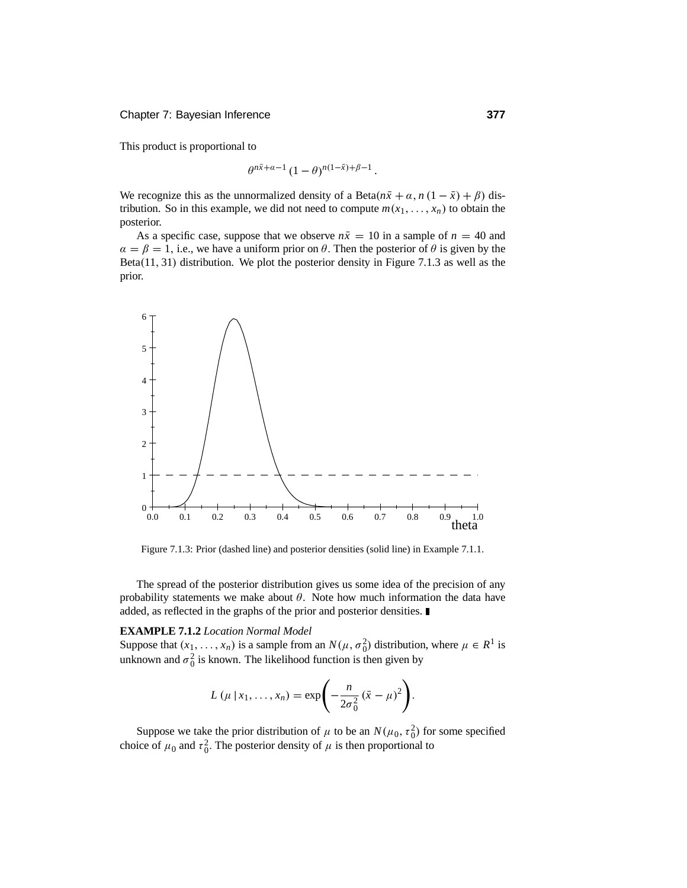Chapter 7: Bayesian Inference **377**

This product is proportional to

$$
\theta^{n\bar{x}+a-1} (1-\theta)^{n(1-\bar{x})+\beta-1}.
$$

We recognize this as the unnormalized density of a Beta $(n\bar{x} + \alpha, n(1 - \bar{x}) + \beta)$  distribution. So in this example, we did not need to compute  $m(x_1, \ldots, x_n)$  to obtain the posterior.

As a specific case, suppose that we observe  $n\bar{x} = 10$  in a sample of  $n = 40$  and  $\alpha = \beta = 1$ , i.e., we have a uniform prior on  $\theta$ . Then the posterior of  $\theta$  is given by the Beta(11, 31) distribution. We plot the posterior density in Figure 7.1.3 as well as the prior.



Figure 7.1.3: Prior (dashed line) and posterior densities (solid line) in Example 7.1.1.

The spread of the posterior distribution gives us some idea of the precision of any probability statements we make about  $\theta$ . Note how much information the data have added, as reflected in the graphs of the prior and posterior densities.

### **EXAMPLE 7.1.2** *Location Normal Model*

Suppose that  $(x_1, \ldots, x_n)$  is a sample from an  $N(\mu, \sigma_0^2)$  distribution, where  $\mu \in R^1$  is unknown and  $\sigma_0^2$  is known. The likelihood function is then given by

$$
L(\mu | x_1,\ldots,x_n)=\exp\left(-\frac{n}{2\sigma_0^2}(\bar{x}-\mu)^2\right).
$$

Suppose we take the prior distribution of  $\mu$  to be an  $N(\mu_0, \tau_0^2)$  for some specified choice of  $\mu_0$  and  $\tau_0^2$ . The posterior density of  $\mu$  is then proportional to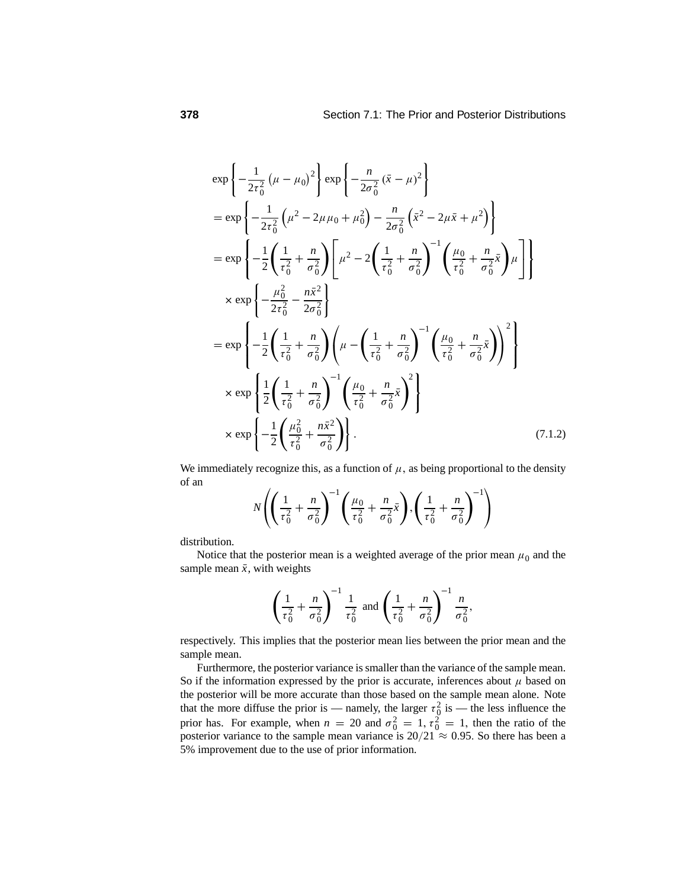$$
\exp\left\{-\frac{1}{2\tau_0^2}(\mu-\mu_0)^2\right\} \exp\left\{-\frac{n}{2\sigma_0^2}(\bar{x}-\mu)^2\right\}
$$
\n
$$
= \exp\left\{-\frac{1}{2\tau_0^2}(\mu^2 - 2\mu\mu_0 + \mu_0^2) - \frac{n}{2\sigma_0^2}(\bar{x}^2 - 2\mu\bar{x} + \mu^2)\right\}
$$
\n
$$
= \exp\left\{-\frac{1}{2}\left(\frac{1}{\tau_0^2} + \frac{n}{\sigma_0^2}\right)\left[\mu^2 - 2\left(\frac{1}{\tau_0^2} + \frac{n}{\sigma_0^2}\right)^{-1}\left(\frac{\mu_0}{\tau_0^2} + \frac{n}{\sigma_0^2}\bar{x}\right)\mu\right]\right\}
$$
\n
$$
\times \exp\left\{-\frac{\mu_0^2}{2\tau_0^2} - \frac{n\bar{x}^2}{2\sigma_0^2}\right\}
$$
\n
$$
= \exp\left\{-\frac{1}{2}\left(\frac{1}{\tau_0^2} + \frac{n}{\sigma_0^2}\right)\left(\mu - \left(\frac{1}{\tau_0^2} + \frac{n}{\sigma_0^2}\right)^{-1}\left(\frac{\mu_0}{\tau_0^2} + \frac{n}{\sigma_0^2}\bar{x}\right)\right)^2\right\}
$$
\n
$$
\times \exp\left\{\frac{1}{2}\left(\frac{1}{\tau_0^2} + \frac{n}{\sigma_0^2}\right)^{-1}\left(\frac{\mu_0}{\tau_0^2} + \frac{n}{\sigma_0^2}\bar{x}\right)^2\right\}
$$
\n
$$
\times \exp\left\{-\frac{1}{2}\left(\frac{\mu_0^2}{\tau_0^2} + \frac{n\bar{x}^2}{\sigma_0^2}\right)\right\}.
$$
\n(7.1.2)

We immediately recognize this, as a function of  $\mu$ , as being proportional to the density of an

$$
N\left(\left(\frac{1}{\tau_0^2} + \frac{n}{\sigma_0^2}\right)^{-1} \left(\frac{\mu_0}{\tau_0^2} + \frac{n}{\sigma_0^2}\bar{x}\right), \left(\frac{1}{\tau_0^2} + \frac{n}{\sigma_0^2}\right)^{-1}\right)
$$

distribution.

Notice that the posterior mean is a weighted average of the prior mean  $\mu_0$  and the sample mean  $\bar{x}$ , with weights

$$
\left(\frac{1}{\tau_0^2} + \frac{n}{\sigma_0^2}\right)^{-1} \frac{1}{\tau_0^2} \text{ and } \left(\frac{1}{\tau_0^2} + \frac{n}{\sigma_0^2}\right)^{-1} \frac{n}{\sigma_0^2},
$$

respectively. This implies that the posterior mean lies between the prior mean and the sample mean.

Furthermore, the posterior variance is smaller than the variance of the sample mean. So if the information expressed by the prior is accurate, inferences about  $\mu$  based on the posterior will be more accurate than those based on the sample mean alone. Note that the more diffuse the prior is — namely, the larger  $\tau_0^2$  is — the less influence the prior has. For example, when  $n = 20$  and  $\sigma_0^2 = 1, \tau_0^2 = 1$ , then the ratio of the posterior variance to the sample mean variance is  $20/21 \approx 0.95$ . So there has been a 5% improvement due to the use of prior information.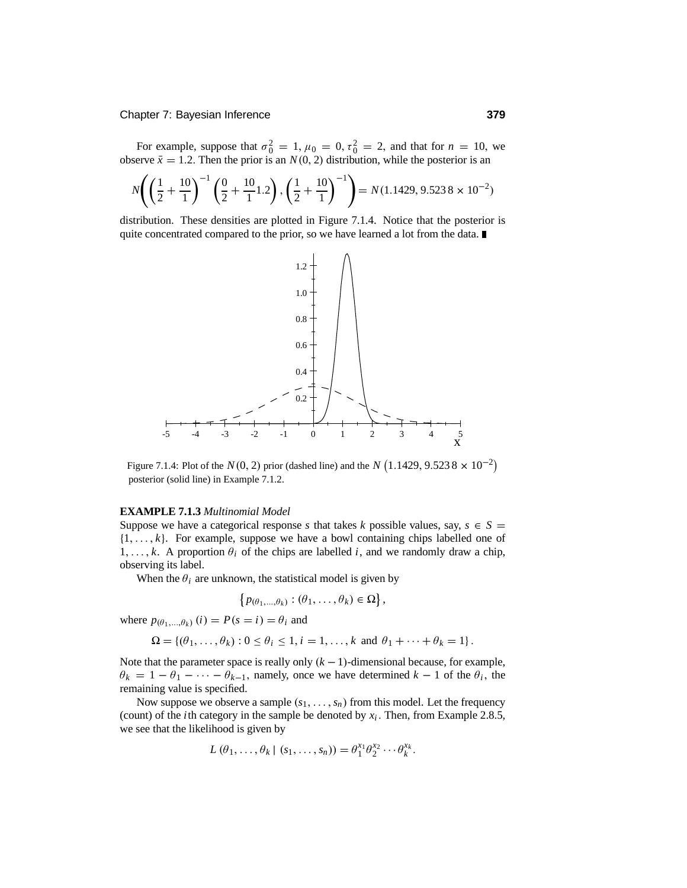For example, suppose that  $\sigma_0^2 = 1$ ,  $\mu_0 = 0$ ,  $\tau_0^2 = 2$ , and that for  $n = 10$ , we observe  $\bar{x} = 1.2$ . Then the prior is an *N*(0, 2) distribution, while the posterior is an

$$
N\left(\left(\frac{1}{2} + \frac{10}{1}\right)^{-1} \left(\frac{0}{2} + \frac{10}{1}1.2\right), \left(\frac{1}{2} + \frac{10}{1}\right)^{-1}\right) = N(1.1429, 9.5238 \times 10^{-2})
$$

distribution. These densities are plotted in Figure 7.1.4. Notice that the posterior is quite concentrated compared to the prior, so we have learned a lot from the data.



Figure 7.1.4: Plot of the  $N(0, 2)$  prior (dashed line) and the  $N(1.1429, 9.5238 \times 10^{-2})$ posterior (solid line) in Example 7.1.2.

#### **EXAMPLE 7.1.3** *Multinomial Model*

Suppose we have a categorical response *s* that takes *k* possible values, say,  $s \in S$  $\{1, \ldots, k\}$ . For example, suppose we have a bowl containing chips labelled one of  $1, \ldots, k$ . A proportion  $\theta_i$  of the chips are labelled *i*, and we randomly draw a chip, observing its label.

When the  $\theta_i$  are unknown, the statistical model is given by

$$
\left\{p_{(\theta_1,\ldots,\theta_k)}:(\theta_1,\ldots,\theta_k)\in\Omega\right\},\,
$$

where  $p_{(\theta_1, \ldots, \theta_k)}(i) = P(s = i) = \theta_i$  and

$$
\Omega = \{(\theta_1,\ldots,\theta_k): 0 \le \theta_i \le 1, i = 1,\ldots,k \text{ and } \theta_1 + \cdots + \theta_k = 1\}.
$$

Note that the parameter space is really only  $(k - 1)$ -dimensional because, for example,  $\theta_k = 1 - \theta_1 - \cdots - \theta_{k-1}$ , namely, once we have determined  $k-1$  of the  $\theta_i$ , the remaining value is specified.

Now suppose we observe a sample  $(s_1, \ldots, s_n)$  from this model. Let the frequency (count) of the *i*th category in the sample be denoted by  $x_i$ . Then, from Example 2.8.5, we see that the likelihood is given by

$$
L(\theta_1,\ldots,\theta_k \mid (s_1,\ldots,s_n)) = \theta_1^{x_1} \theta_2^{x_2} \cdots \theta_k^{x_k}.
$$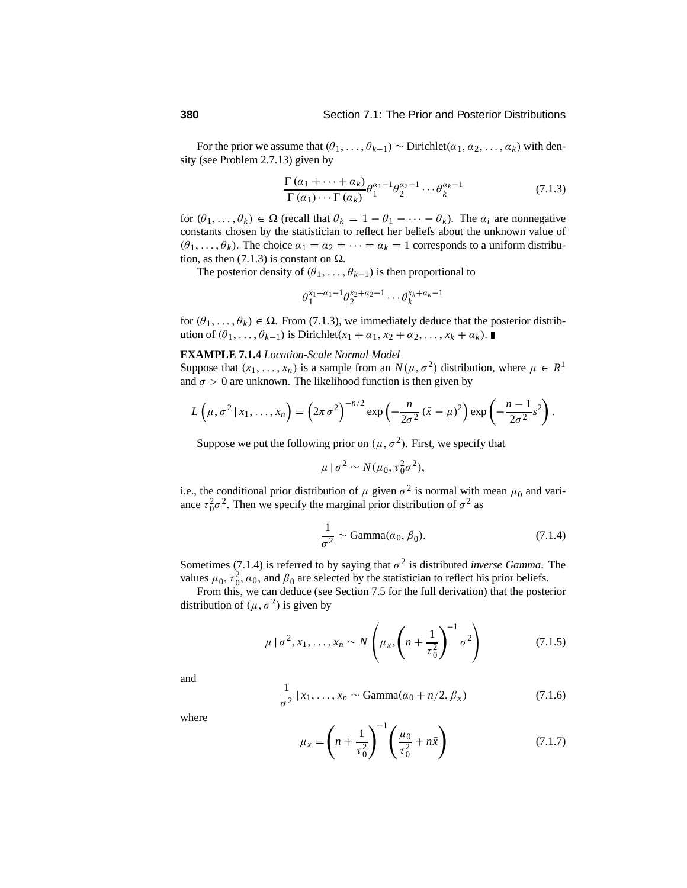For the prior we assume that  $(\theta_1, \ldots, \theta_{k-1}) \sim \text{Dirichlet}(\alpha_1, \alpha_2, \ldots, \alpha_k)$  with density (see Problem 2.7.13) given by

$$
\frac{\Gamma(\alpha_1 + \dots + \alpha_k)}{\Gamma(\alpha_1) \cdots \Gamma(\alpha_k)} \theta_1^{\alpha_1 - 1} \theta_2^{\alpha_2 - 1} \cdots \theta_k^{\alpha_k - 1}
$$
\n(7.1.3)

for  $(\theta_1, \ldots, \theta_k) \in \Omega$  (recall that  $\theta_k = 1 - \theta_1 - \cdots - \theta_k$ ). The  $\alpha_i$  are nonnegative constants chosen by the statistician to reflect her beliefs about the unknown value of  $(\theta_1, \ldots, \theta_k)$ . The choice  $\alpha_1 = \alpha_2 = \cdots = \alpha_k = 1$  corresponds to a uniform distribution, as then (7.1.3) is constant on  $\Omega$ .

The posterior density of  $(\theta_1, \ldots, \theta_{k-1})$  is then proportional to

$$
\theta_1^{x_1+\alpha_1-1}\theta_2^{x_2+\alpha_2-1}\cdots\theta_k^{x_k+\alpha_k-1}
$$

for  $(\theta_1, \ldots, \theta_k) \in \Omega$ . From (7.1.3), we immediately deduce that the posterior distribution of  $(\theta_1, \ldots, \theta_{k-1})$  is Dirichlet $(x_1 + \alpha_1, x_2 + \alpha_2, \ldots, x_k + \alpha_k)$ .

### **EXAMPLE 7.1.4** *Location***-***Scale Normal Model*

Suppose that  $(x_1, \ldots, x_n)$  is a sample from an  $N(\mu, \sigma^2)$  distribution, where  $\mu \in R^1$ and  $\sigma > 0$  are unknown. The likelihood function is then given by

$$
L\left(\mu, \sigma^2 \mid x_1, \ldots, x_n\right) = \left(2\pi \sigma^2\right)^{-n/2} \exp\left(-\frac{n}{2\sigma^2} \left(\bar{x} - \mu\right)^2\right) \exp\left(-\frac{n-1}{2\sigma^2} s^2\right).
$$

Suppose we put the following prior on  $(\mu, \sigma^2)$ . First, we specify that

$$
\mu \mid \sigma^2 \sim N(\mu_0, \tau_0^2 \sigma^2),
$$

i.e., the conditional prior distribution of  $\mu$  given  $\sigma^2$  is normal with mean  $\mu_0$  and variance  $\tau_0^2 \sigma^2$ . Then we specify the marginal prior distribution of  $\sigma^2$  as

$$
\frac{1}{\sigma^2} \sim \text{Gamma}(\alpha_0, \beta_0). \tag{7.1.4}
$$

Sometimes (7.1.4) is referred to by saying that  $\sigma^2$  is distributed *inverse Gamma*. The values  $\mu_0$ ,  $\tau_0^2$ ,  $\alpha_0$ , and  $\beta_0$  are selected by the statistician to reflect his prior beliefs.

From this, we can deduce (see Section 7.5 for the full derivation) that the posterior distribution of  $(\mu, \sigma^2)$  is given by

$$
\mu | \sigma^2, x_1, ..., x_n \sim N\left(\mu_x, \left(n + \frac{1}{\tau_0^2}\right)^{-1} \sigma^2\right)
$$
 (7.1.5)

and

$$
\frac{1}{\sigma^2} | x_1, \dots, x_n \sim \text{Gamma}(\alpha_0 + n/2, \beta_x)
$$
\n(7.1.6)

where

$$
\mu_x = \left(n + \frac{1}{\tau_0^2}\right)^{-1} \left(\frac{\mu_0}{\tau_0^2} + n\bar{x}\right) \tag{7.1.7}
$$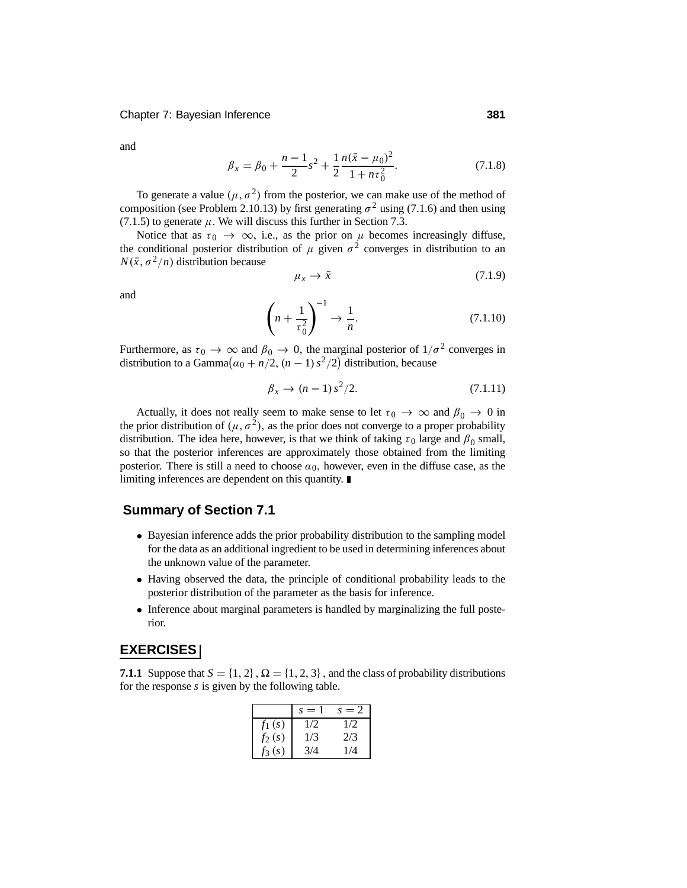Chapter 7: Bayesian Inference **381**

and

$$
\beta_x = \beta_0 + \frac{n-1}{2}s^2 + \frac{1}{2}\frac{n(\bar{x} - \mu_0)^2}{1 + n\tau_0^2}.
$$
\n(7.1.8)

To generate a value ( $\mu$ ,  $\sigma^2$ ) from the posterior, we can make use of the method of composition (see Problem 2.10.13) by first generating  $\sigma^2$  using (7.1.6) and then using (7.1.5) to generate  $\mu$ . We will discuss this further in Section 7.3.

Notice that as  $\tau_0 \to \infty$ , i.e., as the prior on  $\mu$  becomes increasingly diffuse, the conditional posterior distribution of  $\mu$  given  $\sigma^2$  converges in distribution to an  $N(\bar{x}, \sigma^2/n)$  distribution because

$$
\mu_x \to \bar{x} \tag{7.1.9}
$$

and

$$
\left(n+\frac{1}{\tau_0^2}\right)^{-1} \to \frac{1}{n}.\tag{7.1.10}
$$

Furthermore, as  $\tau_0 \to \infty$  and  $\beta_0 \to 0$ , the marginal posterior of  $1/\sigma^2$  converges in distribution to a Gamma $(a_0 + n/2, (n - 1) s^2/2)$  distribution, because

$$
\beta_x \to (n-1) s^2 / 2. \tag{7.1.11}
$$

Actually, it does not really seem to make sense to let  $\tau_0 \to \infty$  and  $\beta_0 \to 0$  in the prior distribution of  $(\mu, \sigma^2)$ , as the prior does not converge to a proper probability distribution. The idea here, however, is that we think of taking  $\tau_0$  large and  $\beta_0$  small, so that the posterior inferences are approximately those obtained from the limiting posterior. There is still a need to choose  $\alpha_0$ , however, even in the diffuse case, as the limiting inferences are dependent on this quantity.

### **Summary of Section 7.1**

- Bayesian inference adds the prior probability distribution to the sampling model for the data as an additional ingredient to be used in determining inferences about the unknown value of the parameter.
- Having observed the data, the principle of conditional probability leads to the posterior distribution of the parameter as the basis for inference.
- Inference about marginal parameters is handled by marginalizing the full posterior.

### **EXERCISES**

**7.1.1** Suppose that  $S = \{1, 2\}$ ,  $\Omega = \{1, 2, 3\}$ , and the class of probability distributions for the response *s* is given by the following table.

|          |     | $s = 2$ |
|----------|-----|---------|
| $f_1(s)$ | 1/2 | 1/2     |
| $f_2(s)$ | 1/3 | 2/3     |
| $f_3(s)$ | 3/4 | 1/4     |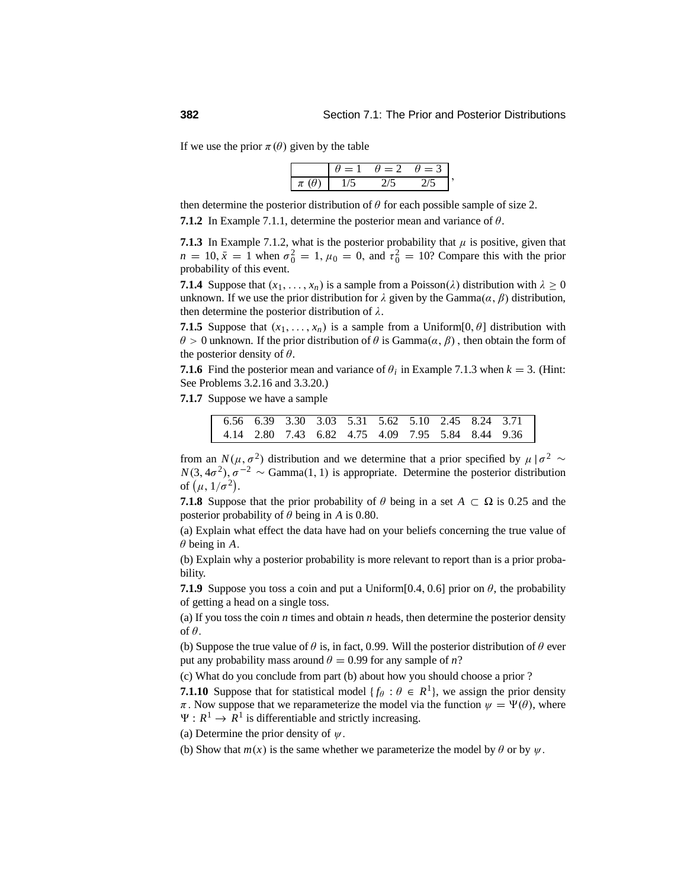If we use the prior  $\pi(\theta)$  given by the table

then determine the posterior distribution of  $\theta$  for each possible sample of size 2.

**7.1.2** In Example 7.1.1, determine the posterior mean and variance of θ.

**7.1.3** In Example 7.1.2, what is the posterior probability that  $\mu$  is positive, given that  $n = 10$ ,  $\bar{x} = 1$  when  $\sigma_0^2 = 1$ ,  $\mu_0 = 0$ , and  $\tau_0^2 = 10$ ? Compare this with the prior probability of this event.

**7.1.4** Suppose that  $(x_1, \ldots, x_n)$  is a sample from a Poisson( $\lambda$ ) distribution with  $\lambda \geq 0$ unknown. If we use the prior distribution for  $\lambda$  given by the Gamma $(\alpha, \beta)$  distribution, then determine the posterior distribution of  $\lambda$ .

**7.1.5** Suppose that  $(x_1, \ldots, x_n)$  is a sample from a Uniform[0,  $\theta$ ] distribution with  $\theta > 0$  unknown. If the prior distribution of  $\theta$  is Gamma $(\alpha, \beta)$ , then obtain the form of the posterior density of  $\theta$ .

**7.1.6** Find the posterior mean and variance of  $\theta_i$  in Example 7.1.3 when  $k = 3$ . (Hint: See Problems 3.2.16 and 3.3.20.)

**7.1.7** Suppose we have a sample

| 6.56 6.39 3.30 3.03 5.31 5.62 5.10 2.45 8.24 3.71 |  |  |  |                                                   |  |  |
|---------------------------------------------------|--|--|--|---------------------------------------------------|--|--|
|                                                   |  |  |  | 4.14 2.80 7.43 6.82 4.75 4.09 7.95 5.84 8.44 9.36 |  |  |

from an *N*( $\mu$ ,  $\sigma^2$ ) distribution and we determine that a prior specified by  $\mu | \sigma^2 \sim$  $N(3, 4\sigma^2)$ ,  $\sigma^{-2} \sim$  Gamma $(1, 1)$  is appropriate. Determine the posterior distribution of  $(\mu, 1/\sigma^2)$ .

**7.1.8** Suppose that the prior probability of  $\theta$  being in a set  $A \subset \Omega$  is 0.25 and the posterior probability of  $\theta$  being in *A* is 0.80.

(a) Explain what effect the data have had on your beliefs concerning the true value of  $\theta$  being in A.

(b) Explain why a posterior probability is more relevant to report than is a prior probability.

**7.1.9** Suppose you toss a coin and put a Uniform [0.4, 0.6] prior on  $\theta$ , the probability of getting a head on a single toss.

(a) If you toss the coin *n* times and obtain *n* heads, then determine the posterior density of  $\theta$ .

(b) Suppose the true value of  $\theta$  is, in fact, 0.99. Will the posterior distribution of  $\theta$  ever put any probability mass around  $\theta = 0.99$  for any sample of *n*?

(c) What do you conclude from part (b) about how you should choose a prior ?

**7.1.10** Suppose that for statistical model { $f_{\theta}$  :  $\theta \in R^1$ }, we assign the prior density  $\pi$ . Now suppose that we reparameterize the model via the function  $\psi = \Psi(\theta)$ , where  $\Psi: R^1 \to R^1$  is differentiable and strictly increasing.

(a) Determine the prior density of  $\psi$ .

(b) Show that  $m(x)$  is the same whether we parameterize the model by  $\theta$  or by  $\psi$ .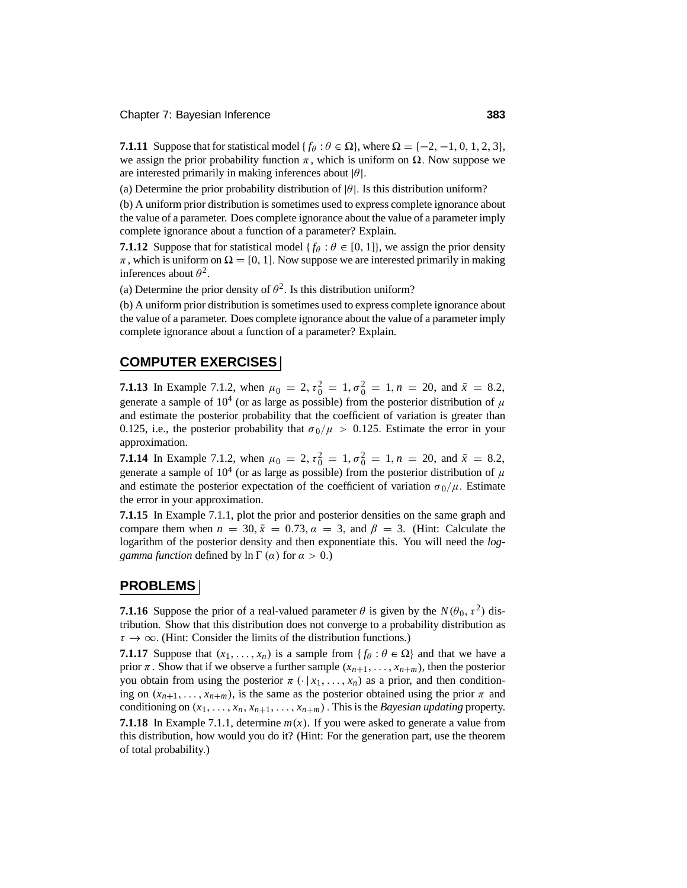**7.1.11** Suppose that for statistical model { $f_{\theta}$  :  $\theta \in \Omega$ }, where  $\Omega = \{-2, -1, 0, 1, 2, 3\}$ , we assign the prior probability function  $\pi$ , which is uniform on  $\Omega$ . Now suppose we are interested primarily in making inferences about  $|\theta|$ .

(a) Determine the prior probability distribution of  $|\theta|$ . Is this distribution uniform?

(b) A uniform prior distribution is sometimes used to express complete ignorance about the value of a parameter. Does complete ignorance about the value of a parameter imply complete ignorance about a function of a parameter? Explain.

**7.1.12** Suppose that for statistical model { $f_{\theta}$  :  $\theta \in [0, 1]$ }, we assign the prior density  $\pi$ , which is uniform on  $\Omega = [0, 1]$ . Now suppose we are interested primarily in making inferences about  $\theta^2$ .

(a) Determine the prior density of  $\theta^2$ . Is this distribution uniform?

(b) A uniform prior distribution is sometimes used to express complete ignorance about the value of a parameter. Does complete ignorance about the value of a parameter imply complete ignorance about a function of a parameter? Explain.

### **COMPUTER EXERCISES**

**7.1.13** In Example 7.1.2, when  $\mu_0 = 2$ ,  $\tau_0^2 = 1$ ,  $\sigma_0^2 = 1$ ,  $n = 20$ , and  $\bar{x} = 8.2$ , generate a sample of  $10^4$  (or as large as possible) from the posterior distribution of  $\mu$ and estimate the posterior probability that the coefficient of variation is greater than 0.125, i.e., the posterior probability that  $\sigma_0/\mu > 0.125$ . Estimate the error in your approximation.

**7.1.14** In Example 7.1.2, when  $\mu_0 = 2$ ,  $\tau_0^2 = 1$ ,  $\sigma_0^2 = 1$ ,  $n = 20$ , and  $\bar{x} = 8.2$ , generate a sample of  $10^4$  (or as large as possible) from the posterior distribution of  $\mu$ and estimate the posterior expectation of the coefficient of variation  $\sigma_0/\mu$ . Estimate the error in your approximation.

**7.1.15** In Example 7.1.1, plot the prior and posterior densities on the same graph and compare them when  $n = 30$ ,  $\bar{x} = 0.73$ ,  $\alpha = 3$ , and  $\beta = 3$ . (Hint: Calculate the logarithm of the posterior density and then exponentiate this. You will need the *loggamma function* defined by  $\ln \Gamma(\alpha)$  for  $\alpha > 0$ .)

### **PROBLEMS**

**7.1.16** Suppose the prior of a real-valued parameter  $\theta$  is given by the  $N(\theta_0, \tau^2)$  distribution. Show that this distribution does not converge to a probability distribution as  $\tau \to \infty$ . (Hint: Consider the limits of the distribution functions.)

**7.1.17** Suppose that  $(x_1, \ldots, x_n)$  is a sample from  $\{f_\theta : \theta \in \Omega\}$  and that we have a prior  $\pi$ . Show that if we observe a further sample  $(x_{n+1},...,x_{n+m})$ , then the posterior you obtain from using the posterior  $\pi$  ( $\cdot | x_1, \ldots, x_n$ ) as a prior, and then conditioning on  $(x_{n+1},...,x_{n+m})$ , is the same as the posterior obtained using the prior  $\pi$  and conditioning on  $(x_1, \ldots, x_n, x_{n+1}, \ldots, x_{n+m})$ . This is the *Bayesian updating* property.

**7.1.18** In Example 7.1.1, determine  $m(x)$ . If you were asked to generate a value from this distribution, how would you do it? (Hint: For the generation part, use the theorem of total probability.)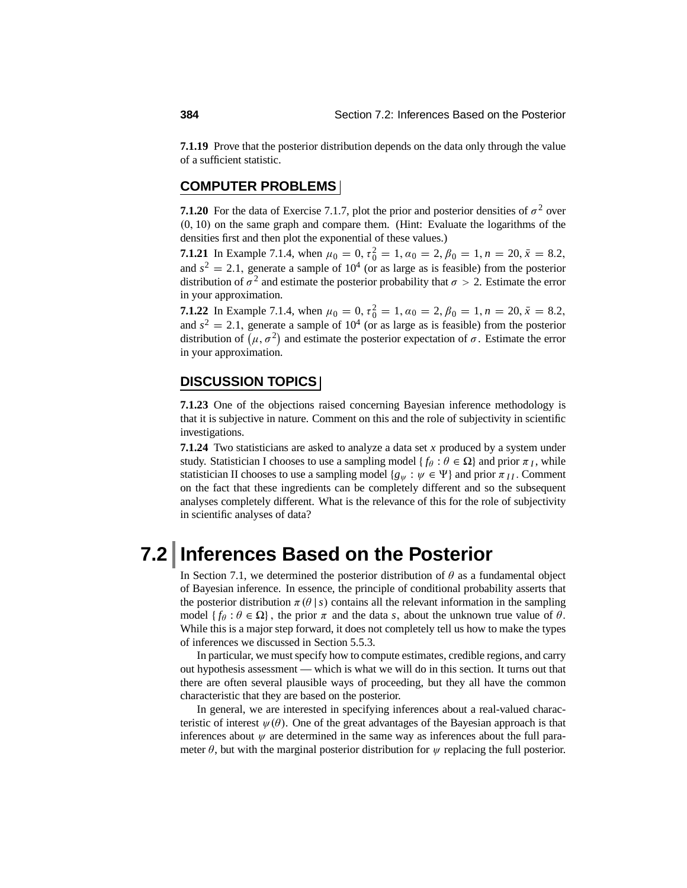**7.1.19** Prove that the posterior distribution depends on the data only through the value of a sufficient statistic.

### **COMPUTER PROBLEMS**

**7.1.20** For the data of Exercise 7.1.7, plot the prior and posterior densities of  $\sigma^2$  over (0, 10) on the same graph and compare them. (Hint: Evaluate the logarithms of the densities first and then plot the exponential of these values.)

**7.1.21** In Example 7.1.4, when  $\mu_0 = 0$ ,  $\tau_0^2 = 1$ ,  $\alpha_0 = 2$ ,  $\beta_0 = 1$ ,  $n = 20$ ,  $\bar{x} = 8.2$ , and  $s^2 = 2.1$ , generate a sample of  $10^4$  (or as large as is feasible) from the posterior distribution of  $\sigma^2$  and estimate the posterior probability that  $\sigma > 2$ . Estimate the error in your approximation.

**7.1.22** In Example 7.1.4, when  $\mu_0 = 0$ ,  $\tau_0^2 = 1$ ,  $\alpha_0 = 2$ ,  $\beta_0 = 1$ ,  $n = 20$ ,  $\bar{x} = 8.2$ , and  $s^2 = 2.1$ , generate a sample of  $10^4$  (or as large as is feasible) from the posterior distribution of  $(\mu, \sigma^2)$  and estimate the posterior expectation of  $\sigma$ . Estimate the error in your approximation.

### **DISCUSSION TOPICS**

**7.1.23** One of the objections raised concerning Bayesian inference methodology is that it is subjective in nature. Comment on this and the role of subjectivity in scientific investigations.

**7.1.24** Two statisticians are asked to analyze a data set *x* produced by a system under study. Statistician I chooses to use a sampling model { $f_{\theta}$  :  $\theta \in \Omega$ } and prior  $\pi$ <sub>*I*</sub>, while statistician II chooses to use a sampling model  $\{g_{\psi} : \psi \in \Psi\}$  and prior  $\pi_{II}$ . Comment on the fact that these ingredients can be completely different and so the subsequent analyses completely different. What is the relevance of this for the role of subjectivity in scientific analyses of data?

## **7.2 Inferences Based on the Posterior**

In Section 7.1, we determined the posterior distribution of  $\theta$  as a fundamental object of Bayesian inference. In essence, the principle of conditional probability asserts that the posterior distribution  $\pi(\theta | s)$  contains all the relevant information in the sampling model  ${f_{\theta}: \theta \in \Omega}$ , the prior  $\pi$  and the data *s*, about the unknown true value of  $\theta$ . While this is a major step forward, it does not completely tell us how to make the types of inferences we discussed in Section 5.5.3.

In particular, we must specify how to compute estimates, credible regions, and carry out hypothesis assessment — which is what we will do in this section. It turns out that there are often several plausible ways of proceeding, but they all have the common characteristic that they are based on the posterior.

In general, we are interested in specifying inferences about a real-valued characteristic of interest  $\psi(\theta)$ . One of the great advantages of the Bayesian approach is that inferences about  $\psi$  are determined in the same way as inferences about the full parameter  $\theta$ , but with the marginal posterior distribution for  $\psi$  replacing the full posterior.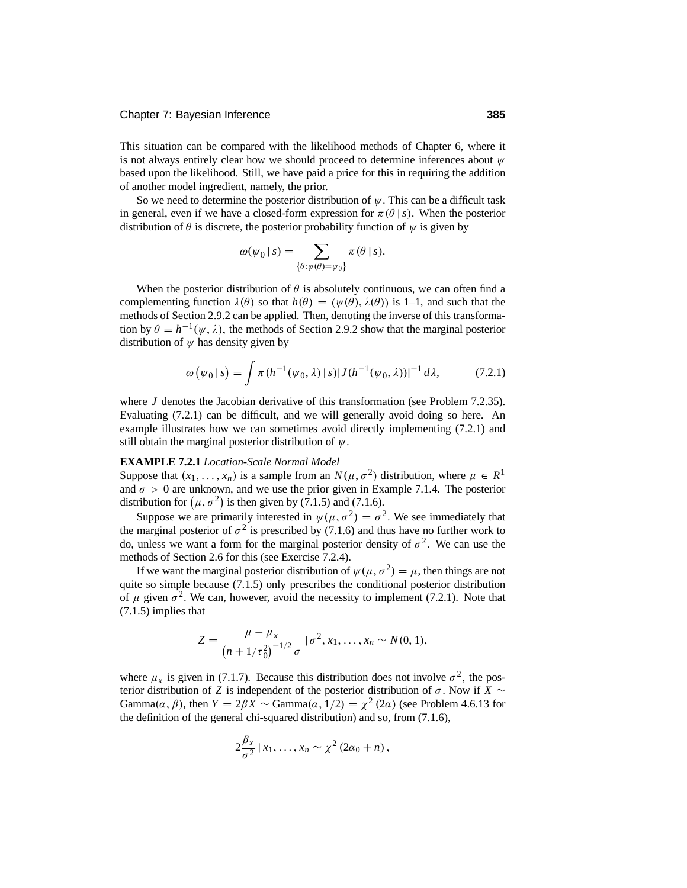This situation can be compared with the likelihood methods of Chapter 6, where it is not always entirely clear how we should proceed to determine inferences about  $\psi$ based upon the likelihood. Still, we have paid a price for this in requiring the addition of another model ingredient, namely, the prior.

So we need to determine the posterior distribution of  $\psi$ . This can be a difficult task in general, even if we have a closed-form expression for  $\pi(\theta | s)$ . When the posterior distribution of  $\theta$  is discrete, the posterior probability function of  $\psi$  is given by

$$
\omega(\psi_0 \,|\, s) = \sum_{\{\theta : \psi(\theta) = \psi_0\}} \pi(\theta \,|\, s).
$$

When the posterior distribution of  $\theta$  is absolutely continuous, we can often find a complementing function  $\lambda(\theta)$  so that  $h(\theta) = (\psi(\theta), \lambda(\theta))$  is 1–1, and such that the methods of Section 2.9.2 can be applied. Then, denoting the inverse of this transformation by  $\theta = h^{-1}(\psi, \lambda)$ , the methods of Section 2.9.2 show that the marginal posterior distribution of  $\psi$  has density given by

$$
\omega(\psi_0 \, | \, s) = \int \pi \, (h^{-1}(\psi_0, \lambda) \, | \, s) |J(h^{-1}(\psi_0, \lambda))|^{-1} \, d\lambda,\tag{7.2.1}
$$

where *J* denotes the Jacobian derivative of this transformation (see Problem 7.2.35). Evaluating (7.2.1) can be difficult, and we will generally avoid doing so here. An example illustrates how we can sometimes avoid directly implementing (7.2.1) and still obtain the marginal posterior distribution of  $\psi$ .

### **EXAMPLE 7.2.1** *Location***-***Scale Normal Model*

Suppose that  $(x_1, \ldots, x_n)$  is a sample from an  $N(\mu, \sigma^2)$  distribution, where  $\mu \in R^1$ and  $\sigma > 0$  are unknown, and we use the prior given in Example 7.1.4. The posterior distribution for  $(\mu, \sigma^2)$  is then given by (7.1.5) and (7.1.6).

Suppose we are primarily interested in  $\psi(\mu, \sigma^2) = \sigma^2$ . We see immediately that the marginal posterior of  $\sigma^2$  is prescribed by (7.1.6) and thus have no further work to do, unless we want a form for the marginal posterior density of  $\sigma^2$ . We can use the methods of Section 2.6 for this (see Exercise 7.2.4).

If we want the marginal posterior distribution of  $\psi(\mu, \sigma^2) = \mu$ , then things are not quite so simple because (7.1.5) only prescribes the conditional posterior distribution of  $\mu$  given  $\sigma^2$ . We can, however, avoid the necessity to implement (7.2.1). Note that (7.1.5) implies that

$$
Z = \frac{\mu - \mu_x}{\left(n + 1/\tau_0^2\right)^{-1/2} \sigma} \left[ \sigma^2, x_1, \dots, x_n \sim N(0, 1), \right]
$$

where  $\mu_x$  is given in (7.1.7). Because this distribution does not involve  $\sigma^2$ , the posterior distribution of *Z* is independent of the posterior distribution of  $\sigma$ . Now if *X* ∼ Gamma $(\alpha, \beta)$ , then  $Y = 2\beta X \sim \text{Gamma}(\alpha, 1/2) = \chi^2(2\alpha)$  (see Problem 4.6.13 for the definition of the general chi-squared distribution) and so, from (7.1.6),

$$
2\frac{\beta_x}{\sigma^2}\,|\,x_1,\ldots,x_n\sim\chi^2\,(2a_0+n)\,,
$$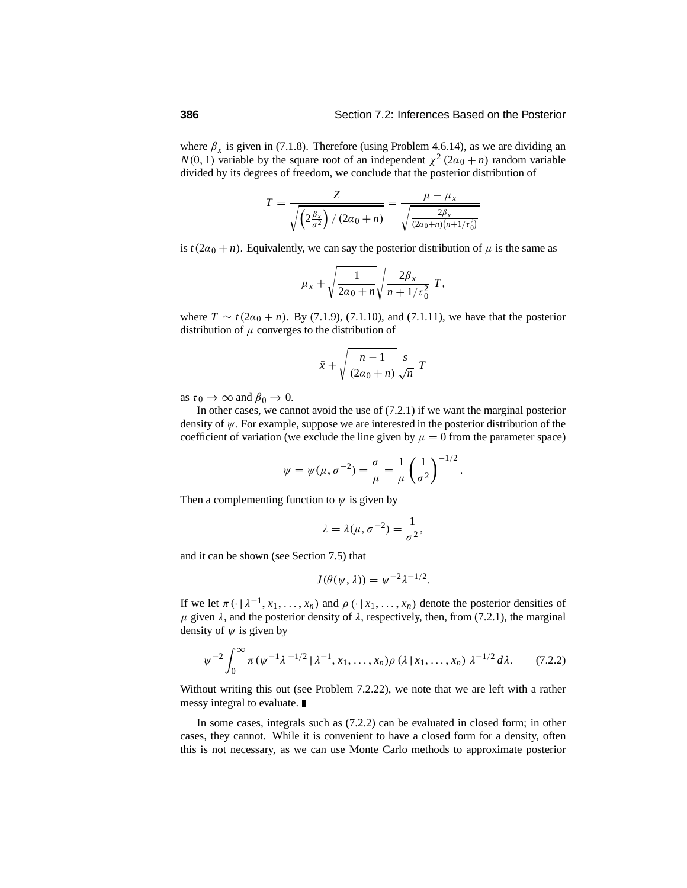where  $\beta_x$  is given in (7.1.8). Therefore (using Problem 4.6.14), as we are dividing an *N*(0, 1) variable by the square root of an independent  $\chi^2$  (2 $\alpha$ <sub>0</sub> + *n*) random variable divided by its degrees of freedom, we conclude that the posterior distribution of

$$
T = \frac{Z}{\sqrt{\left(2\frac{\beta_x}{\sigma^2}\right) / \left(2\alpha_0 + n\right)}} = \frac{\mu - \mu_x}{\sqrt{\frac{2\beta_x}{\left(2\alpha_0 + n\right)\left(n + 1/\tau_0^2\right)}}}
$$

is  $t(2\alpha_0 + n)$ . Equivalently, we can say the posterior distribution of  $\mu$  is the same as

$$
\mu_x + \sqrt{\frac{1}{2a_0 + n}} \sqrt{\frac{2\beta_x}{n + 1/\tau_0^2}} T,
$$

where  $T \sim t(2\alpha_0 + n)$ . By (7.1.9), (7.1.10), and (7.1.11), we have that the posterior distribution of  $\mu$  converges to the distribution of

$$
\bar{x} + \sqrt{\frac{n-1}{(2\alpha_0 + n)} \frac{s}{\sqrt{n}}}
$$

as  $\tau_0 \to \infty$  and  $\beta_0 \to 0$ .

In other cases, we cannot avoid the use of (7.2.1) if we want the marginal posterior density of  $\psi$ . For example, suppose we are interested in the posterior distribution of the coefficient of variation (we exclude the line given by  $\mu = 0$  from the parameter space)

$$
\psi = \psi(\mu, \sigma^{-2}) = \frac{\sigma}{\mu} = \frac{1}{\mu} \left( \frac{1}{\sigma^2} \right)^{-1/2}.
$$

Then a complementing function to  $\psi$  is given by

$$
\lambda = \lambda(\mu, \sigma^{-2}) = \frac{1}{\sigma^2},
$$

and it can be shown (see Section 7.5) that

$$
J(\theta(\psi,\lambda))=\psi^{-2}\lambda^{-1/2}
$$

If we let  $\pi(\cdot | \lambda^{-1}, x_1, \ldots, x_n)$  and  $\rho(\cdot | x_1, \ldots, x_n)$  denote the posterior densities of  $\mu$  given  $\lambda$ , and the posterior density of  $\lambda$ , respectively, then, from (7.2.1), the marginal density of  $\psi$  is given by

$$
\psi^{-2} \int_0^\infty \pi (\psi^{-1} \lambda^{-1/2} | \lambda^{-1}, x_1, \dots, x_n) \rho (\lambda | x_1, \dots, x_n) \lambda^{-1/2} d\lambda. \tag{7.2.2}
$$

Without writing this out (see Problem 7.2.22), we note that we are left with a rather messy integral to evaluate.

In some cases, integrals such as (7.2.2) can be evaluated in closed form; in other cases, they cannot. While it is convenient to have a closed form for a density, often this is not necessary, as we can use Monte Carlo methods to approximate posterior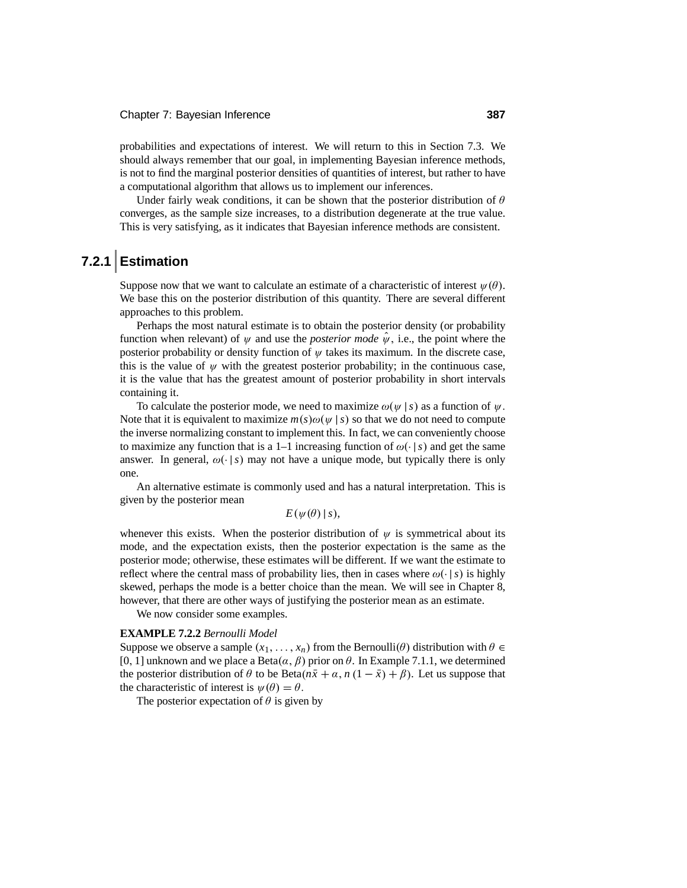probabilities and expectations of interest. We will return to this in Section 7.3. We should always remember that our goal, in implementing Bayesian inference methods, is not to find the marginal posterior densities of quantities of interest, but rather to have a computational algorithm that allows us to implement our inferences.

Under fairly weak conditions, it can be shown that the posterior distribution of  $\theta$ converges, as the sample size increases, to a distribution degenerate at the true value. This is very satisfying, as it indicates that Bayesian inference methods are consistent.

### **7.2.1 Estimation**

Suppose now that we want to calculate an estimate of a characteristic of interest  $\psi(\theta)$ . We base this on the posterior distribution of this quantity. There are several different approaches to this problem.

Perhaps the most natural estimate is to obtain the posterior density (or probability function when relevant) of  $\psi$  and use the *posterior mode*  $\psi$ , i.e., the point where the posterior probability or density function of  $\psi$  takes its maximum. In the discrete case, this is the value of  $\psi$  with the greatest posterior probability; in the continuous case, it is the value that has the greatest amount of posterior probability in short intervals containing it.

To calculate the posterior mode, we need to maximize  $\omega(\psi \mid s)$  as a function of  $\psi$ . Note that it is equivalent to maximize  $m(s)\omega(\psi \mid s)$  so that we do not need to compute the inverse normalizing constant to implement this. In fact, we can conveniently choose to maximize any function that is a 1–1 increasing function of  $\omega(\cdot | s)$  and get the same answer. In general,  $\omega(\cdot | s)$  may not have a unique mode, but typically there is only one.

An alternative estimate is commonly used and has a natural interpretation. This is given by the posterior mean

 $E(\psi(\theta) | s)$ ,

whenever this exists. When the posterior distribution of  $\psi$  is symmetrical about its mode, and the expectation exists, then the posterior expectation is the same as the posterior mode; otherwise, these estimates will be different. If we want the estimate to reflect where the central mass of probability lies, then in cases where  $\omega(\cdot | s)$  is highly skewed, perhaps the mode is a better choice than the mean. We will see in Chapter 8, however, that there are other ways of justifying the posterior mean as an estimate.

We now consider some examples.

### **EXAMPLE 7.2.2** *Bernoulli Model*

Suppose we observe a sample  $(x_1, \ldots, x_n)$  from the Bernoulli $(\theta)$  distribution with  $\theta \in$ [0, 1] unknown and we place a Beta $(\alpha, \beta)$  prior on  $\theta$ . In Example 7.1.1, we determined the posterior distribution of  $\theta$  to be Beta( $n\bar{x} + \alpha$ ,  $n(1 - \bar{x}) + \beta$ ). Let us suppose that the characteristic of interest is  $\psi(\theta) = \theta$ .

The posterior expectation of  $\theta$  is given by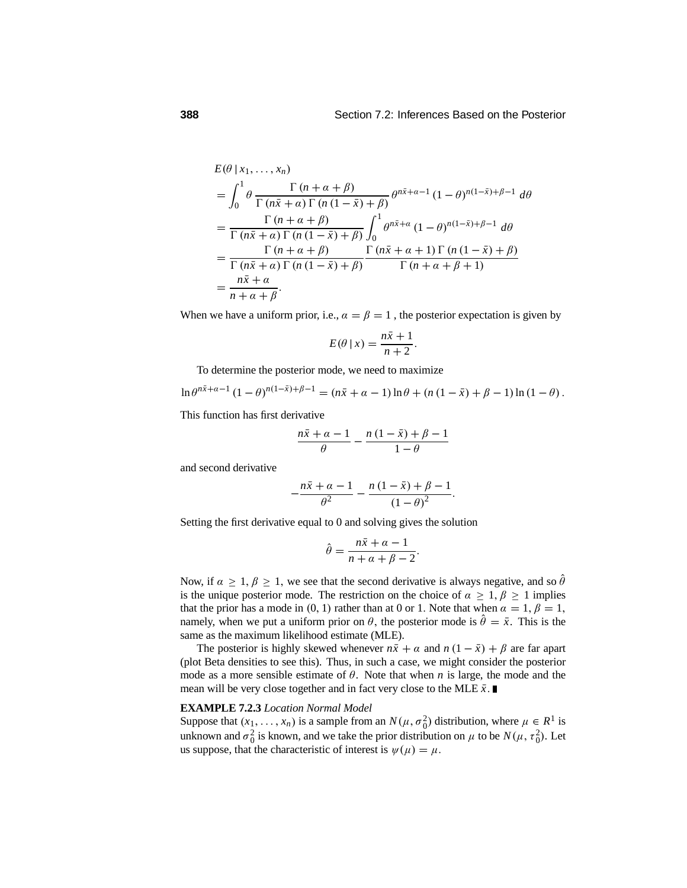$$
E(\theta | x_1, ..., x_n)
$$
  
=  $\int_0^1 \theta \frac{\Gamma(n + \alpha + \beta)}{\Gamma(n\bar{x} + \alpha) \Gamma(n(1 - \bar{x}) + \beta)} \theta^{n\bar{x} + \alpha - 1} (1 - \theta)^{n(1 - \bar{x}) + \beta - 1} d\theta$   
=  $\frac{\Gamma(n + \alpha + \beta)}{\Gamma(n\bar{x} + \alpha) \Gamma(n(1 - \bar{x}) + \beta)} \int_0^1 \theta^{n\bar{x} + \alpha} (1 - \theta)^{n(1 - \bar{x}) + \beta - 1} d\theta$   
=  $\frac{\Gamma(n + \alpha + \beta)}{\Gamma(n\bar{x} + \alpha) \Gamma(n(1 - \bar{x}) + \beta)} \frac{\Gamma(n\bar{x} + \alpha + 1) \Gamma(n(1 - \bar{x}) + \beta)}{\Gamma(n + \alpha + \beta + 1)}$   
=  $\frac{n\bar{x} + \alpha}{n + \alpha + \beta}$ .

When we have a uniform prior, i.e.,  $\alpha = \beta = 1$ , the posterior expectation is given by

$$
E(\theta \mid x) = \frac{n\bar{x} + 1}{n+2}.
$$

To determine the posterior mode, we need to maximize

$$
\ln \theta^{n\bar{x}+\alpha-1} (1-\theta)^{n(1-\bar{x})+\beta-1} = (n\bar{x}+\alpha-1) \ln \theta + (n(1-\bar{x})+\beta-1) \ln (1-\theta).
$$

This function has first derivative

$$
\frac{n\bar{x} + \alpha - 1}{\theta} - \frac{n(1 - \bar{x}) + \beta - 1}{1 - \theta}
$$

and second derivative

$$
-\frac{n\bar{x}+\alpha-1}{\theta^2}-\frac{n(1-\bar{x})+\beta-1}{(1-\theta)^2}.
$$

Setting the first derivative equal to 0 and solving gives the solution

$$
\hat{\theta} = \frac{n\bar{x} + \alpha - 1}{n + \alpha + \beta - 2}.
$$

Now, if  $\alpha \geq 1$ ,  $\beta \geq 1$ , we see that the second derivative is always negative, and so  $\hat{\theta}$ is the unique posterior mode. The restriction on the choice of  $\alpha \geq 1$ ,  $\beta \geq 1$  implies that the prior has a mode in (0, 1) rather than at 0 or 1. Note that when  $\alpha = 1, \beta = 1$ , namely, when we put a uniform prior on  $\theta$ , the posterior mode is  $\hat{\theta} = \bar{x}$ . This is the same as the maximum likelihood estimate (MLE).

The posterior is highly skewed whenever  $n\bar{x} + \alpha$  and  $n(1 - \bar{x}) + \beta$  are far apart (plot Beta densities to see this). Thus, in such a case, we might consider the posterior mode as a more sensible estimate of  $\theta$ . Note that when *n* is large, the mode and the mean will be very close together and in fact very close to the MLE  $\bar{x}$ .

### **EXAMPLE 7.2.3** *Location Normal Model*

Suppose that  $(x_1, \ldots, x_n)$  is a sample from an  $N(\mu, \sigma_0^2)$  distribution, where  $\mu \in R^1$  is unknown and  $\sigma_0^2$  is known, and we take the prior distribution on  $\mu$  to be  $N(\mu, \tau_0^2)$ . Let us suppose, that the characteristic of interest is  $\psi(\mu) = \mu$ .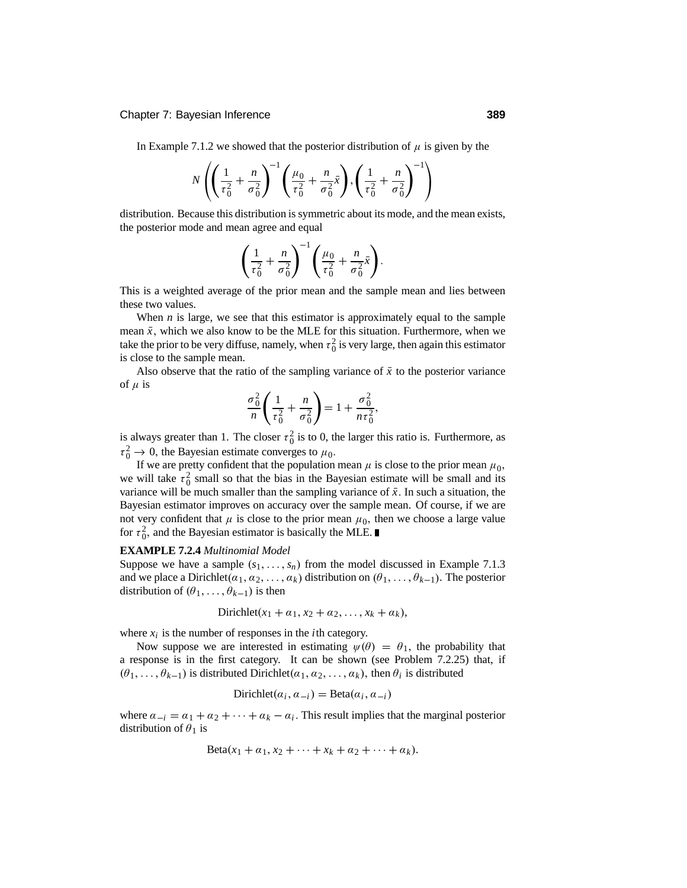### Chapter 7: Bayesian Inference **389**

In Example 7.1.2 we showed that the posterior distribution of  $\mu$  is given by the

$$
N\left(\left(\frac{1}{\tau_0^2} + \frac{n}{\sigma_0^2}\right)^{-1} \left(\frac{\mu_0}{\tau_0^2} + \frac{n}{\sigma_0^2}\bar{x}\right), \left(\frac{1}{\tau_0^2} + \frac{n}{\sigma_0^2}\right)^{-1}\right)
$$

distribution. Because this distribution is symmetric about its mode, and the mean exists, the posterior mode and mean agree and equal

$$
\left(\frac{1}{\tau_0^2} + \frac{n}{\sigma_0^2}\right)^{-1} \left(\frac{\mu_0}{\tau_0^2} + \frac{n}{\sigma_0^2}\bar{x}\right).
$$

This is a weighted average of the prior mean and the sample mean and lies between these two values.

When  $n$  is large, we see that this estimator is approximately equal to the sample mean  $\bar{x}$ , which we also know to be the MLE for this situation. Furthermore, when we take the prior to be very diffuse, namely, when  $\tau_0^2$  is very large, then again this estimator is close to the sample mean.

Also observe that the ratio of the sampling variance of  $\bar{x}$  to the posterior variance of  $\mu$  is

$$
\frac{\sigma_0^2}{n} \left( \frac{1}{\tau_0^2} + \frac{n}{\sigma_0^2} \right) = 1 + \frac{\sigma_0^2}{n \tau_0^2},
$$

is always greater than 1. The closer  $\tau_0^2$  is to 0, the larger this ratio is. Furthermore, as  $\tau_0^2 \to 0$ , the Bayesian estimate converges to  $\mu_0$ .

If we are pretty confident that the population mean  $\mu$  is close to the prior mean  $\mu_0$ , we will take  $\tau_0^2$  small so that the bias in the Bayesian estimate will be small and its variance will be much smaller than the sampling variance of  $\bar{x}$ . In such a situation, the Bayesian estimator improves on accuracy over the sample mean. Of course, if we are not very confident that  $\mu$  is close to the prior mean  $\mu_0$ , then we choose a large value for  $\tau_0^2$ , and the Bayesian estimator is basically the MLE.

#### **EXAMPLE 7.2.4** *Multinomial Model*

Suppose we have a sample  $(s_1, \ldots, s_n)$  from the model discussed in Example 7.1.3 and we place a Dirichlet( $\alpha_1, \alpha_2, \ldots, \alpha_k$ ) distribution on ( $\theta_1, \ldots, \theta_{k-1}$ ). The posterior distribution of  $(\theta_1, \ldots, \theta_{k-1})$  is then

Dirichlet
$$
(x_1 + a_1, x_2 + a_2, \ldots, x_k + a_k)
$$
,

where  $x_i$  is the number of responses in the *i*th category.

Now suppose we are interested in estimating  $\psi(\theta) = \theta_1$ , the probability that a response is in the first category. It can be shown (see Problem 7.2.25) that, if  $(\theta_1,\ldots,\theta_{k-1})$  is distributed Dirichlet $(\alpha_1,\alpha_2,\ldots,\alpha_k)$ , then  $\theta_i$  is distributed

Dirichlet
$$
(\alpha_i, \alpha_{-i})
$$
 = Beta $(\alpha_i, \alpha_{-i})$ 

where  $\alpha_{-i} = \alpha_1 + \alpha_2 + \cdots + \alpha_k - \alpha_i$ . This result implies that the marginal posterior distribution of  $\theta_1$  is

$$
Beta(x_1 + a_1, x_2 + \cdots + x_k + a_2 + \cdots + a_k).
$$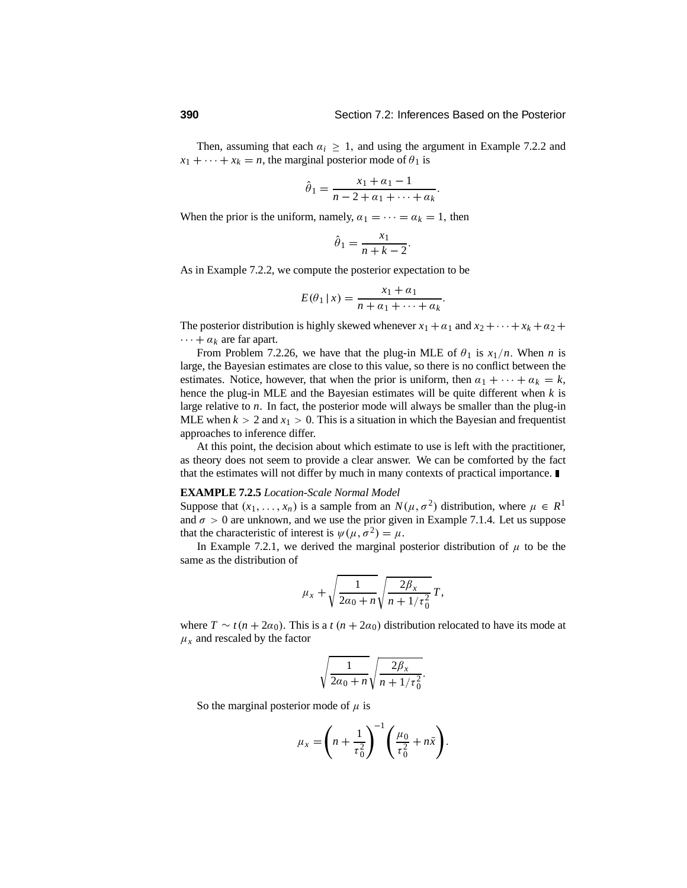Then, assuming that each  $a_i \geq 1$ , and using the argument in Example 7.2.2 and  $x_1 + \cdots + x_k = n$ , the marginal posterior mode of  $\theta_1$  is

$$
\hat{\theta}_1 = \frac{x_1 + \alpha_1 - 1}{n - 2 + \alpha_1 + \dots + \alpha_k}.
$$

When the prior is the uniform, namely,  $\alpha_1 = \cdots = \alpha_k = 1$ , then

$$
\hat{\theta}_1 = \frac{x_1}{n+k-2}.
$$

As in Example 7.2.2, we compute the posterior expectation to be

$$
E(\theta_1 \mid x) = \frac{x_1 + a_1}{n + a_1 + \dots + a_k}.
$$

The posterior distribution is highly skewed whenever  $x_1 + a_1$  and  $x_2 + \cdots + x_k + a_2 +$  $\cdots + \alpha_k$  are far apart.

From Problem 7.2.26, we have that the plug-in MLE of  $\theta_1$  is  $x_1/n$ . When *n* is large, the Bayesian estimates are close to this value, so there is no conflict between the estimates. Notice, however, that when the prior is uniform, then  $a_1 + \cdots + a_k = k$ , hence the plug-in MLE and the Bayesian estimates will be quite different when *k* is large relative to *n*. In fact, the posterior mode will always be smaller than the plug-in MLE when  $k > 2$  and  $x_1 > 0$ . This is a situation in which the Bayesian and frequentist approaches to inference differ.

At this point, the decision about which estimate to use is left with the practitioner, as theory does not seem to provide a clear answer. We can be comforted by the fact that the estimates will not differ by much in many contexts of practical importance.

#### **EXAMPLE 7.2.5** *Location-Scale Normal Model*

Suppose that  $(x_1, \ldots, x_n)$  is a sample from an  $N(\mu, \sigma^2)$  distribution, where  $\mu \in R^1$ and  $\sigma > 0$  are unknown, and we use the prior given in Example 7.1.4. Let us suppose that the characteristic of interest is  $\psi(\mu, \sigma^2) = \mu$ .

In Example 7.2.1, we derived the marginal posterior distribution of  $\mu$  to be the same as the distribution of

$$
\mu_x + \sqrt{\frac{1}{2a_0 + n}} \sqrt{\frac{2\beta_x}{n + 1/\tau_0^2}} T,
$$

where  $T \sim t(n + 2\alpha_0)$ . This is a *t*  $(n + 2\alpha_0)$  distribution relocated to have its mode at  $\mu_x$  and rescaled by the factor

$$
\sqrt{\frac{1}{2\alpha_0 + n}} \sqrt{\frac{2\beta_x}{n + 1/\tau_0^2}}.
$$

So the marginal posterior mode of  $\mu$  is

$$
\mu_x = \left(n + \frac{1}{\tau_0^2}\right)^{-1} \left(\frac{\mu_0}{\tau_0^2} + n\bar{x}\right).
$$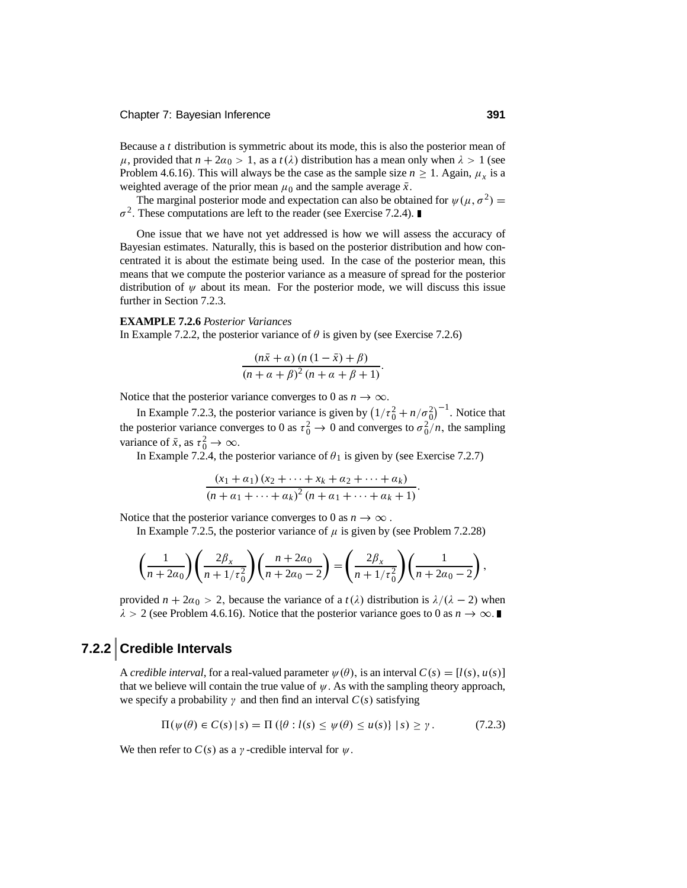Because a *t* distribution is symmetric about its mode, this is also the posterior mean of  $\mu$ , provided that  $n + 2\alpha_0 > 1$ , as a  $t(\lambda)$  distribution has a mean only when  $\lambda > 1$  (see Problem 4.6.16). This will always be the case as the sample size  $n \ge 1$ . Again,  $\mu<sub>x</sub>$  is a weighted average of the prior mean  $\mu_0$  and the sample average  $\bar{x}$ .

The marginal posterior mode and expectation can also be obtained for  $\psi(\mu, \sigma^2)$  =  $\sigma^2$ . These computations are left to the reader (see Exercise 7.2.4).

One issue that we have not yet addressed is how we will assess the accuracy of Bayesian estimates. Naturally, this is based on the posterior distribution and how concentrated it is about the estimate being used. In the case of the posterior mean, this means that we compute the posterior variance as a measure of spread for the posterior distribution of  $\psi$  about its mean. For the posterior mode, we will discuss this issue further in Section 7.2.3.

### **EXAMPLE 7.2.6** *Posterior Variances*

In Example 7.2.2, the posterior variance of  $\theta$  is given by (see Exercise 7.2.6)

$$
\frac{(n\bar{x} + a) (n (1 - \bar{x}) + \beta)}{(n + \alpha + \beta)^2 (n + \alpha + \beta + 1)}
$$

.

Notice that the posterior variance converges to 0 as  $n \to \infty$ .

In Example 7.2.3, the posterior variance is given by  $(1/\tau_0^2 + n/\sigma_0^2)^{-1}$ . Notice that the posterior variance converges to 0 as  $\tau_0^2 \to 0$  and converges to  $\sigma_0^2/n$ , the sampling variance of  $\bar{x}$ , as  $\tau_0^2 \to \infty$ .

In Example 7.2.4, the posterior variance of  $\theta_1$  is given by (see Exercise 7.2.7)

$$
\frac{(x_1+a_1)(x_2+\cdots+x_k+a_2+\cdots+a_k)}{(n+a_1+\cdots+a_k)^2(n+a_1+\cdots+a_k+1)}.
$$

Notice that the posterior variance converges to 0 as  $n \to \infty$ .

In Example 7.2.5, the posterior variance of  $\mu$  is given by (see Problem 7.2.28)

$$
\left(\frac{1}{n+2a_0}\right)\left(\frac{2\beta_x}{n+1/\tau_0^2}\right)\left(\frac{n+2a_0}{n+2a_0-2}\right)=\left(\frac{2\beta_x}{n+1/\tau_0^2}\right)\left(\frac{1}{n+2a_0-2}\right),
$$

provided  $n + 2\alpha_0 > 2$ , because the variance of a  $t(\lambda)$  distribution is  $\lambda/(\lambda - 2)$  when  $\lambda > 2$  (see Problem 4.6.16). Notice that the posterior variance goes to 0 as  $n \to \infty$ .

### **7.2.2 Credible Intervals**

A *credible interval*, for a real-valued parameter  $\psi(\theta)$ , is an interval  $C(s) = [l(s), u(s)]$ that we believe will contain the true value of  $\psi$ . As with the sampling theory approach, we specify a probability  $\gamma$  and then find an interval  $C(s)$  satisfying

$$
\Pi(\psi(\theta) \in C(s) \mid s) = \Pi\left(\{\theta : l(s) \le \psi(\theta) \le u(s)\} \mid s\right) \ge \gamma. \tag{7.2.3}
$$

We then refer to  $C(s)$  as a  $\gamma$ -credible interval for  $\psi$ .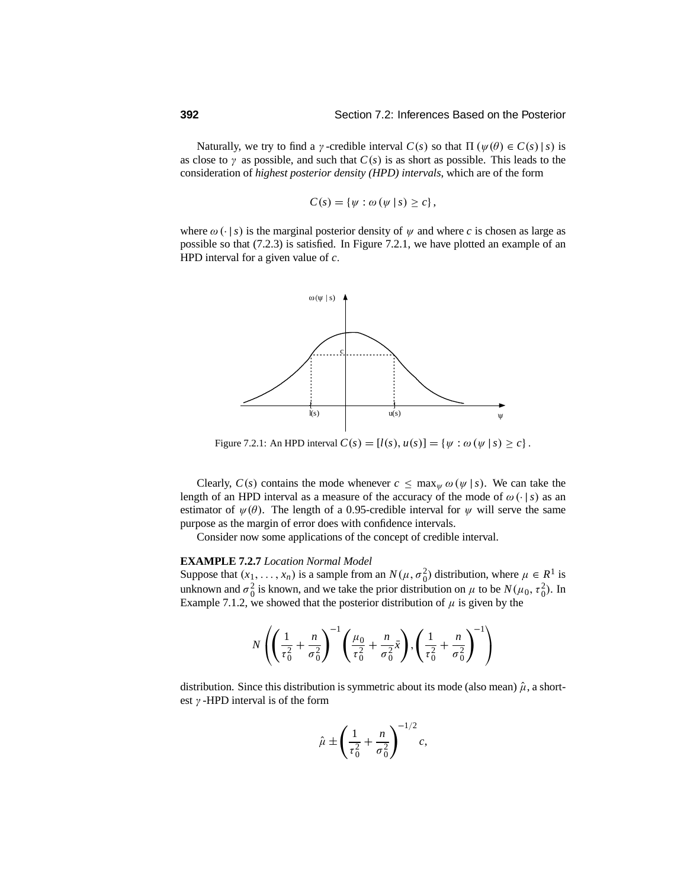Naturally, we try to find a *γ*-credible interval  $C(s)$  so that  $\Pi(\psi(\theta) \in C(s) | s)$  is as close to  $\gamma$  as possible, and such that  $C(s)$  is as short as possible. This leads to the consideration of *highest posterior density (HPD) intervals*, which are of the form

$$
C(s) = \{ \psi : \omega (\psi \mid s) \geq c \},\
$$

where  $\omega(\cdot | s)$  is the marginal posterior density of  $\psi$  and where *c* is chosen as large as possible so that (7.2.3) is satisfied. In Figure 7.2.1, we have plotted an example of an HPD interval for a given value of *c*.



Figure 7.2.1: An HPD interval  $C(s) = [l(s), u(s)] = \{ \psi : \omega (\psi | s) \ge c \}.$ 

Clearly,  $C(s)$  contains the mode whenever  $c \leq \max_{w} \omega (w | s)$ . We can take the length of an HPD interval as a measure of the accuracy of the mode of  $\omega(\cdot | s)$  as an estimator of  $\psi(\theta)$ . The length of a 0.95-credible interval for  $\psi$  will serve the same purpose as the margin of error does with confidence intervals.

Consider now some applications of the concept of credible interval.

### **EXAMPLE 7.2.7** *Location Normal Model*

Suppose that  $(x_1, \ldots, x_n)$  is a sample from an  $N(\mu, \sigma_0^2)$  distribution, where  $\mu \in R^1$  is unknown and  $\sigma_0^2$  is known, and we take the prior distribution on  $\mu$  to be  $N(\mu_0, \tau_0^2)$ . In Example 7.1.2, we showed that the posterior distribution of  $\mu$  is given by the

$$
N\left(\left(\frac{1}{\tau_0^2} + \frac{n}{\sigma_0^2}\right)^{-1} \left(\frac{\mu_0}{\tau_0^2} + \frac{n}{\sigma_0^2}\bar{x}\right), \left(\frac{1}{\tau_0^2} + \frac{n}{\sigma_0^2}\right)^{-1}\right)
$$

distribution. Since this distribution is symmetric about its mode (also mean)  $\hat{\mu}$ , a shortest  $\gamma$ -HPD interval is of the form

$$
\hat{\mu} \pm \left(\frac{1}{\tau_0^2} + \frac{n}{\sigma_0^2}\right)^{-1/2} c,
$$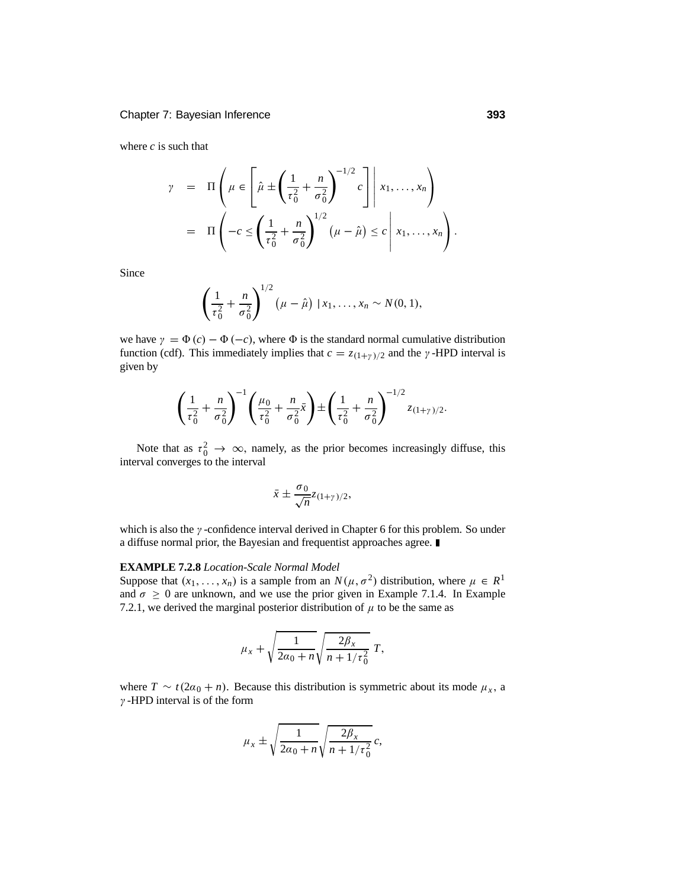where *c* is such that

$$
\gamma = \Pi \left( \mu \in \left[ \hat{\mu} \pm \left( \frac{1}{\tau_0^2} + \frac{n}{\sigma_0^2} \right)^{-1/2} c \right] \middle| x_1, \dots, x_n \right)
$$
  
= 
$$
\Pi \left( -c \le \left( \frac{1}{\tau_0^2} + \frac{n}{\sigma_0^2} \right)^{1/2} (\mu - \hat{\mu}) \le c \middle| x_1, \dots, x_n \right).
$$

Since

$$
\left(\frac{1}{\tau_0^2} + \frac{n}{\sigma_0^2}\right)^{1/2} (\mu - \hat{\mu}) | x_1, \ldots, x_n \sim N(0, 1),
$$

we have  $\gamma = \Phi(c) - \Phi(-c)$ , where  $\Phi$  is the standard normal cumulative distribution function (cdf). This immediately implies that  $c = z(1+y)/2$  and the  $\gamma$ -HPD interval is given by

$$
\left(\frac{1}{\tau_0^2} + \frac{n}{\sigma_0^2}\right)^{-1} \left(\frac{\mu_0}{\tau_0^2} + \frac{n}{\sigma_0^2}\bar{x}\right) \pm \left(\frac{1}{\tau_0^2} + \frac{n}{\sigma_0^2}\right)^{-1/2} z_{(1+\gamma)/2}.
$$

Note that as  $\tau_0^2 \to \infty$ , namely, as the prior becomes increasingly diffuse, this interval converges to the interval

$$
\bar{x} \pm \frac{\sigma_0}{\sqrt{n}} z_{(1+\gamma)/2},
$$

which is also the  $\gamma$ -confidence interval derived in Chapter 6 for this problem. So under a diffuse normal prior, the Bayesian and frequentist approaches agree.

### **EXAMPLE 7.2.8** *Location-Scale Normal Model*

Suppose that  $(x_1, \ldots, x_n)$  is a sample from an  $N(\mu, \sigma^2)$  distribution, where  $\mu \in R^1$ and  $\sigma \geq 0$  are unknown, and we use the prior given in Example 7.1.4. In Example 7.2.1, we derived the marginal posterior distribution of  $\mu$  to be the same as

$$
\mu_x + \sqrt{\frac{1}{2a_0 + n} \sqrt{\frac{2\beta_x}{n + 1/\tau_0^2}}} T,
$$

where  $T \sim t(2\alpha_0 + n)$ . Because this distribution is symmetric about its mode  $\mu_x$ , a  $\gamma$ -HPD interval is of the form

$$
\mu_x \pm \sqrt{\frac{1}{2a_0 + n}} \sqrt{\frac{2\beta_x}{n + 1/\tau_0^2}} c,
$$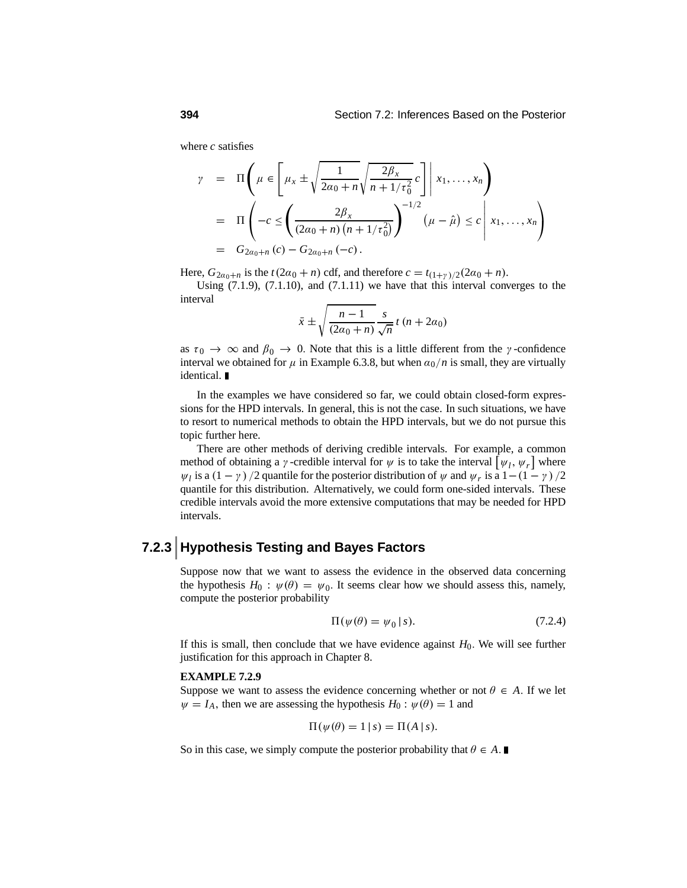where *c* satisfies

$$
\gamma = \Pi \left( \mu \in \left[ \mu_x \pm \sqrt{\frac{1}{2a_0 + n} \sqrt{\frac{2\beta_x}{n + 1/\tau_0^2}}} c \right] \middle| x_1, \dots, x_n \right)
$$
  
=  $\Pi \left( -c \le \left( \frac{2\beta_x}{(2a_0 + n) (n + 1/\tau_0^2)} \right)^{-1/2} (\mu - \hat{\mu}) \le c \middle| x_1, \dots, x_n \right)$   
=  $G_{2a_0 + n} (c) - G_{2a_0 + n} (-c).$ 

Here,  $G_{2\alpha_0+n}$  is the  $t(2\alpha_0+n)$  cdf, and therefore  $c = t_{(1+\gamma)/2}(2\alpha_0+n)$ .

Using  $(7.1.9)$ ,  $(7.1.10)$ , and  $(7.1.11)$  we have that this interval converges to the interval

$$
\bar{x} \pm \sqrt{\frac{n-1}{(2\alpha_0+n)}} \frac{s}{\sqrt{n}} t (n+2\alpha_0)
$$

as  $\tau_0 \to \infty$  and  $\beta_0 \to 0$ . Note that this is a little different from the *γ*-confidence interval we obtained for  $\mu$  in Example 6.3.8, but when  $\alpha_0/n$  is small, they are virtually identical.

In the examples we have considered so far, we could obtain closed-form expressions for the HPD intervals. In general, this is not the case. In such situations, we have to resort to numerical methods to obtain the HPD intervals, but we do not pursue this topic further here.

There are other methods of deriving credible intervals. For example, a common method of obtaining a *γ*-credible interval for *ψ* is to take the interval  $[\psi_l, \psi_r]$  where  $\psi_l$  is a (1 −  $\gamma$ ) /2 quantile for the posterior distribution of  $\psi$  and  $\psi_r$  is a 1 − (1 −  $\gamma$ ) /2 quantile for this distribution. Alternatively, we could form one-sided intervals. These credible intervals avoid the more extensive computations that may be needed for HPD intervals.

### **7.2.3 Hypothesis Testing and Bayes Factors**

Suppose now that we want to assess the evidence in the observed data concerning the hypothesis  $H_0$ :  $\psi(\theta) = \psi_0$ . It seems clear how we should assess this, namely, compute the posterior probability

$$
\Pi(\psi(\theta) = \psi_0 \, | \, s). \tag{7.2.4}
$$

If this is small, then conclude that we have evidence against  $H_0$ . We will see further justification for this approach in Chapter 8.

#### **EXAMPLE 7.2.9**

Suppose we want to assess the evidence concerning whether or not  $\theta \in A$ . If we let  $\psi = I_A$ , then we are assessing the hypothesis  $H_0$ :  $\psi(\theta) = 1$  and

$$
\Pi(\psi(\theta) = 1 \mid s) = \Pi(A \mid s).
$$

So in this case, we simply compute the posterior probability that  $\theta \in A$ .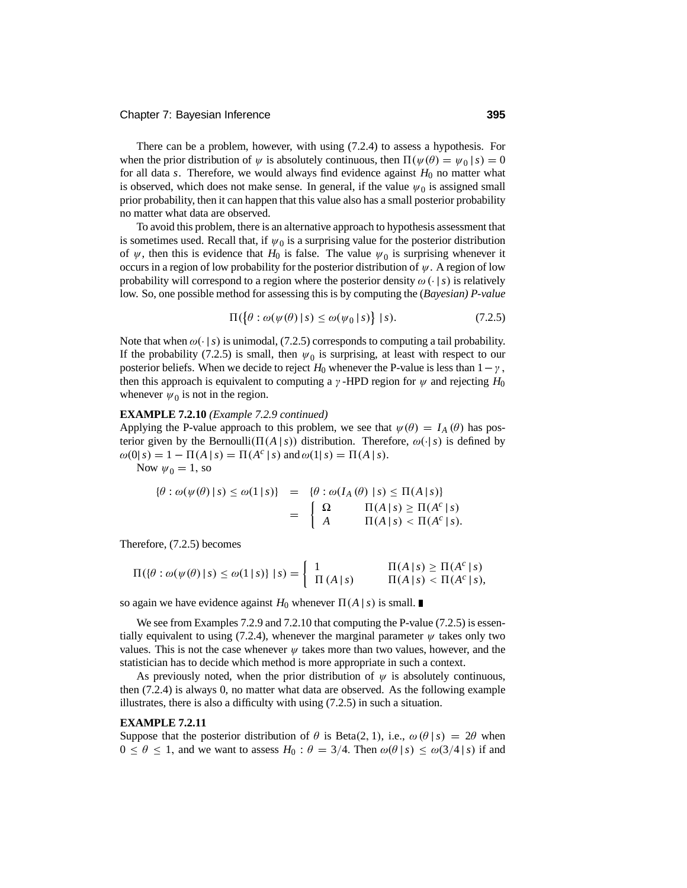There can be a problem, however, with using (7.2.4) to assess a hypothesis. For when the prior distribution of  $\psi$  is absolutely continuous, then  $\Pi(\psi(\theta) = \psi_0 | s) = 0$ for all data *s*. Therefore, we would always find evidence against  $H_0$  no matter what is observed, which does not make sense. In general, if the value  $\psi_0$  is assigned small prior probability, then it can happen that this value also has a small posterior probability no matter what data are observed.

To avoid this problem, there is an alternative approach to hypothesis assessment that is sometimes used. Recall that, if  $\psi_0$  is a surprising value for the posterior distribution of  $\psi$ , then this is evidence that  $H_0$  is false. The value  $\psi_0$  is surprising whenever it occurs in a region of low probability for the posterior distribution of  $\psi$ . A region of low probability will correspond to a region where the posterior density  $\omega(\cdot | s)$  is relatively low. So, one possible method for assessing this is by computing the (*Bayesian) P-value*

$$
\Pi(\{\theta : \omega(\psi(\theta) \mid s) \le \omega(\psi_0 \mid s) \} \mid s). \tag{7.2.5}
$$

Note that when  $\omega(\cdot | s)$  is unimodal, (7.2.5) corresponds to computing a tail probability. If the probability (7.2.5) is small, then  $\psi_0$  is surprising, at least with respect to our posterior beliefs. When we decide to reject  $H_0$  whenever the P-value is less than  $1-\gamma$ , then this approach is equivalent to computing a  $\gamma$ -HPD region for  $\psi$  and rejecting  $H_0$ whenever  $\psi_0$  is not in the region.

### **EXAMPLE 7.2.10** *(Example 7.2.9 continued)*

Applying the P-value approach to this problem, we see that  $\psi(\theta) = I_A(\theta)$  has posterior given by the Bernoulli( $\Pi(A \mid s)$ ) distribution. Therefore,  $\omega(\cdot|s)$  is defined by  $\omega(0|s) = 1 - \Pi(A|s) = \Pi(A^c|s)$  and  $\omega(1|s) = \Pi(A|s)$ .

Now  $\psi_0 = 1$ , so

$$
\{\theta : \omega(\psi(\theta) \mid s) \le \omega(1 \mid s)\} = \{\theta : \omega(I_A(\theta) \mid s) \le \Pi(A \mid s)\}
$$
  
= 
$$
\begin{cases} \Omega & \Pi(A \mid s) \ge \Pi(A^c \mid s) \\ A & \Pi(A \mid s) < \Pi(A^c \mid s). \end{cases}
$$

Therefore, (7.2.5) becomes

$$
\Pi(\{\theta : \omega(\psi(\theta) \mid s) \le \omega(1 \mid s)\} \mid s) = \begin{cases} 1 & \Pi(A \mid s) \ge \Pi(A^c \mid s) \\ \Pi(A \mid s) & \Pi(A \mid s) < \Pi(A^c \mid s), \end{cases}
$$

so again we have evidence against  $H_0$  whenever  $\Pi(A \mid s)$  is small.

We see from Examples 7.2.9 and 7.2.10 that computing the P-value (7.2.5) is essentially equivalent to using (7.2.4), whenever the marginal parameter  $\psi$  takes only two values. This is not the case whenever  $\psi$  takes more than two values, however, and the statistician has to decide which method is more appropriate in such a context.

As previously noted, when the prior distribution of  $\psi$  is absolutely continuous, then (7.2.4) is always 0, no matter what data are observed. As the following example illustrates, there is also a difficulty with using (7.2.5) in such a situation.

### **EXAMPLE 7.2.11**

Suppose that the posterior distribution of  $\theta$  is Beta(2, 1), i.e.,  $\omega(\theta | s) = 2\theta$  when  $0 \le \theta \le 1$ , and we want to assess  $H_0: \theta = 3/4$ . Then  $\omega(\theta | s) \le \omega(3/4 | s)$  if and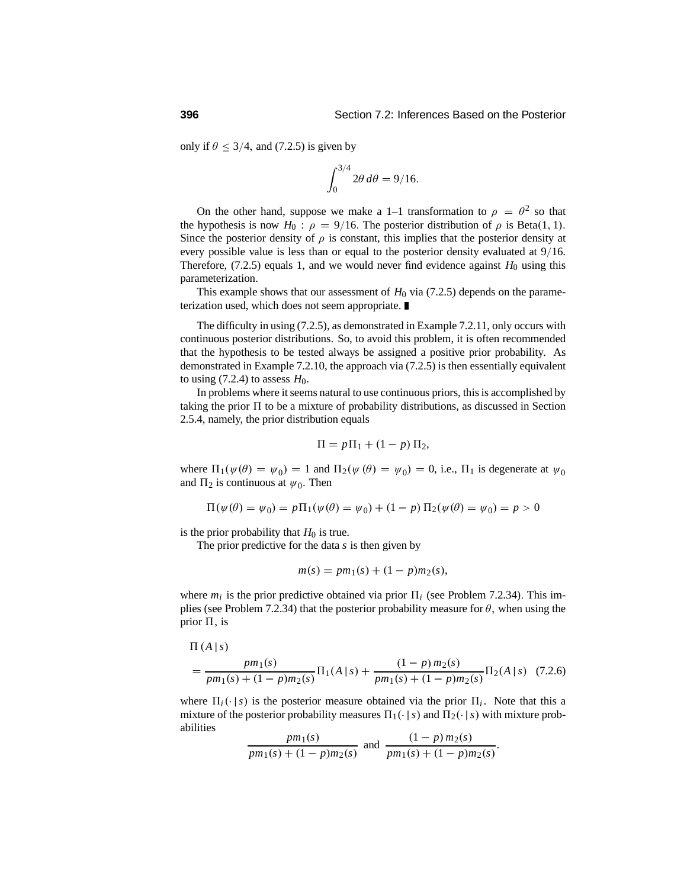only if  $\theta \leq 3/4$ , and (7.2.5) is given by

$$
\int_0^{3/4} 2\theta \, d\theta = 9/16.
$$

On the other hand, suppose we make a 1–1 transformation to  $\rho = \theta^2$  so that the hypothesis is now  $H_0$ :  $\rho = 9/16$ . The posterior distribution of  $\rho$  is Beta(1, 1). Since the posterior density of  $\rho$  is constant, this implies that the posterior density at every possible value is less than or equal to the posterior density evaluated at 9/16. Therefore,  $(7.2.5)$  equals 1, and we would never find evidence against  $H_0$  using this parameterization.

This example shows that our assessment of  $H_0$  via (7.2.5) depends on the parameterization used, which does not seem appropriate.

The difficulty in using (7.2.5), as demonstrated in Example 7.2.11, only occurs with continuous posterior distributions. So, to avoid this problem, it is often recommended that the hypothesis to be tested always be assigned a positive prior probability. As demonstrated in Example 7.2.10, the approach via (7.2.5) is then essentially equivalent to using  $(7.2.4)$  to assess  $H_0$ .

In problems where it seems natural to use continuous priors, this is accomplished by taking the prior  $\Pi$  to be a mixture of probability distributions, as discussed in Section 2.5.4, namely, the prior distribution equals

$$
\Pi = p\Pi_1 + (1-p)\Pi_2,
$$

where  $\Pi_1(\psi(\theta) = \psi_0) = 1$  and  $\Pi_2(\psi(\theta) = \psi_0) = 0$ , i.e.,  $\Pi_1$  is degenerate at  $\psi_0$ and  $\Pi_2$  is continuous at  $\psi_0$ . Then

$$
\Pi(\psi(\theta) = \psi_0) = p \Pi_1(\psi(\theta) = \psi_0) + (1 - p) \Pi_2(\psi(\theta) = \psi_0) = p > 0
$$

is the prior probability that  $H_0$  is true.

The prior predictive for the data *s* is then given by

$$
m(s) = pm_1(s) + (1 - p)m_2(s),
$$

where  $m_i$  is the prior predictive obtained via prior  $\Pi_i$  (see Problem 7.2.34). This implies (see Problem 7.2.34) that the posterior probability measure for  $\theta$ , when using the prior  $\Pi$ , is

$$
\Pi(A \mid s)
$$
\n
$$
= \frac{pm_1(s)}{pm_1(s) + (1-p)m_2(s)} \Pi_1(A \mid s) + \frac{(1-p)m_2(s)}{pm_1(s) + (1-p)m_2(s)} \Pi_2(A \mid s) \quad (7.2.6)
$$

where  $\Pi_i(\cdot | s)$  is the posterior measure obtained via the prior  $\Pi_i$ . Note that this a mixture of the posterior probability measures  $\Pi_1(\cdot | s)$  and  $\Pi_2(\cdot | s)$  with mixture probabilities

$$
\frac{pm_1(s)}{pm_1(s) + (1-p)m_2(s)} \text{ and } \frac{(1-p)m_2(s)}{pm_1(s) + (1-p)m_2(s)}.
$$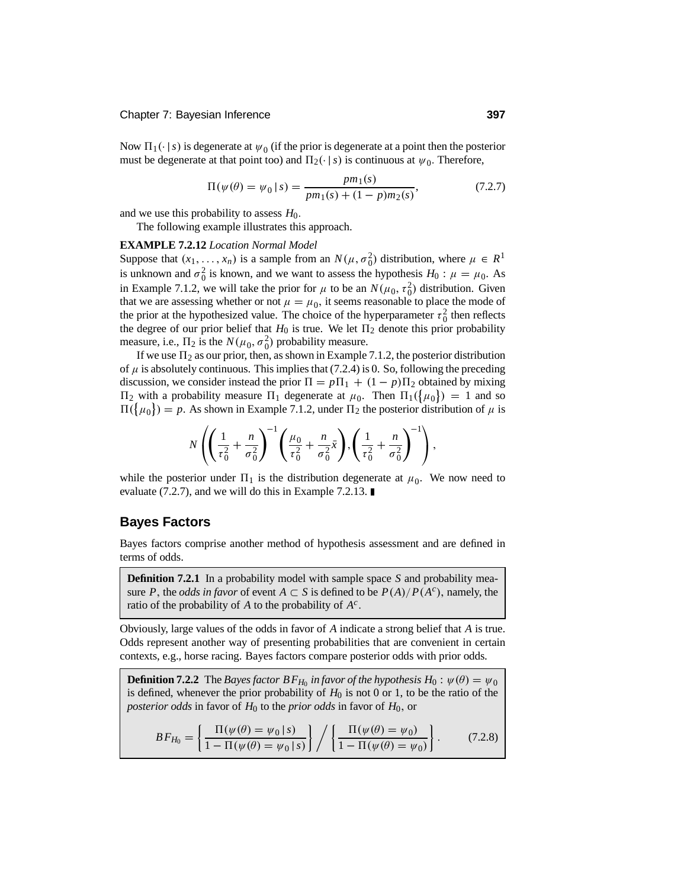Now  $\Pi_1(\cdot | s)$  is degenerate at  $\psi_0$  (if the prior is degenerate at a point then the posterior must be degenerate at that point too) and  $\Pi_2(\cdot | s)$  is continuous at  $\psi_0$ . Therefore,

$$
\Pi(\psi(\theta) = \psi_0 \, | \, s) = \frac{pm_1(s)}{pm_1(s) + (1-p)m_2(s)},\tag{7.2.7}
$$

and we use this probability to assess *H*0.

The following example illustrates this approach.

#### **EXAMPLE 7.2.12** *Location Normal Model*

Suppose that  $(x_1, ..., x_n)$  is a sample from an  $N(\mu, \sigma_0^2)$  distribution, where  $\mu \in R^1$ is unknown and  $\sigma_0^2$  is known, and we want to assess the hypothesis  $H_0$ :  $\mu = \mu_0$ . As in Example 7.1.2, we will take the prior for  $\mu$  to be an  $N(\mu_0, \tau_0^2)$  distribution. Given that we are assessing whether or not  $\mu = \mu_0$ , it seems reasonable to place the mode of the prior at the hypothesized value. The choice of the hyperparameter  $\tau_0^2$  then reflects the degree of our prior belief that  $H_0$  is true. We let  $\Pi_2$  denote this prior probability measure, i.e.,  $\Pi_2$  is the  $N(\mu_0, \sigma_0^2)$  probability measure.

If we use  $\Pi_2$  as our prior, then, as shown in Example 7.1.2, the posterior distribution of  $\mu$  is absolutely continuous. This implies that (7.2.4) is 0. So, following the preceding discussion, we consider instead the prior  $\Pi = p\Pi_1 + (1 - p)\Pi_2$  obtained by mixing  $\Pi_2$  with a probability measure  $\Pi_1$  degenerate at  $\mu_0$ . Then  $\Pi_1(\{\mu_0\}) = 1$  and so  $\Pi(\lbrace \mu_0 \rbrace) = p$ . As shown in Example 7.1.2, under  $\Pi_2$  the posterior distribution of  $\mu$  is

$$
N\left(\left(\frac{1}{\tau_0^2} + \frac{n}{\sigma_0^2}\right)^{-1} \left(\frac{\mu_0}{\tau_0^2} + \frac{n}{\sigma_0^2}\bar{x}\right), \left(\frac{1}{\tau_0^2} + \frac{n}{\sigma_0^2}\right)^{-1}\right),
$$

while the posterior under  $\Pi_1$  is the distribution degenerate at  $\mu_0$ . We now need to evaluate (7.2.7), and we will do this in Example 7.2.13.

### **Bayes Factors**

Bayes factors comprise another method of hypothesis assessment and are defined in terms of odds.

**Definition 7.2.1** In a probability model with sample space *S* and probability measure *P*, the *odds in favor* of event  $A \subset S$  is defined to be  $P(A)/P(A^c)$ , namely, the ratio of the probability of *A* to the probability of *Ac*.

Obviously, large values of the odds in favor of *A* indicate a strong belief that *A* is true. Odds represent another way of presenting probabilities that are convenient in certain contexts, e.g., horse racing. Bayes factors compare posterior odds with prior odds.

**Definition 7.2.2** The *Bayes factor BF<sub>H0</sub> in favor of the hypothesis H<sub>0</sub> :*  $\psi(\theta) = \psi_0$ is defined, whenever the prior probability of  $H_0$  is not 0 or 1, to be the ratio of the *posterior odds* in favor of *H*<sup>0</sup> to the *prior odds* in favor of *H*0, or

$$
BF_{H_0} = \left\{ \frac{\Pi(\psi(\theta) = \psi_0 \, | \, s)}{1 - \Pi(\psi(\theta) = \psi_0 \, | \, s)} \right\} \Bigg/ \left\{ \frac{\Pi(\psi(\theta) = \psi_0)}{1 - \Pi(\psi(\theta) = \psi_0)} \right\}.
$$
 (7.2.8)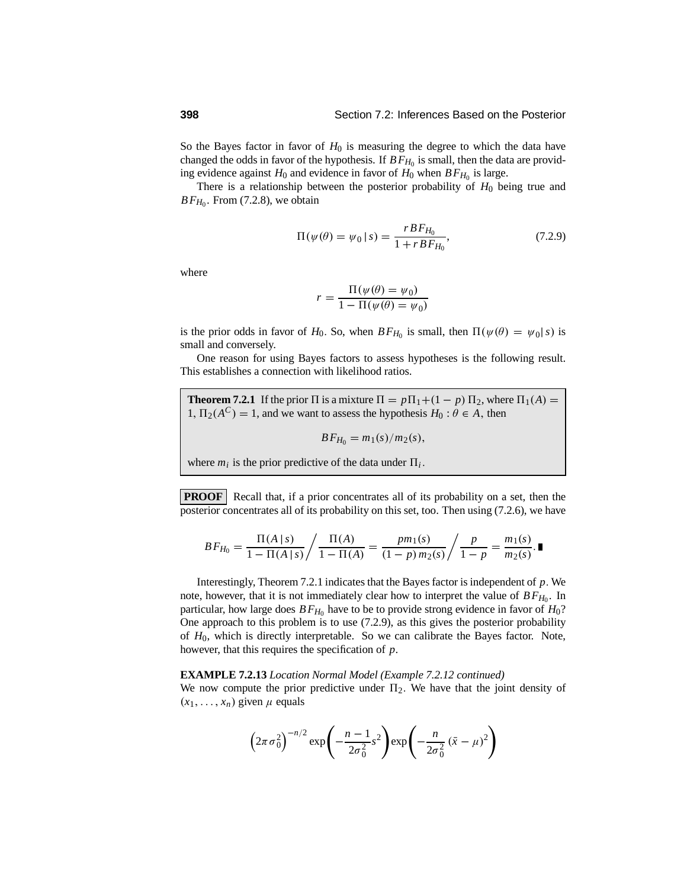So the Bayes factor in favor of  $H_0$  is measuring the degree to which the data have changed the odds in favor of the hypothesis. If  $BF_{H_0}$  is small, then the data are providing evidence against  $H_0$  and evidence in favor of  $H_0$  when  $BF_{H_0}$  is large.

There is a relationship between the posterior probability of  $H_0$  being true and  $BF_{H_0}$ . From (7.2.8), we obtain

$$
\Pi(\psi(\theta) = \psi_0 \, | \, s) = \frac{rBF_{H_0}}{1 + rBF_{H_0}},\tag{7.2.9}
$$

where

$$
r = \frac{\Pi(\psi(\theta) = \psi_0)}{1 - \Pi(\psi(\theta) = \psi_0)}
$$

is the prior odds in favor of  $H_0$ . So, when  $BF_{H_0}$  is small, then  $\Pi(\psi(\theta) = \psi_0|s)$  is small and conversely.

One reason for using Bayes factors to assess hypotheses is the following result. This establishes a connection with likelihood ratios.

**Theorem 7.2.1** If the prior  $\Pi$  is a mixture  $\Pi = p\Pi_1 + (1 - p)\Pi_2$ , where  $\Pi_1(A) =$ 1,  $\Pi_2(A^C) = 1$ , and we want to assess the hypothesis  $H_0: \theta \in A$ , then

$$
BF_{H_0}=m_1(s)/m_2(s),
$$

where  $m_i$  is the prior predictive of the data under  $\Pi_i$ .

**PROOF** Recall that, if a prior concentrates all of its probability on a set, then the posterior concentrates all of its probability on this set, too. Then using (7.2.6), we have

$$
BF_{H_0} = \frac{\Pi(A \mid s)}{1 - \Pi(A \mid s)} / \frac{\Pi(A)}{1 - \Pi(A)} = \frac{pm_1(s)}{(1 - p) m_2(s)} / \frac{p}{1 - p} = \frac{m_1(s)}{m_2(s)}.
$$

Interestingly, Theorem 7.2.1 indicates that the Bayes factor is independent of *p*. We note, however, that it is not immediately clear how to interpret the value of  $BF_{H_0}$ . In particular, how large does  $BF_{H_0}$  have to be to provide strong evidence in favor of  $H_0$ ? One approach to this problem is to use (7.2.9), as this gives the posterior probability of *H*0, which is directly interpretable. So we can calibrate the Bayes factor. Note, however, that this requires the specification of *p*.

#### **EXAMPLE 7.2.13** *Location Normal Model (Example 7.2.12 continued)*

We now compute the prior predictive under  $\Pi_2$ . We have that the joint density of  $(x_1, \ldots, x_n)$  given  $\mu$  equals

$$
\left(2\pi\sigma_0^2\right)^{-n/2}\exp\left(-\frac{n-1}{2\sigma_0^2}s^2\right)\exp\left(-\frac{n}{2\sigma_0^2}\left(\bar{x}-\mu\right)^2\right)
$$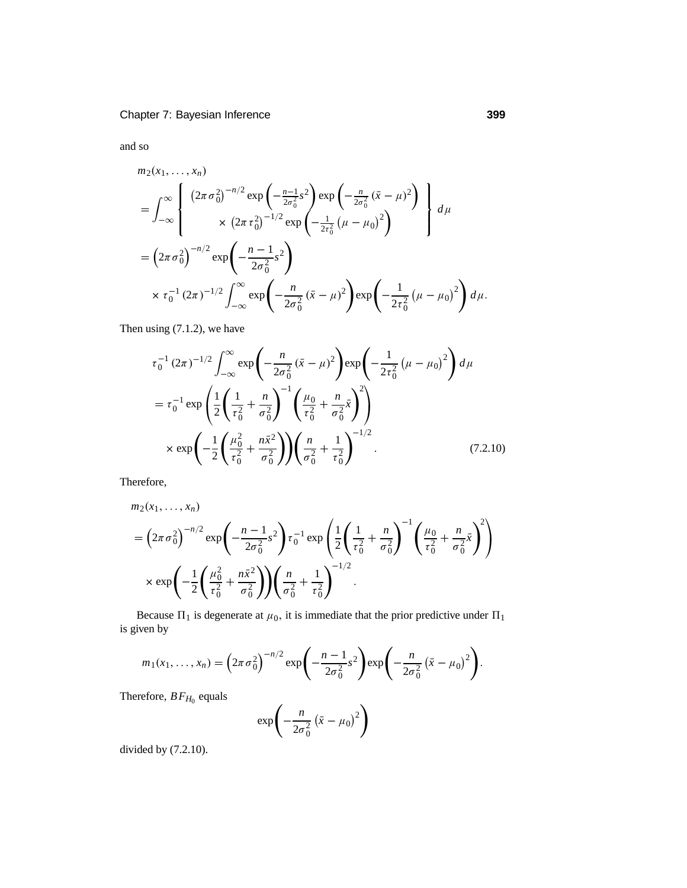and so

$$
m_2(x_1, ..., x_n)
$$
  
=  $\int_{-\infty}^{\infty} \left\{ \frac{(2\pi\sigma_0^2)^{-n/2} \exp\left(-\frac{n-1}{2\sigma_0^2} s^2\right) \exp\left(-\frac{n}{2\sigma_0^2} (\bar{x} - \mu)^2\right)}{x (2\pi\tau_0^2)^{-1/2} \exp\left(-\frac{1}{2\tau_0^2} (\mu - \mu_0)^2\right)} \right\} d\mu$   
=  $\left(2\pi\sigma_0^2\right)^{-n/2} \exp\left(-\frac{n-1}{2\sigma_0^2} s^2\right)$   
 $\times \tau_0^{-1} (2\pi)^{-1/2} \int_{-\infty}^{\infty} \exp\left(-\frac{n}{2\sigma_0^2} (\bar{x} - \mu)^2\right) \exp\left(-\frac{1}{2\tau_0^2} (\mu - \mu_0)^2\right) d\mu.$ 

Then using (7.1.2), we have

$$
\tau_0^{-1} (2\pi)^{-1/2} \int_{-\infty}^{\infty} \exp\left(-\frac{n}{2\sigma_0^2} (\bar{x} - \mu)^2\right) \exp\left(-\frac{1}{2\tau_0^2} (\mu - \mu_0)^2\right) d\mu
$$
  
=  $\tau_0^{-1} \exp\left(\frac{1}{2} \left(\frac{1}{\tau_0^2} + \frac{n}{\sigma_0^2}\right)^{-1} \left(\frac{\mu_0}{\tau_0^2} + \frac{n}{\sigma_0^2} \bar{x}\right)^2\right)$   
 $\times \exp\left(-\frac{1}{2} \left(\frac{\mu_0^2}{\tau_0^2} + \frac{n\bar{x}^2}{\sigma_0^2}\right)\right) \left(\frac{n}{\sigma_0^2} + \frac{1}{\tau_0^2}\right)^{-1/2}.$  (7.2.10)

Therefore,

$$
m_2(x_1,...,x_n)
$$
  
=  $\left(2\pi\sigma_0^2\right)^{-n/2} \exp\left(-\frac{n-1}{2\sigma_0^2}s^2\right) \tau_0^{-1} \exp\left(\frac{1}{2}\left(\frac{1}{\tau_0^2} + \frac{n}{\sigma_0^2}\right)^{-1} \left(\frac{\mu_0}{\tau_0^2} + \frac{n}{\sigma_0^2}\bar{x}\right)^2\right)$   

$$
\times \exp\left(-\frac{1}{2}\left(\frac{\mu_0^2}{\tau_0^2} + \frac{n\bar{x}^2}{\sigma_0^2}\right)\right) \left(\frac{n}{\sigma_0^2} + \frac{1}{\tau_0^2}\right)^{-1/2}.
$$

Because  $\Pi_1$  is degenerate at  $\mu_0$ , it is immediate that the prior predictive under  $\Pi_1$ is given by

$$
m_1(x_1,...,x_n) = \left(2\pi\,\sigma_0^2\right)^{-n/2} \exp\left(-\frac{n-1}{2\sigma_0^2} s^2\right) \exp\left(-\frac{n}{2\sigma_0^2} \left(\bar{x} - \mu_0\right)^2\right).
$$

Therefore,  $BF_{H_0}$  equals

$$
\exp\left(-\frac{n}{2\sigma_0^2}\left(\bar{x} - \mu_0\right)^2\right)
$$

divided by (7.2.10).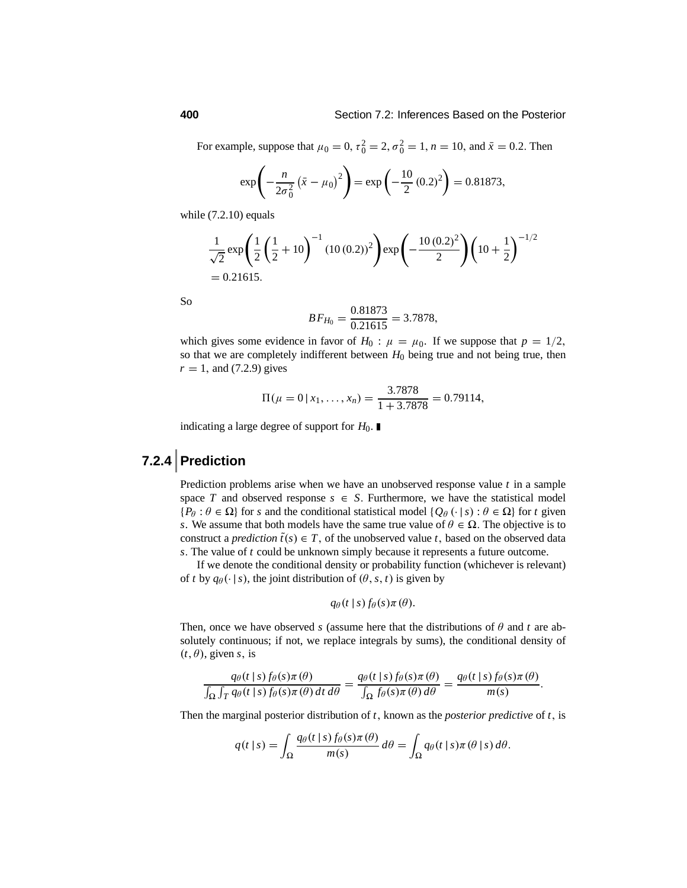For example, suppose that  $\mu_0 = 0$ ,  $\tau_0^2 = 2$ ,  $\sigma_0^2 = 1$ ,  $n = 10$ , and  $\bar{x} = 0.2$ . Then

$$
\exp\left(-\frac{n}{2\sigma_0^2} \left(\bar{x} - \mu_0\right)^2\right) = \exp\left(-\frac{10}{2} (0.2)^2\right) = 0.81873,
$$

while (7.2.10) equals

$$
\frac{1}{\sqrt{2}} \exp\left(\frac{1}{2}\left(\frac{1}{2}+10\right)^{-1}(10(0.2))^2\right) \exp\left(-\frac{10(0.2)^2}{2}\right) \left(10+\frac{1}{2}\right)^{-1/2}
$$
  
= 0.21615.

So

$$
BF_{H_0} = \frac{0.81873}{0.21615} = 3.7878,
$$

which gives some evidence in favor of  $H_0$ :  $\mu = \mu_0$ . If we suppose that  $p = 1/2$ , so that we are completely indifferent between  $H_0$  being true and not being true, then  $r = 1$ , and (7.2.9) gives

$$
\Pi(\mu = 0 \,|\, x_1, \ldots, x_n) = \frac{3.7878}{1 + 3.7878} = 0.79114,
$$

indicating a large degree of support for  $H_0$ .

### **7.2.4 Prediction**

Prediction problems arise when we have an unobserved response value *t* in a sample space *T* and observed response  $s \in S$ . Furthermore, we have the statistical model { $P_{\theta}$  :  $\theta \in \Omega$ } for *s* and the conditional statistical model { $Q_{\theta}$  (· |*s*) :  $\theta \in \Omega$ } for *t* given *s*. We assume that both models have the same true value of  $\theta \in \Omega$ . The objective is to construct a *prediction*  $\tilde{t}(s) \in T$ , of the unobserved value *t*, based on the observed data *s*. The value of *t* could be unknown simply because it represents a future outcome.

If we denote the conditional density or probability function (whichever is relevant) of *t* by  $q_{\theta}(\cdot | s)$ , the joint distribution of  $(\theta, s, t)$  is given by

$$
q_{\theta}(t \mid s) f_{\theta}(s) \pi(\theta).
$$

Then, once we have observed *s* (assume here that the distributions of  $\theta$  and *t* are absolutely continuous; if not, we replace integrals by sums), the conditional density of  $(t, \theta)$ , given *s*, is

$$
\frac{q_{\theta}(t \mid s) f_{\theta}(s) \pi(\theta)}{\int_{\Omega} \int_{T} q_{\theta}(t \mid s) f_{\theta}(s) \pi(\theta) dt d\theta} = \frac{q_{\theta}(t \mid s) f_{\theta}(s) \pi(\theta)}{\int_{\Omega} f_{\theta}(s) \pi(\theta) d\theta} = \frac{q_{\theta}(t \mid s) f_{\theta}(s) \pi(\theta)}{m(s)}.
$$

Then the marginal posterior distribution of *t*, known as the *posterior predictive* of *t*, is

$$
q(t \mid s) = \int_{\Omega} \frac{q_{\theta}(t \mid s) f_{\theta}(s) \pi(\theta)}{m(s)} d\theta = \int_{\Omega} q_{\theta}(t \mid s) \pi(\theta \mid s) d\theta.
$$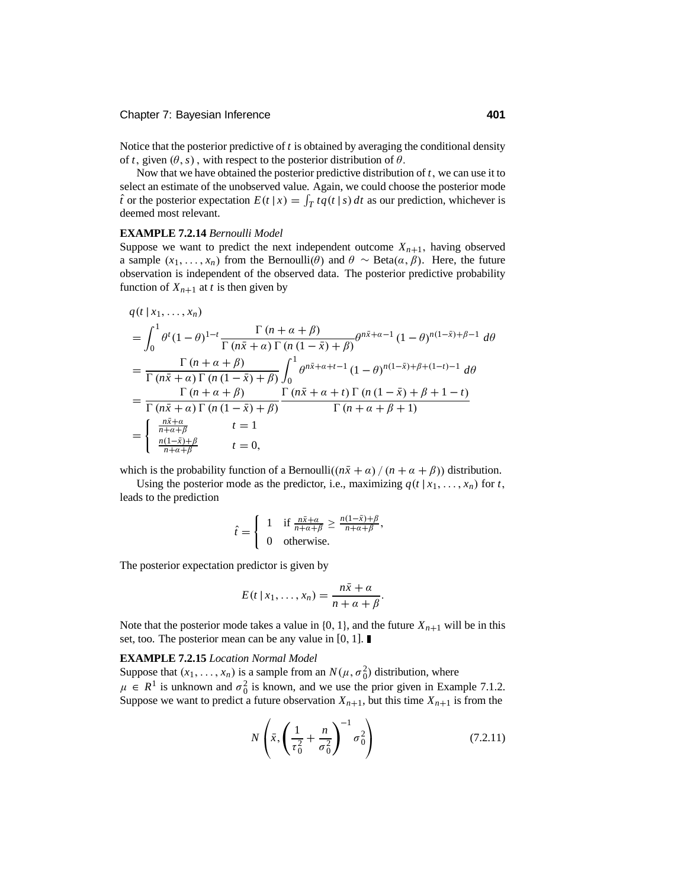Notice that the posterior predictive of *t* is obtained by averaging the conditional density of *t*, given  $(\theta, s)$ , with respect to the posterior distribution of  $\theta$ .

Now that we have obtained the posterior predictive distribution of *t*, we can use it to select an estimate of the unobserved value. Again, we could choose the posterior mode  $\hat{t}$  or the posterior expectation  $E(t | x) = \int_T t q(t | s) dt$  as our prediction, whichever is deemed most relevant.

### **EXAMPLE 7.2.14** *Bernoulli Model*

Suppose we want to predict the next independent outcome  $X_{n+1}$ , having observed a sample  $(x_1, \ldots, x_n)$  from the Bernoulli( $\theta$ ) and  $\theta \sim \text{Beta}(\alpha, \beta)$ . Here, the future observation is independent of the observed data. The posterior predictive probability function of  $X_{n+1}$  at *t* is then given by

$$
q(t \mid x_1, \ldots, x_n)
$$
\n
$$
= \int_0^1 \theta^t (1 - \theta)^{1-t} \frac{\Gamma(n + \alpha + \beta)}{\Gamma(n\bar{x} + \alpha) \Gamma(n(1 - \bar{x}) + \beta)} \theta^{n\bar{x} + \alpha - 1} (1 - \theta)^{n(1 - \bar{x}) + \beta - 1} d\theta
$$
\n
$$
= \frac{\Gamma(n + \alpha + \beta)}{\Gamma(n\bar{x} + \alpha) \Gamma(n(1 - \bar{x}) + \beta)} \int_0^1 \theta^{n\bar{x} + \alpha + t - 1} (1 - \theta)^{n(1 - \bar{x}) + \beta + (1 - t) - 1} d\theta
$$
\n
$$
= \frac{\Gamma(n + \alpha + \beta)}{\Gamma(n\bar{x} + \alpha) \Gamma(n(1 - \bar{x}) + \beta)} \frac{\Gamma(n\bar{x} + \alpha + t) \Gamma(n(1 - \bar{x}) + \beta + 1 - t)}{\Gamma(n + \alpha + \beta + 1)}
$$
\n
$$
= \begin{cases} \frac{n\bar{x} + \alpha}{n + \alpha + \beta} & t = 1 \\ \frac{n(1 - \bar{x}) + \beta}{n + \alpha + \beta} & t = 0, \end{cases}
$$

which is the probability function of a Bernoulli $((n\bar{x} + \alpha) / (n + \alpha + \beta))$  distribution.

Using the posterior mode as the predictor, i.e., maximizing  $q(t | x_1, \ldots, x_n)$  for *t*, leads to the prediction

$$
\hat{t} = \begin{cases} 1 & \text{if } \frac{n\bar{x} + a}{n + \alpha + \beta} \ge \frac{n(1 - \bar{x}) + \beta}{n + \alpha + \beta}, \\ 0 & \text{otherwise.} \end{cases}
$$

The posterior expectation predictor is given by

$$
E(t \mid x_1, \ldots, x_n) = \frac{n\bar{x} + \alpha}{n + \alpha + \beta}.
$$

Note that the posterior mode takes a value in  $\{0, 1\}$ , and the future  $X_{n+1}$  will be in this set, too. The posterior mean can be any value in  $[0, 1]$ .

### **EXAMPLE 7.2.15** *Location Normal Model*

Suppose that  $(x_1, \ldots, x_n)$  is a sample from an  $N(\mu, \sigma_0^2)$  distribution, where  $\mu \in R^1$  is unknown and  $\sigma_0^2$  is known, and we use the prior given in Example 7.1.2. Suppose we want to predict a future observation  $X_{n+1}$ , but this time  $X_{n+1}$  is from the

$$
N\left(\bar{x}, \left(\frac{1}{\tau_0^2} + \frac{n}{\sigma_0^2}\right)^{-1} \sigma_0^2\right) \tag{7.2.11}
$$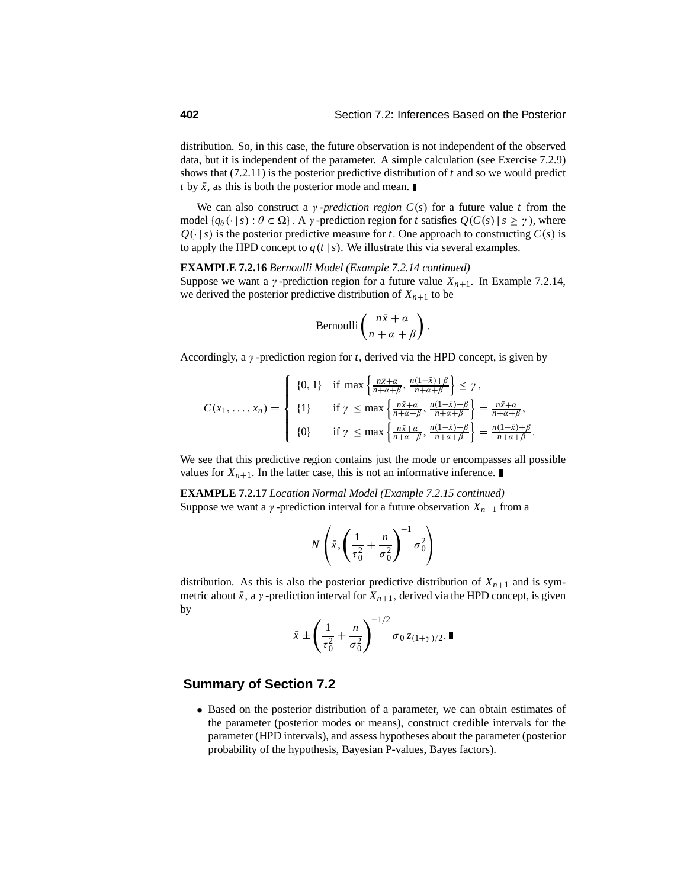distribution. So, in this case, the future observation is not independent of the observed data, but it is independent of the parameter. A simple calculation (see Exercise 7.2.9) shows that (7.2.11) is the posterior predictive distribution of *t* and so we would predict *t* by  $\bar{x}$ , as this is both the posterior mode and mean.

We can also construct a  $\gamma$ -prediction region  $C(s)$  for a future value *t* from the model  $\{q_{\theta}(\cdot | s) : \theta \in \Omega\}$ . A  $\gamma$ -prediction region for  $t$  satisfies  $Q(C(s) | s \geq \gamma)$ , where  $Q(\cdot | s)$  is the posterior predictive measure for *t*. One approach to constructing  $C(s)$  is to apply the HPD concept to  $q(t | s)$ . We illustrate this via several examples.

#### **EXAMPLE 7.2.16** *Bernoulli Model (Example 7.2.14 continued)*

Suppose we want a *γ*-prediction region for a future value  $X_{n+1}$ . In Example 7.2.14, we derived the posterior predictive distribution of  $X_{n+1}$  to be

Bernoulli 
$$
\left(\frac{n\bar{x} + \alpha}{n + \alpha + \beta}\right)
$$

.

Accordingly, a γ -prediction region for *t*, derived via the HPD concept, is given by

$$
C(x_1, \ldots, x_n) = \begin{cases} \n\{0, 1\} & \text{if } \max\left\{\frac{n\bar{x} + a}{n + \alpha + \beta}, \frac{n(1 - \bar{x}) + \beta}{n + \alpha + \beta}\right\} \leq \gamma, \\ \n\{1\} & \text{if } \gamma \leq \max\left\{\frac{n\bar{x} + a}{n + \alpha + \beta}, \frac{n(1 - \bar{x}) + \beta}{n + \alpha + \beta}\right\} = \frac{n\bar{x} + a}{n + \alpha + \beta}, \\ \n\{0\} & \text{if } \gamma \leq \max\left\{\frac{n\bar{x} + a}{n + \alpha + \beta}, \frac{n(1 - \bar{x}) + \beta}{n + \alpha + \beta}\right\} = \frac{n(1 - \bar{x}) + \beta}{n + \alpha + \beta}. \n\end{cases}
$$

We see that this predictive region contains just the mode or encompasses all possible values for  $X_{n+1}$ . In the latter case, this is not an informative inference.

**EXAMPLE 7.2.17** *Location Normal Model (Example 7.2.15 continued)* Suppose we want a  $\gamma$ -prediction interval for a future observation  $X_{n+1}$  from a

$$
N\left(\bar{x}, \left(\frac{1}{\tau_0^2} + \frac{n}{\sigma_0^2}\right)^{-1} \sigma_0^2\right)
$$

distribution. As this is also the posterior predictive distribution of  $X_{n+1}$  and is symmetric about  $\bar{x}$ , a  $\gamma$ -prediction interval for  $X_{n+1}$ , derived via the HPD concept, is given by  $1/2$ 

$$
\bar{x} \pm \left(\frac{1}{\tau_0^2} + \frac{n}{\sigma_0^2}\right)^{-1/2} \sigma_0 z_{(1+\gamma)/2}. \blacksquare
$$

### **Summary of Section 7.2**

• Based on the posterior distribution of a parameter, we can obtain estimates of the parameter (posterior modes or means), construct credible intervals for the parameter (HPD intervals), and assess hypotheses about the parameter (posterior probability of the hypothesis, Bayesian P-values, Bayes factors).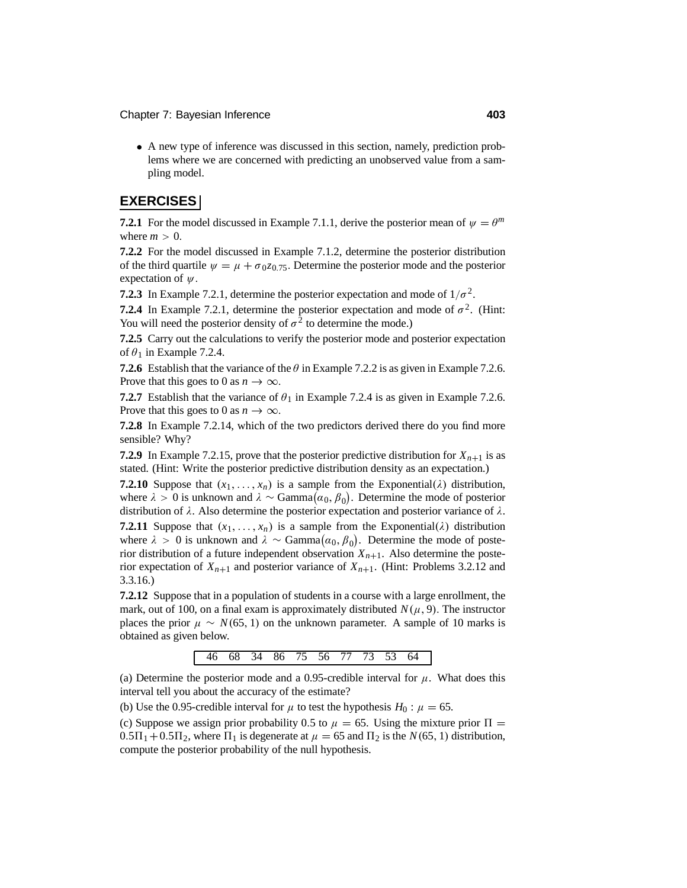Chapter 7: Bayesian Inference **403**

• A new type of inference was discussed in this section, namely, prediction problems where we are concerned with predicting an unobserved value from a sampling model.

### **EXERCISES**

**7.2.1** For the model discussed in Example 7.1.1, derive the posterior mean of  $\psi = \theta^m$ where  $m > 0$ .

**7.2.2** For the model discussed in Example 7.1.2, determine the posterior distribution of the third quartile  $\psi = \mu + \sigma_{0}z_{0.75}$ . Determine the posterior mode and the posterior expectation of  $\psi$ .

**7.2.3** In Example 7.2.1, determine the posterior expectation and mode of  $1/\sigma^2$ .

**7.2.4** In Example 7.2.1, determine the posterior expectation and mode of  $\sigma^2$ . (Hint: You will need the posterior density of  $\sigma^2$  to determine the mode.)

**7.2.5** Carry out the calculations to verify the posterior mode and posterior expectation of  $\theta_1$  in Example 7.2.4.

**7.2.6** Establish that the variance of the  $\theta$  in Example 7.2.2 is as given in Example 7.2.6. Prove that this goes to 0 as  $n \to \infty$ .

**7.2.7** Establish that the variance of  $\theta_1$  in Example 7.2.4 is as given in Example 7.2.6. Prove that this goes to 0 as  $n \to \infty$ .

**7.2.8** In Example 7.2.14, which of the two predictors derived there do you find more sensible? Why?

**7.2.9** In Example 7.2.15, prove that the posterior predictive distribution for  $X_{n+1}$  is as stated. (Hint: Write the posterior predictive distribution density as an expectation.)

**7.2.10** Suppose that  $(x_1, \ldots, x_n)$  is a sample from the Exponential( $\lambda$ ) distribution, where  $\lambda > 0$  is unknown and  $\lambda \sim \text{Gamma}(\alpha_0, \beta_0)$ . Determine the mode of posterior distribution of λ. Also determine the posterior expectation and posterior variance of λ.

**7.2.11** Suppose that  $(x_1, \ldots, x_n)$  is a sample from the Exponential( $\lambda$ ) distribution where  $\lambda > 0$  is unknown and  $\lambda \sim \text{Gamma}(\alpha_0, \beta_0)$ . Determine the mode of posterior distribution of a future independent observation  $X_{n+1}$ . Also determine the posterior expectation of  $X_{n+1}$  and posterior variance of  $X_{n+1}$ . (Hint: Problems 3.2.12 and 3.3.16.)

**7.2.12** Suppose that in a population of students in a course with a large enrollment, the mark, out of 100, on a final exam is approximately distributed  $N(\mu, 9)$ . The instructor places the prior  $\mu \sim N(65, 1)$  on the unknown parameter. A sample of 10 marks is obtained as given below.

| 46 68 34 86 75 56 77 73 53 64 |  |  |  |  |  |  |  |  |  |  |  |
|-------------------------------|--|--|--|--|--|--|--|--|--|--|--|
|-------------------------------|--|--|--|--|--|--|--|--|--|--|--|

(a) Determine the posterior mode and a 0.95-credible interval for  $\mu$ . What does this interval tell you about the accuracy of the estimate?

(b) Use the 0.95-credible interval for  $\mu$  to test the hypothesis  $H_0$ :  $\mu = 65$ .

(c) Suppose we assign prior probability 0.5 to  $\mu = 65$ . Using the mixture prior  $\Pi =$  $0.5\Pi_1 + 0.5\Pi_2$ , where  $\Pi_1$  is degenerate at  $\mu = 65$  and  $\Pi_2$  is the *N*(65, 1) distribution, compute the posterior probability of the null hypothesis.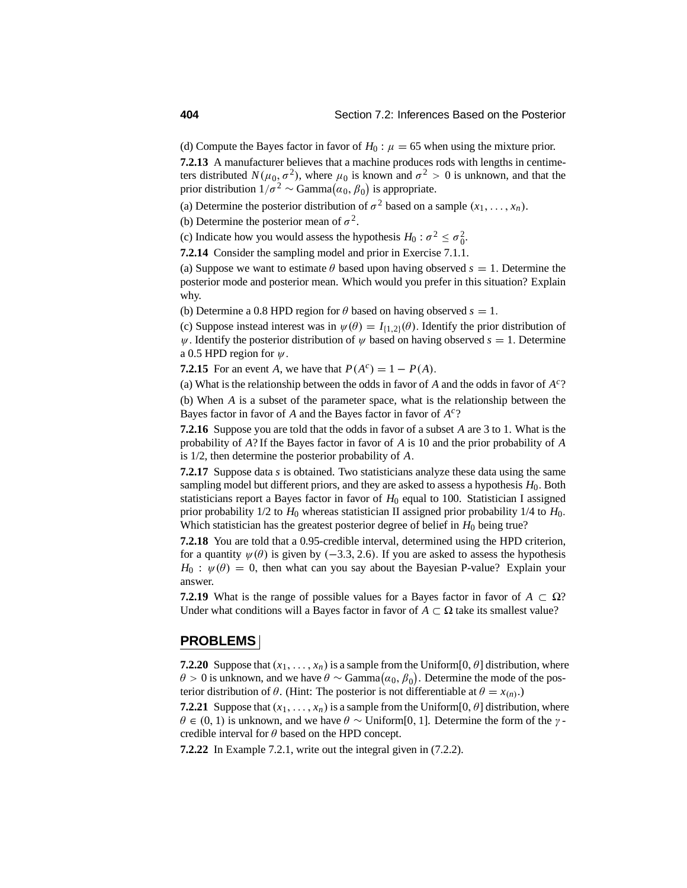(d) Compute the Bayes factor in favor of  $H_0$ :  $\mu = 65$  when using the mixture prior.

**7.2.13** A manufacturer believes that a machine produces rods with lengths in centimeters distributed  $N(\mu_0, \sigma^2)$ , where  $\mu_0$  is known and  $\sigma^2 > 0$  is unknown, and that the prior distribution  $1/\sigma^2 \sim \text{Gamma}(\alpha_0, \beta_0)$  is appropriate.

(a) Determine the posterior distribution of  $\sigma^2$  based on a sample  $(x_1, \ldots, x_n)$ .

(b) Determine the posterior mean of  $\sigma^2$ .

(c) Indicate how you would assess the hypothesis  $H_0: \sigma^2 \leq \sigma_0^2$ .

**7.2.14** Consider the sampling model and prior in Exercise 7.1.1.

(a) Suppose we want to estimate  $\theta$  based upon having observed  $s = 1$ . Determine the posterior mode and posterior mean. Which would you prefer in this situation? Explain why.

(b) Determine a 0.8 HPD region for  $\theta$  based on having observed  $s = 1$ .

(c) Suppose instead interest was in  $\psi(\theta) = I_{\{1,2\}}(\theta)$ . Identify the prior distribution of  $\psi$ . Identify the posterior distribution of  $\psi$  based on having observed  $s = 1$ . Determine a 0.5 HPD region for  $\psi$ .

**7.2.15** For an event *A*, we have that  $P(A^c) = 1 - P(A)$ .

(a) What is the relationship between the odds in favor of *A* and the odds in favor of *Ac*? (b) When *A* is a subset of the parameter space, what is the relationship between the Bayes factor in favor of *A* and the Bayes factor in favor of *Ac*?

**7.2.16** Suppose you are told that the odds in favor of a subset *A* are 3 to 1. What is the probability of *A*? If the Bayes factor in favor of *A* is 10 and the prior probability of *A* is 1/2, then determine the posterior probability of *A*.

**7.2.17** Suppose data *s* is obtained. Two statisticians analyze these data using the same sampling model but different priors, and they are asked to assess a hypothesis  $H_0$ . Both statisticians report a Bayes factor in favor of *H*<sup>0</sup> equal to 100. Statistician I assigned prior probability  $1/2$  to  $H_0$  whereas statistician II assigned prior probability  $1/4$  to  $H_0$ . Which statistician has the greatest posterior degree of belief in  $H_0$  being true?

**7.2.18** You are told that a 0.95-credible interval, determined using the HPD criterion, for a quantity  $\psi(\theta)$  is given by (−3.3, 2.6). If you are asked to assess the hypothesis  $H_0$ :  $\psi(\theta) = 0$ , then what can you say about the Bayesian P-value? Explain your answer.

**7.2.19** What is the range of possible values for a Bayes factor in favor of  $A \subset \Omega$ ? Under what conditions will a Bayes factor in favor of  $A \subset \Omega$  take its smallest value?

### **PROBLEMS**

**7.2.20** Suppose that  $(x_1, \ldots, x_n)$  is a sample from the Uniform[0,  $\theta$ ] distribution, where  $\theta > 0$  is unknown, and we have  $\theta \sim \text{Gamma}(\alpha_0, \beta_0)$ . Determine the mode of the posterior distribution of  $\theta$ . (Hint: The posterior is not differentiable at  $\theta = x_{(n)}$ .)

**7.2.21** Suppose that  $(x_1, \ldots, x_n)$  is a sample from the Uniform[0,  $\theta$ ] distribution, where  $\theta \in (0, 1)$  is unknown, and we have  $\theta \sim$  Uniform[0, 1]. Determine the form of the *γ* credible interval for  $\theta$  based on the HPD concept.

**7.2.22** In Example 7.2.1, write out the integral given in (7.2.2).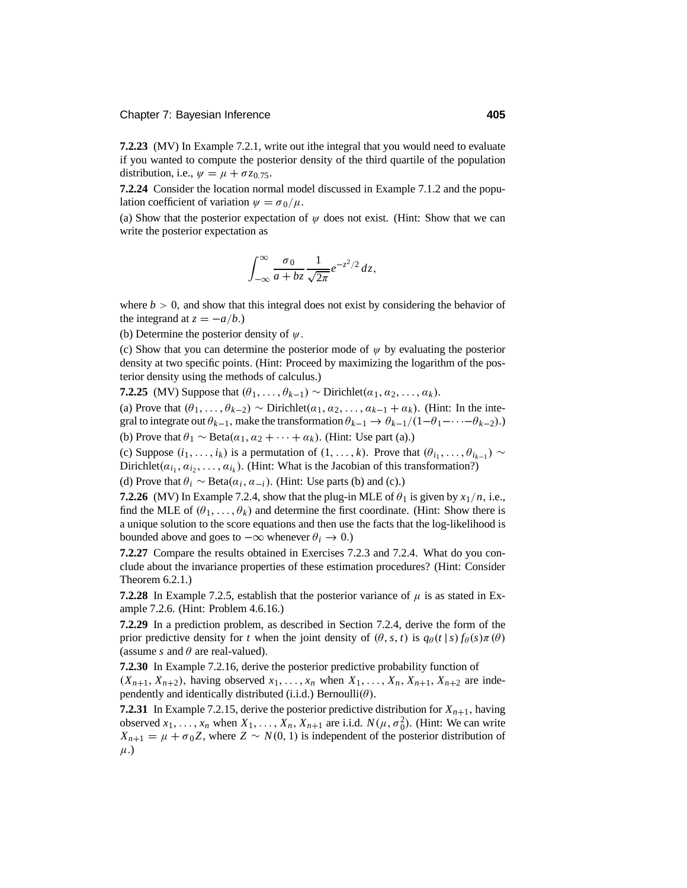### Chapter 7: Bayesian Inference **405**

**7.2.23** (MV) In Example 7.2.1, write out ithe integral that you would need to evaluate if you wanted to compute the posterior density of the third quartile of the population distribution, i.e.,  $\psi = \mu + \sigma z_{0.75}$ .

**7.2.24** Consider the location normal model discussed in Example 7.1.2 and the population coefficient of variation  $\psi = \sigma_0/\mu$ .

(a) Show that the posterior expectation of  $\psi$  does not exist. (Hint: Show that we can write the posterior expectation as

$$
\int_{-\infty}^{\infty} \frac{\sigma_0}{a+bz} \frac{1}{\sqrt{2\pi}} e^{-z^2/2} dz,
$$

where  $b > 0$ , and show that this integral does not exist by considering the behavior of the integrand at  $z = -a/b$ .)

(b) Determine the posterior density of  $\psi$ .

(c) Show that you can determine the posterior mode of  $\psi$  by evaluating the posterior density at two specific points. (Hint: Proceed by maximizing the logarithm of the posterior density using the methods of calculus.)

**7.2.25** (MV) Suppose that  $(\theta_1, \ldots, \theta_{k-1}) \sim$  Dirichlet $(\alpha_1, \alpha_2, \ldots, \alpha_k)$ .

(a) Prove that  $(\theta_1,\ldots,\theta_{k-2}) \sim$  Dirichlet $(\alpha_1,\alpha_2,\ldots,\alpha_{k-1}+\alpha_k)$ . (Hint: In the integral to integrate out  $\theta_{k-1}$ , make the transformation  $\theta_{k-1} \to \theta_{k-1}/(1-\theta_1-\cdots-\theta_{k-2})$ .)

(b) Prove that  $\theta_1 \sim \text{Beta}(\alpha_1, \alpha_2 + \cdots + \alpha_k)$ . (Hint: Use part (a).)

(c) Suppose  $(i_1, \ldots, i_k)$  is a permutation of  $(1, \ldots, k)$ . Prove that  $(\theta_{i_1}, \ldots, \theta_{i_{k-1}}) \sim$ Dirichlet( $\alpha_{i_1}, \alpha_{i_2}, \ldots, \alpha_{i_k}$ ). (Hint: What is the Jacobian of this transformation?)

(d) Prove that  $\theta_i \sim \text{Beta}(\alpha_i, \alpha_{-i})$ . (Hint: Use parts (b) and (c).)

**7.2.26** (MV) In Example 7.2.4, show that the plug-in MLE of  $\theta_1$  is given by  $x_1/n$ , i.e., find the MLE of  $(\theta_1, \ldots, \theta_k)$  and determine the first coordinate. (Hint: Show there is a unique solution to the score equations and then use the facts that the log-likelihood is bounded above and goes to  $-\infty$  whenever  $\theta_i \to 0$ .)

**7.2.27** Compare the results obtained in Exercises 7.2.3 and 7.2.4. What do you conclude about the invariance properties of these estimation procedures? (Hint: Consider Theorem 6.2.1.)

**7.2.28** In Example 7.2.5, establish that the posterior variance of  $\mu$  is as stated in Example 7.2.6. (Hint: Problem 4.6.16.)

**7.2.29** In a prediction problem, as described in Section 7.2.4, derive the form of the prior predictive density for *t* when the joint density of  $(\theta, s, t)$  is  $q_{\theta}(t | s) f_{\theta}(s) \pi(\theta)$ (assume *s* and  $\theta$  are real-valued).

**7.2.30** In Example 7.2.16, derive the posterior predictive probability function of

 $(X_{n+1}, X_{n+2})$ , having observed  $x_1, \ldots, x_n$  when  $X_1, \ldots, X_n, X_{n+1}, X_{n+2}$  are independently and identically distributed (i.i.d.) Bernoulli $(\theta)$ .

**7.2.31** In Example 7.2.15, derive the posterior predictive distribution for  $X_{n+1}$ , having observed  $x_1, \ldots, x_n$  when  $X_1, \ldots, X_n, X_{n+1}$  are i.i.d.  $N(\mu, \sigma_0^2)$ . (Hint: We can write  $X_{n+1} = \mu + \sigma_0 Z$ , where  $Z \sim N(0, 1)$  is independent of the posterior distribution of  $\mu$ .)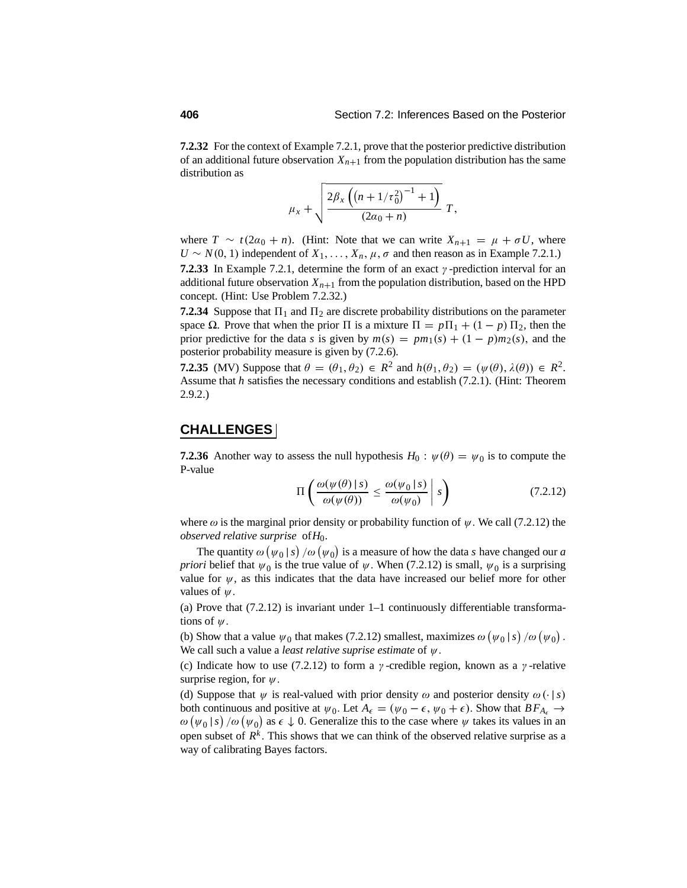**7.2.32** For the context of Example 7.2.1, prove that the posterior predictive distribution of an additional future observation  $X_{n+1}$  from the population distribution has the same distribution as

$$
\mu_x + \sqrt{\frac{2\beta_x \left( (n + 1/\tau_0^2)^{-1} + 1 \right)}{(2\alpha_0 + n)}} T,
$$

where  $T \sim t(2\alpha_0 + n)$ . (Hint: Note that we can write  $X_{n+1} = \mu + \sigma U$ , where  $U \sim N(0, 1)$  independent of  $X_1, \ldots, X_n, \mu, \sigma$  and then reason as in Example 7.2.1.) **7.2.33** In Example 7.2.1, determine the form of an exact γ -prediction interval for an additional future observation  $X_{n+1}$  from the population distribution, based on the HPD concept. (Hint: Use Problem 7.2.32.)

**7.2.34** Suppose that  $\Pi_1$  and  $\Pi_2$  are discrete probability distributions on the parameter space  $\Omega$ . Prove that when the prior  $\Pi$  is a mixture  $\Pi = p\Pi_1 + (1 - p)\Pi_2$ , then the prior predictive for the data *s* is given by  $m(s) = pm_1(s) + (1 - p)m_2(s)$ , and the posterior probability measure is given by (7.2.6).

**7.2.35** (MV) Suppose that  $\theta = (\theta_1, \theta_2) \in R^2$  and  $h(\theta_1, \theta_2) = (\psi(\theta), \lambda(\theta)) \in R^2$ . Assume that *h* satisfies the necessary conditions and establish (7.2.1). (Hint: Theorem 2.9.2.)

### **CHALLENGES**

**7.2.36** Another way to assess the null hypothesis  $H_0$ :  $\psi(\theta) = \psi_0$  is to compute the P-value

$$
\Pi\left(\frac{\omega(\psi(\theta)\,|\,s)}{\omega(\psi(\theta))} \le \frac{\omega(\psi_0\,|\,s)}{\omega(\psi_0)}\,\bigg|\,s\right) \tag{7.2.12}
$$

where  $\omega$  is the marginal prior density or probability function of  $\psi$ . We call (7.2.12) the *observed relative surprise* of*H*0.

The quantity  $\omega(\psi_0 | s) / \omega(\psi_0)$  is a measure of how the data *s* have changed our *a priori* belief that  $\psi_0$  is the true value of  $\psi$ . When (7.2.12) is small,  $\psi_0$  is a surprising value for  $\psi$ , as this indicates that the data have increased our belief more for other values of  $\psi$ .

(a) Prove that (7.2.12) is invariant under 1–1 continuously differentiable transformations of  $\psi$ .

(b) Show that a value  $\psi_0$  that makes (7.2.12) smallest, maximizes  $\omega(\psi_0|s)/\omega(\psi_0)$ . We call such a value a *least relative suprise estimate* of ψ.

(c) Indicate how to use (7.2.12) to form a  $\gamma$ -credible region, known as a  $\gamma$ -relative surprise region, for  $\psi$ .

(d) Suppose that  $\psi$  is real-valued with prior density  $\omega$  and posterior density  $\omega(\cdot | s)$ both continuous and positive at  $\psi_0$ . Let  $A_\epsilon = (\psi_0 - \epsilon, \psi_0 + \epsilon)$ . Show that  $BF_{A_\epsilon} \to$  $\omega(\psi_0|s)/\omega(\psi_0)$  as  $\epsilon \downarrow 0$ . Generalize this to the case where  $\psi$  takes its values in an open subset of  $R^k$ . This shows that we can think of the observed relative surprise as a way of calibrating Bayes factors.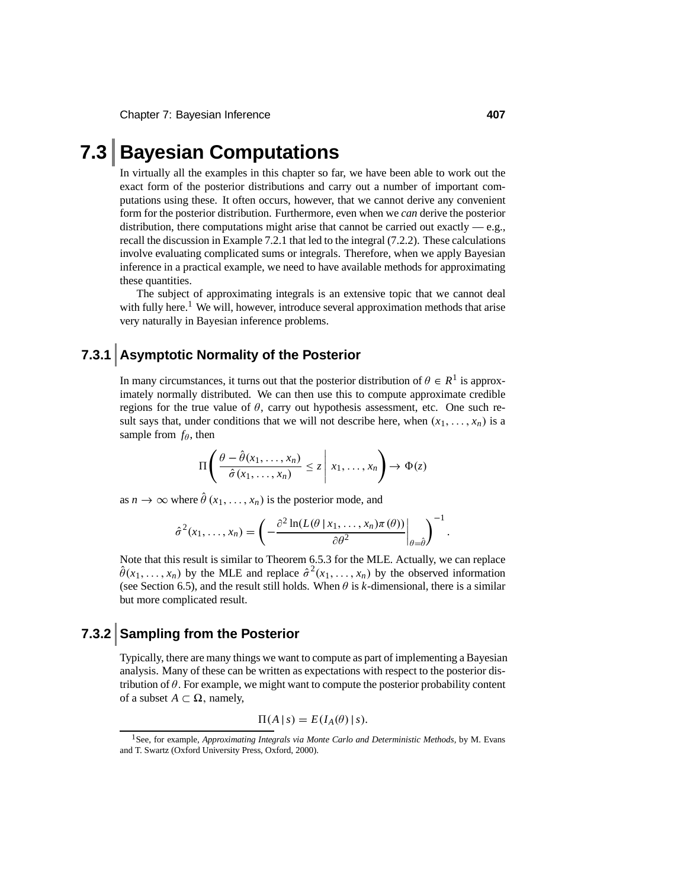## **7.3 Bayesian Computations**

In virtually all the examples in this chapter so far, we have been able to work out the exact form of the posterior distributions and carry out a number of important computations using these. It often occurs, however, that we cannot derive any convenient form for the posterior distribution. Furthermore, even when we *can* derive the posterior distribution, there computations might arise that cannot be carried out exactly  $-e.g.,$ recall the discussion in Example 7.2.1 that led to the integral (7.2.2). These calculations involve evaluating complicated sums or integrals. Therefore, when we apply Bayesian inference in a practical example, we need to have available methods for approximating these quantities.

The subject of approximating integrals is an extensive topic that we cannot deal with fully here.<sup>1</sup> We will, however, introduce several approximation methods that arise very naturally in Bayesian inference problems.

### **7.3.1 Asymptotic Normality of the Posterior**

In many circumstances, it turns out that the posterior distribution of  $\theta \in R<sup>1</sup>$  is approximately normally distributed. We can then use this to compute approximate credible regions for the true value of  $\theta$ , carry out hypothesis assessment, etc. One such result says that, under conditions that we will not describe here, when  $(x_1, \ldots, x_n)$  is a sample from  $f_{\theta}$ , then

$$
\Pi\left(\frac{\theta-\hat{\theta}(x_1,\ldots,x_n)}{\hat{\sigma}(x_1,\ldots,x_n)}\leq z\middle| x_1,\ldots,x_n\right)\to \Phi(z)
$$

as  $n \to \infty$  where  $\hat{\theta}(x_1, \ldots, x_n)$  is the posterior mode, and

$$
\hat{\sigma}^2(x_1,\ldots,x_n) = \left(-\frac{\partial^2 \ln(L(\theta \mid x_1,\ldots,x_n)\pi(\theta))}{\partial \theta^2}\bigg|_{\theta=\hat{\theta}}\right)^{-1}
$$

Note that this result is similar to Theorem 6.5.3 for the MLE. Actually, we can replace  $\hat{\theta}(x_1, \ldots, x_n)$  by the MLE and replace  $\hat{\sigma}^2(x_1, \ldots, x_n)$  by the observed information (see Section 6.5), and the result still holds. When  $\theta$  is *k*-dimensional, there is a similar but more complicated result.

### **7.3.2 Sampling from the Posterior**

Typically, there are many things we want to compute as part of implementing a Bayesian analysis. Many of these can be written as expectations with respect to the posterior distribution of  $\theta$ . For example, we might want to compute the posterior probability content of a subset  $A \subset \Omega$ , namely,

 $\Pi(A \mid s) = E(I_A(\theta) \mid s).$ 

.

<sup>1</sup>See, for example, *Approximating Integrals via Monte Carlo and Deterministic Methods,* by M. Evans and T. Swartz (Oxford University Press, Oxford, 2000).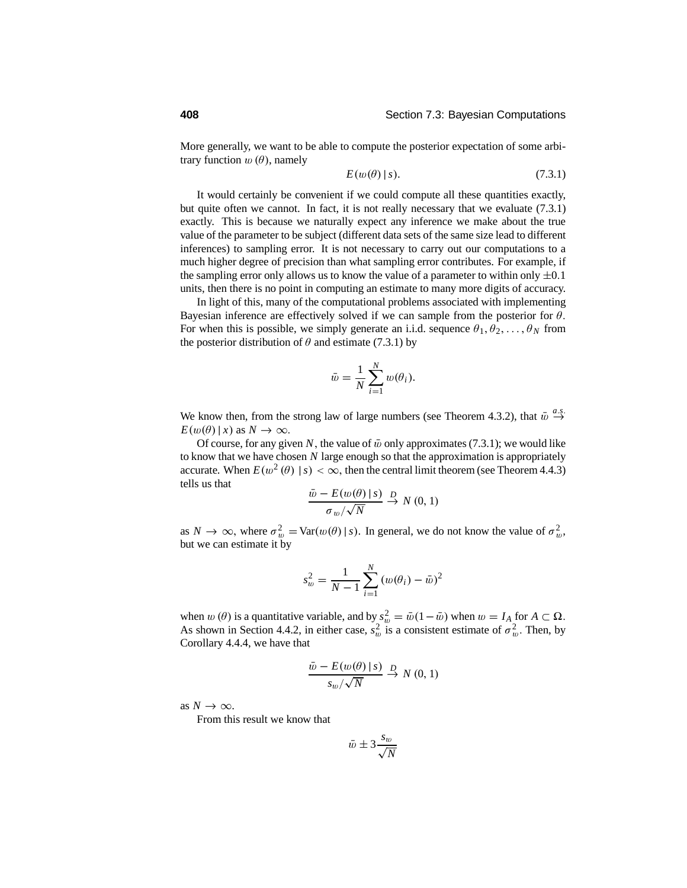More generally, we want to be able to compute the posterior expectation of some arbitrary function  $w(\theta)$ , namely

$$
E(w(\theta) \mid s). \tag{7.3.1}
$$

It would certainly be convenient if we could compute all these quantities exactly, but quite often we cannot. In fact, it is not really necessary that we evaluate (7.3.1) exactly. This is because we naturally expect any inference we make about the true value of the parameter to be subject (different data sets of the same size lead to different inferences) to sampling error. It is not necessary to carry out our computations to a much higher degree of precision than what sampling error contributes. For example, if the sampling error only allows us to know the value of a parameter to within only  $\pm 0.1$ units, then there is no point in computing an estimate to many more digits of accuracy.

In light of this, many of the computational problems associated with implementing Bayesian inference are effectively solved if we can sample from the posterior for  $\theta$ . For when this is possible, we simply generate an i.i.d. sequence  $\theta_1, \theta_2, \ldots, \theta_N$  from the posterior distribution of  $\theta$  and estimate (7.3.1) by

$$
\bar{w} = \frac{1}{N} \sum_{i=1}^{N} w(\theta_i).
$$

We know then, from the strong law of large numbers (see Theorem 4.3.2), that  $\bar{\omega} \stackrel{a.s.}{\rightarrow}$  $E(w(\theta) | x)$  as  $N \to \infty$ .

Of course, for any given N, the value of  $\bar{w}$  only approximates (7.3.1); we would like to know that we have chosen *N* large enough so that the approximation is appropriately accurate. When  $E(w^2(\theta) | s) < \infty$ , then the central limit theorem (see Theorem 4.4.3) tells us that

$$
\frac{\bar{w} - E(w(\theta) \mid s)}{\sigma_w / \sqrt{N}} \stackrel{D}{\to} N(0, 1)
$$

as  $N \to \infty$ , where  $\sigma_w^2 = \text{Var}(w(\theta) | s)$ . In general, we do not know the value of  $\sigma_w^2$ , but we can estimate it by

$$
s_w^2 = \frac{1}{N-1} \sum_{i=1}^{N} (w(\theta_i) - \bar{w})^2
$$

when  $w(\theta)$  is a quantitative variable, and by  $s_w^2 = \bar{w}(1 - \bar{w})$  when  $w = I_A$  for  $A \subset \Omega$ .<br>As shown in Section 4.4.2, in either case,  $s_w^2$  is a consistent estimate of  $\sigma_w^2$ . Then, by Corollary 4.4.4, we have that

$$
\frac{\bar{w} - E(w(\theta) \mid s)}{s_w / \sqrt{N}} \stackrel{D}{\to} N(0, 1)
$$

as  $N \to \infty$ .

From this result we know that

$$
\bar{w} \pm 3\frac{s_w}{\sqrt{N}}
$$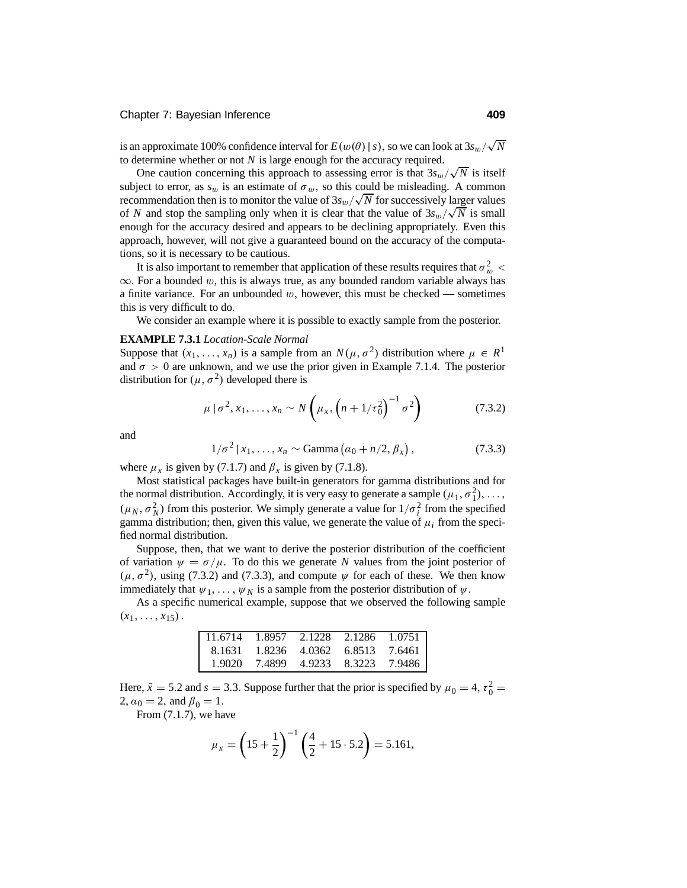is an approximate 100% confidence interval for  $E(w(\theta) | s)$ , so we can look at  $3s_w/\sqrt{N}$ to determine whether or not *N* is large enough for the accuracy required.

One caution concerning this approach to assessing error is that  $3s_w/\sqrt{N}$  is itself subject to error, as  $s_w$  is an estimate of  $\sigma_w$ , so this could be misleading. A common recommendation then is to monitor the value of  $3s_w/\sqrt{N}$  for successively larger values of *N* and stop the sampling only when it is clear that the value of  $3s_w/\sqrt{N}$  is small enough for the accuracy desired and appears to be declining appropriately. Even this approach, however, will not give a guaranteed bound on the accuracy of the computations, so it is necessary to be cautious.

It is also important to remember that application of these results requires that  $\sigma_w^2 <$  $\infty$ . For a bounded w, this is always true, as any bounded random variable always has a finite variance. For an unbounded  $w$ , however, this must be checked — sometimes this is very difficult to do.

We consider an example where it is possible to exactly sample from the posterior.

### **EXAMPLE 7.3.1** *Location-Scale Normal*

Suppose that  $(x_1, \ldots, x_n)$  is a sample from an  $N(\mu, \sigma^2)$  distribution where  $\mu \in R^1$ and  $\sigma > 0$  are unknown, and we use the prior given in Example 7.1.4. The posterior distribution for  $(\mu, \sigma^2)$  developed there is

$$
\mu | \sigma^2, x_1, ..., x_n \sim N\left(\mu_x, \left(n + 1/\tau_0^2\right)^{-1} \sigma^2\right)
$$
\n(7.3.2)

and

$$
1/\sigma^2 | x_1, \dots, x_n \sim \text{Gamma}\left(\alpha_0 + n/2, \beta_x\right),\tag{7.3.3}
$$

where  $\mu_x$  is given by (7.1.7) and  $\beta_x$  is given by (7.1.8).

Most statistical packages have built-in generators for gamma distributions and for the normal distribution. Accordingly, it is very easy to generate a sample  $(\mu_1, \sigma_1^2), \ldots$ ,  $(\mu_N, \sigma_N^2)$  from this posterior. We simply generate a value for  $1/\sigma_i^2$  from the specified gamma distribution; then, given this value, we generate the value of  $\mu_i$  from the specified normal distribution.

Suppose, then, that we want to derive the posterior distribution of the coefficient of variation  $\psi = \sigma/\mu$ . To do this we generate N values from the joint posterior of  $(\mu, \sigma^2)$ , using (7.3.2) and (7.3.3), and compute  $\psi$  for each of these. We then know immediately that  $\psi_1, \ldots, \psi_N$  is a sample from the posterior distribution of  $\psi$ .

As a specific numerical example, suppose that we observed the following sample  $(x_1, \ldots, x_{15})$ .

| $\begin{bmatrix} 11.6714 & 1.8957 & 2.1228 & 2.1286 & 1.0751 \end{bmatrix}$ |  |                                        |
|-----------------------------------------------------------------------------|--|----------------------------------------|
|                                                                             |  | 8.1631  1.8236  4.0362  6.8513  7.6461 |
|                                                                             |  | 1.9020 7.4899 4.9233 8.3223 7.9486     |

Here,  $\bar{x} = 5.2$  and  $s = 3.3$ . Suppose further that the prior is specified by  $\mu_0 = 4$ ,  $\tau_0^2 =$ 2,  $\alpha_0 = 2$ , and  $\beta_0 = 1$ .

From  $(7.1.7)$ , we have

$$
\mu_x = \left(15 + \frac{1}{2}\right)^{-1} \left(\frac{4}{2} + 15 \cdot 5.2\right) = 5.161,
$$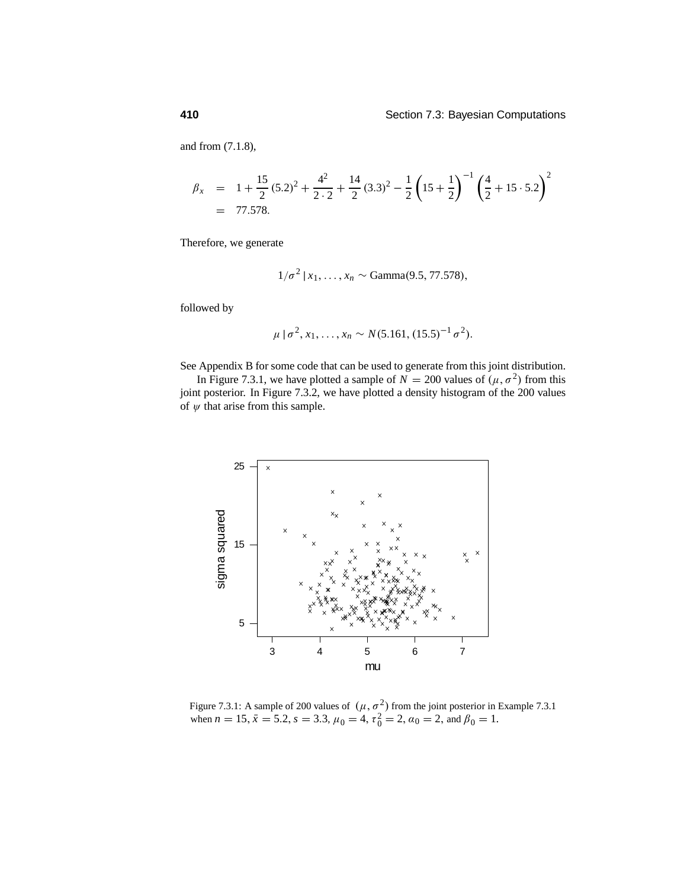and from (7.1.8),

$$
\beta_x = 1 + \frac{15}{2} (5.2)^2 + \frac{4^2}{2 \cdot 2} + \frac{14}{2} (3.3)^2 - \frac{1}{2} \left( 15 + \frac{1}{2} \right)^{-1} \left( \frac{4}{2} + 15 \cdot 5.2 \right)^2
$$
  
= 77.578.

Therefore, we generate

$$
1/\sigma^2 | x_1, \ldots, x_n \sim \text{Gamma}(9.5, 77.578),
$$

followed by

$$
\mu \mid \sigma^2, x_1, \ldots, x_n \sim N(5.161, (15.5)^{-1} \sigma^2).
$$

See Appendix B for some code that can be used to generate from this joint distribution.

In Figure 7.3.1, we have plotted a sample of  $N = 200$  values of  $(\mu, \sigma^2)$  from this joint posterior. In Figure 7.3.2, we have plotted a density histogram of the 200 values of  $\psi$  that arise from this sample.



Figure 7.3.1: A sample of 200 values of  $(\mu, \sigma^2)$  from the joint posterior in Example 7.3.1 when  $n = 15$ ,  $\bar{x} = 5.2$ ,  $s = 3.3$ ,  $\mu_0 = 4$ ,  $\tau_0^2 = 2$ ,  $\alpha_0 = 2$ , and  $\beta_0 = 1$ .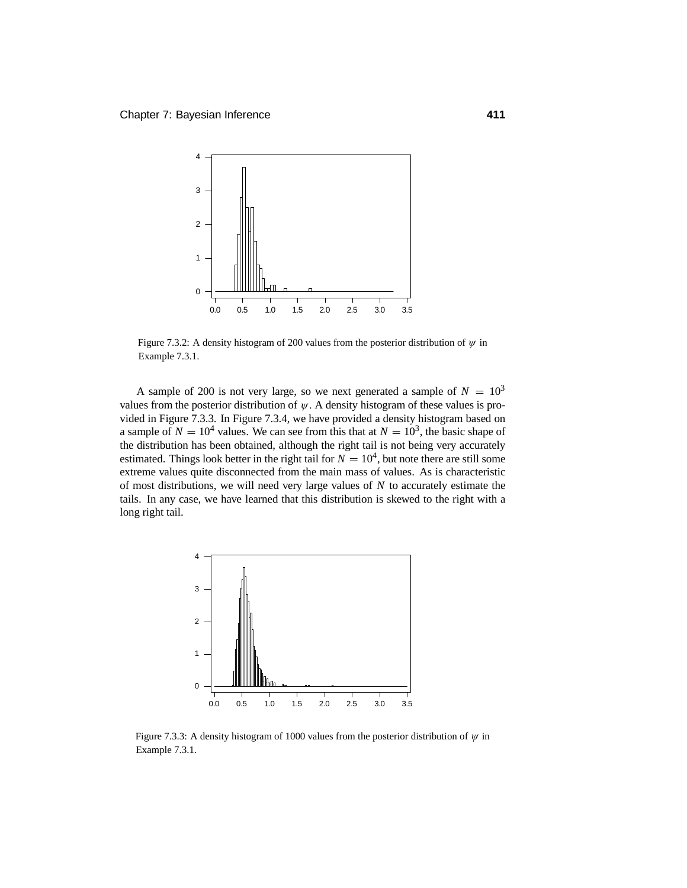

Figure 7.3.2: A density histogram of 200 values from the posterior distribution of  $\psi$  in Example 7.3.1.

A sample of 200 is not very large, so we next generated a sample of  $N = 10^3$ values from the posterior distribution of  $\psi$ . A density histogram of these values is provided in Figure 7.3.3. In Figure 7.3.4, we have provided a density histogram based on a sample of  $N = 10^4$  values. We can see from this that at  $N = 10^3$ , the basic shape of the distribution has been obtained, although the right tail is not being very accurately estimated. Things look better in the right tail for  $N = 10<sup>4</sup>$ , but note there are still some extreme values quite disconnected from the main mass of values. As is characteristic of most distributions, we will need very large values of *N* to accurately estimate the tails. In any case, we have learned that this distribution is skewed to the right with a long right tail.



Figure 7.3.3: A density histogram of 1000 values from the posterior distribution of  $\psi$  in Example 7.3.1.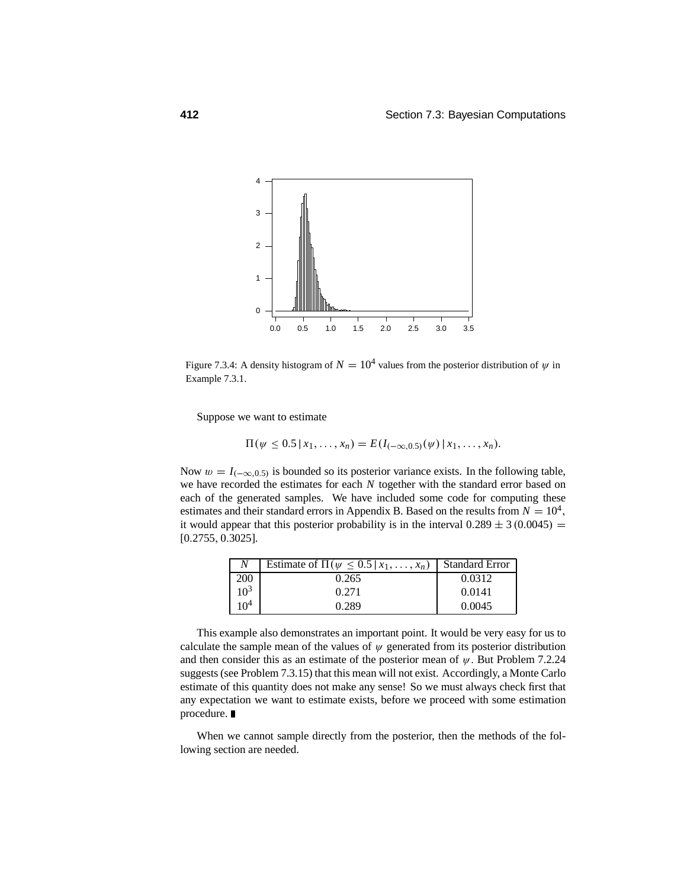

Figure 7.3.4: A density histogram of  $N = 10^4$  values from the posterior distribution of  $\psi$  in Example 7.3.1.

Suppose we want to estimate

$$
\Pi(\psi \leq 0.5 \,|\, x_1, \ldots, x_n) = E(I_{(-\infty, 0.5)}(\psi) \,|\, x_1, \ldots, x_n).
$$

Now  $w = I_{(-\infty,0.5)}$  is bounded so its posterior variance exists. In the following table, we have recorded the estimates for each *N* together with the standard error based on each of the generated samples. We have included some code for computing these estimates and their standard errors in Appendix B. Based on the results from  $N = 10^4$ , it would appear that this posterior probability is in the interval  $0.289 \pm 3(0.0045)$  = [0.2755, 0.3025].

|                 | Estimate of $\Pi(\psi \leq 0.5   x_1, \ldots, x_n)$ | <b>Standard Error</b> |
|-----------------|-----------------------------------------------------|-----------------------|
| 200             | 0.265                                               | 0.0312                |
| $10^3$          | 0.271                                               | 0.0141                |
| 10 <sup>4</sup> | 0.289                                               | 0.0045                |

This example also demonstrates an important point. It would be very easy for us to calculate the sample mean of the values of  $\psi$  generated from its posterior distribution and then consider this as an estimate of the posterior mean of  $\psi$ . But Problem 7.2.24 suggests (see Problem 7.3.15) that this mean will not exist. Accordingly, a Monte Carlo estimate of this quantity does not make any sense! So we must always check first that any expectation we want to estimate exists, before we proceed with some estimation procedure.

When we cannot sample directly from the posterior, then the methods of the following section are needed.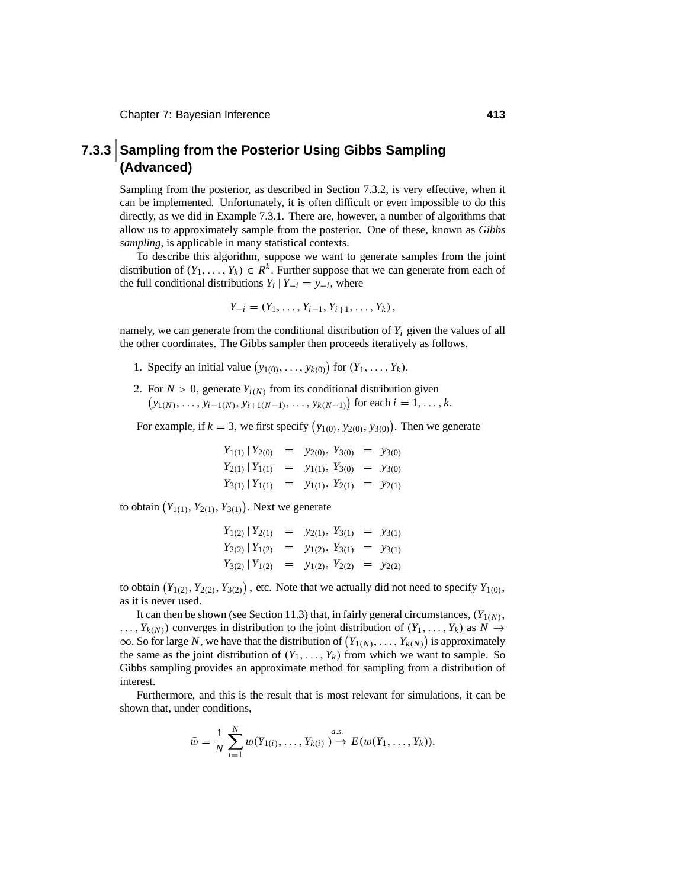### **7.3.3 Sampling from the Posterior Using Gibbs Sampling (Advanced)**

Sampling from the posterior, as described in Section 7.3.2, is very effective, when it can be implemented. Unfortunately, it is often difficult or even impossible to do this directly, as we did in Example 7.3.1. There are, however, a number of algorithms that allow us to approximately sample from the posterior. One of these, known as *Gibbs sampling*, is applicable in many statistical contexts.

To describe this algorithm, suppose we want to generate samples from the joint distribution of  $(Y_1, \ldots, Y_k) \in \mathbb{R}^k$ . Further suppose that we can generate from each of the full conditional distributions  $Y_i \mid Y_{-i} = y_{-i}$ , where

$$
Y_{-i} = (Y_1, \ldots, Y_{i-1}, Y_{i+1}, \ldots, Y_k),
$$

namely, we can generate from the conditional distribution of  $Y_i$  given the values of all the other coordinates. The Gibbs sampler then proceeds iteratively as follows.

- 1. Specify an initial value  $(y_{1(0)},..., y_{k(0)})$  for  $(Y_1,..., Y_k)$ .
- 2. For  $N > 0$ , generate  $Y_i(N)$  from its conditional distribution given  $(y_{1(N)}, \ldots, y_{i-1(N)}, y_{i+1(N-1)}, \ldots, y_{k(N-1)})$  for each  $i = 1, \ldots, k$ .

For example, if  $k = 3$ , we first specify  $(y_{1(0)}, y_{2(0)}, y_{3(0)})$ . Then we generate

$$
Y_{1(1)} | Y_{2(0)} = y_{2(0)}, Y_{3(0)} = y_{3(0)}
$$
  
\n
$$
Y_{2(1)} | Y_{1(1)} = y_{1(1)}, Y_{3(0)} = y_{3(0)}
$$
  
\n
$$
Y_{3(1)} | Y_{1(1)} = y_{1(1)}, Y_{2(1)} = y_{2(1)}
$$

to obtain  $(Y_{1(1)}, Y_{2(1)}, Y_{3(1)})$ . Next we generate

$$
Y_{1(2)} | Y_{2(1)} = y_{2(1)}, Y_{3(1)} = y_{3(1)}
$$
  
\n
$$
Y_{2(2)} | Y_{1(2)} = y_{1(2)}, Y_{3(1)} = y_{3(1)}
$$
  
\n
$$
Y_{3(2)} | Y_{1(2)} = y_{1(2)}, Y_{2(2)} = y_{2(2)}
$$

to obtain  $(Y_{1(2)}, Y_{2(2)}, Y_{3(2)})$ , etc. Note that we actually did not need to specify  $Y_{1(0)}$ , as it is never used.

It can then be shown (see Section 11.3) that, in fairly general circumstances,  $(Y_{1(N)}$ , ...,  $Y_{k(N)}$ ) converges in distribution to the joint distribution of  $(Y_1, \ldots, Y_k)$  as  $N \rightarrow$  $\infty$ . So for large *N*, we have that the distribution of  $(Y_{1(N)}, \ldots, Y_{k(N)})$  is approximately the same as the joint distribution of  $(Y_1, \ldots, Y_k)$  from which we want to sample. So Gibbs sampling provides an approximate method for sampling from a distribution of interest.

Furthermore, and this is the result that is most relevant for simulations, it can be shown that, under conditions,

$$
\bar{w} = \frac{1}{N} \sum_{i=1}^{N} w(Y_{1(i)}, \ldots, Y_{k(i)}) \stackrel{a.s.}{\rightarrow} E(w(Y_1, \ldots, Y_k)).
$$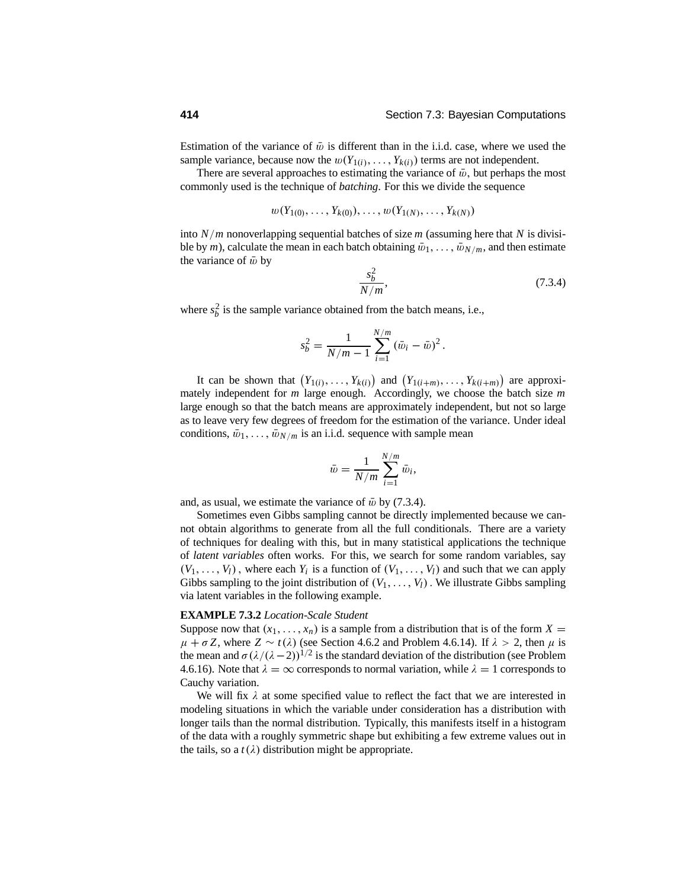Estimation of the variance of  $\bar{w}$  is different than in the i.i.d. case, where we used the sample variance, because now the  $w(Y_{1(i)},..., Y_{k(i)})$  terms are not independent.

There are several approaches to estimating the variance of  $\bar{w}$ , but perhaps the most commonly used is the technique of *batching*. For this we divide the sequence

$$
w(Y_{1(0)},...,Y_{k(0)}),...,w(Y_{1(N)},...,Y_{k(N)})
$$

into  $N/m$  nonoverlapping sequential batches of size  $m$  (assuming here that  $N$  is divisible by *m*), calculate the mean in each batch obtaining  $\bar{w}_1, \ldots, \bar{w}_{N/m}$ , and then estimate the variance of  $\bar{w}$  by

$$
\frac{s_b^2}{N/m},\tag{7.3.4}
$$

where  $s_b^2$  is the sample variance obtained from the batch means, i.e.,

$$
s_b^2 = \frac{1}{N/m - 1} \sum_{i=1}^{N/m} (\bar{w}_i - \bar{w})^2.
$$

It can be shown that  $(Y_{1(i)},..., Y_{k(i)})$  and  $(Y_{1(i+m)},..., Y_{k(i+m)})$  are approximately independent for *m* large enough. Accordingly, we choose the batch size *m* large enough so that the batch means are approximately independent, but not so large as to leave very few degrees of freedom for the estimation of the variance. Under ideal conditions,  $\bar{w}_1, \ldots, \bar{w}_{N/m}$  is an i.i.d. sequence with sample mean

$$
\bar{w} = \frac{1}{N/m} \sum_{i=1}^{N/m} \bar{w}_i,
$$

and, as usual, we estimate the variance of  $\bar{w}$  by (7.3.4).

Sometimes even Gibbs sampling cannot be directly implemented because we cannot obtain algorithms to generate from all the full conditionals. There are a variety of techniques for dealing with this, but in many statistical applications the technique of *latent variables* often works. For this, we search for some random variables, say  $(V_1, \ldots, V_l)$ , where each  $Y_i$  is a function of  $(V_1, \ldots, V_l)$  and such that we can apply Gibbs sampling to the joint distribution of  $(V_1, \ldots, V_l)$ . We illustrate Gibbs sampling via latent variables in the following example.

#### **EXAMPLE 7.3.2** *Location-Scale Student*

Suppose now that  $(x_1, \ldots, x_n)$  is a sample from a distribution that is of the form  $X =$  $\mu + \sigma Z$ , where  $Z \sim t(\lambda)$  (see Section 4.6.2 and Problem 4.6.14). If  $\lambda > 2$ , then  $\mu$  is the mean and  $\sigma (\lambda/(\lambda-2))^{1/2}$  is the standard deviation of the distribution (see Problem 4.6.16). Note that  $\lambda = \infty$  corresponds to normal variation, while  $\lambda = 1$  corresponds to Cauchy variation.

We will fix  $\lambda$  at some specified value to reflect the fact that we are interested in modeling situations in which the variable under consideration has a distribution with longer tails than the normal distribution. Typically, this manifests itself in a histogram of the data with a roughly symmetric shape but exhibiting a few extreme values out in the tails, so a  $t(\lambda)$  distribution might be appropriate.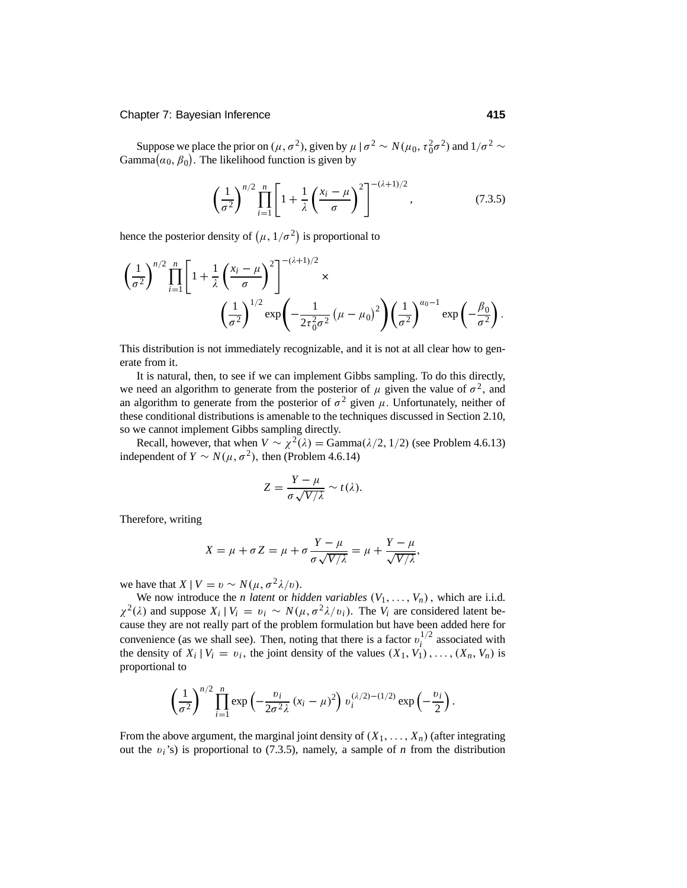### Chapter 7: Bayesian Inference **415**

Suppose we place the prior on  $(\mu, \sigma^2)$ , given by  $\mu | \sigma^2 \sim N(\mu_0, \tau_0^2 \sigma^2)$  and  $1/\sigma^2 \sim$ Gamma $(\alpha_0, \beta_0)$ . The likelihood function is given by

$$
\left(\frac{1}{\sigma^2}\right)^{n/2} \prod_{i=1}^n \left[1 + \frac{1}{\lambda} \left(\frac{x_i - \mu}{\sigma}\right)^2\right]^{-(\lambda+1)/2},\tag{7.3.5}
$$

hence the posterior density of  $(\mu, 1/\sigma^2)$  is proportional to

$$
\left(\frac{1}{\sigma^2}\right)^{n/2} \prod_{i=1}^n \left[1 + \frac{1}{\lambda} \left(\frac{x_i - \mu}{\sigma}\right)^2\right]^{-(\lambda+1)/2} \times
$$

$$
\left(\frac{1}{\sigma^2}\right)^{1/2} \exp\left(-\frac{1}{2\tau_0^2 \sigma^2} \left(\mu - \mu_0\right)^2\right) \left(\frac{1}{\sigma^2}\right)^{\alpha_0 - 1} \exp\left(-\frac{\beta_0}{\sigma^2}\right).
$$

This distribution is not immediately recognizable, and it is not at all clear how to generate from it.

It is natural, then, to see if we can implement Gibbs sampling. To do this directly, we need an algorithm to generate from the posterior of  $\mu$  given the value of  $\sigma^2$ , and an algorithm to generate from the posterior of  $\sigma^2$  given  $\mu$ . Unfortunately, neither of these conditional distributions is amenable to the techniques discussed in Section 2.10, so we cannot implement Gibbs sampling directly.

Recall, however, that when *V* ~  $\chi^2(\lambda) = \text{Gamma}(\lambda/2, 1/2)$  (see Problem 4.6.13) independent of *Y* ~  $N(\mu, \sigma^2)$ , then (Problem 4.6.14)

$$
Z = \frac{Y - \mu}{\sigma \sqrt{V/\lambda}} \sim t(\lambda).
$$

Therefore, writing

$$
X = \mu + \sigma Z = \mu + \sigma \frac{Y - \mu}{\sigma \sqrt{V/\lambda}} = \mu + \frac{Y - \mu}{\sqrt{V/\lambda}},
$$

we have that  $X | V = v \sim N(\mu, \sigma^2 \lambda/v)$ .

We now introduce the *n* latent or *hidden variables*  $(V_1, \ldots, V_n)$ , which are i.i.d.  $\chi^2(\lambda)$  and suppose  $X_i | V_i = v_i \sim N(\mu, \sigma^2 \lambda/v_i)$ . The  $V_i$  are considered latent because they are not really part of the problem formulation but have been added here for convenience (as we shall see). Then, noting that there is a factor  $v_i^{1/2}$  associated with the density of  $X_i | V_i = v_i$ , the joint density of the values  $(X_1, V_1), \ldots, (X_n, V_n)$  is proportional to

$$
\left(\frac{1}{\sigma^2}\right)^{n/2} \prod_{i=1}^n \exp\left(-\frac{v_i}{2\sigma^2 \lambda} (x_i - \mu)^2\right) v_i^{(\lambda/2)-(1/2)} \exp\left(-\frac{v_i}{2}\right).
$$

From the above argument, the marginal joint density of  $(X_1, \ldots, X_n)$  (after integrating out the υ*i*'s) is proportional to (7.3.5), namely, a sample of *n* from the distribution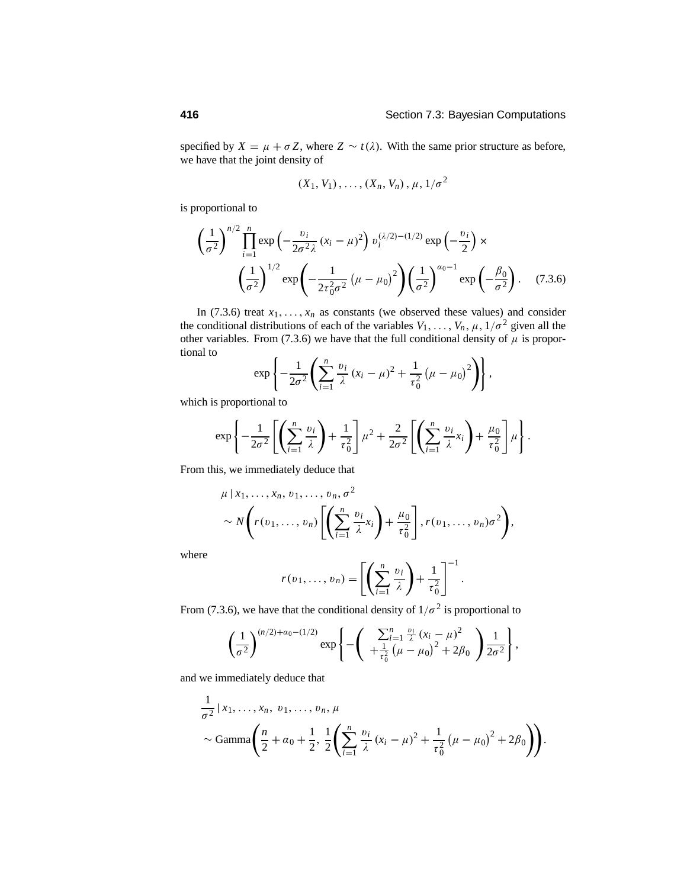specified by  $X = \mu + \sigma Z$ , where  $Z \sim t(\lambda)$ . With the same prior structure as before, we have that the joint density of

$$
(X_1, V_1), \ldots, (X_n, V_n), \mu, 1/\sigma^2
$$

is proportional to

$$
\left(\frac{1}{\sigma^2}\right)^{n/2} \prod_{i=1}^n \exp\left(-\frac{v_i}{2\sigma^2 \lambda} (x_i - \mu)^2\right) v_i^{(\lambda/2) - (1/2)} \exp\left(-\frac{v_i}{2}\right) \times \left(\frac{1}{\sigma^2}\right)^{1/2} \exp\left(-\frac{1}{2\sigma_0^2 \sigma^2} (\mu - \mu_0)^2\right) \left(\frac{1}{\sigma^2}\right)^{\alpha_0 - 1} \exp\left(-\frac{\beta_0}{\sigma^2}\right). \quad (7.3.6)
$$

In (7.3.6) treat  $x_1, \ldots, x_n$  as constants (we observed these values) and consider the conditional distributions of each of the variables  $V_1, \ldots, V_n, \mu, 1/\sigma^2$  given all the other variables. From (7.3.6) we have that the full conditional density of  $\mu$  is proportional to  $\ddot{\phantom{a}}$  $\ddot{\phantom{0}}$ 

$$
\exp\left\{-\frac{1}{2\sigma^2}\left(\sum_{i=1}^n\frac{v_i}{\lambda}(x_i-\mu)^2+\frac{1}{\tau_0^2}\left(\mu-\mu_0\right)^2\right)\right\},\right\}
$$

which is proportional to

$$
\exp\left\{-\frac{1}{2\sigma^2}\left[\left(\sum_{i=1}^n\frac{v_i}{\lambda}\right)+\frac{1}{\tau_0^2}\right]\mu^2+\frac{2}{2\sigma^2}\left[\left(\sum_{i=1}^n\frac{v_i}{\lambda}x_i\right)+\frac{\mu_0}{\tau_0^2}\right]\mu\right\}.
$$

From this, we immediately deduce that

$$
\mu | x_1, \ldots, x_n, v_1, \ldots, v_n, \sigma^2
$$
  
 
$$
\sim N\left(r(v_1, \ldots, v_n)\left[\left(\sum_{i=1}^n \frac{v_i}{\lambda} x_i\right) + \frac{\mu_0}{\tau_0^2}\right], r(v_1, \ldots, v_n)\sigma^2\right),
$$

where

$$
r(v_1,\ldots,v_n)=\left[\left(\sum_{i=1}^n\frac{v_i}{\lambda}\right)+\frac{1}{\tau_0^2}\right]^{-1}.
$$

From (7.3.6), we have that the conditional density of  $1/\sigma^2$  is proportional to

$$
\left(\frac{1}{\sigma^2}\right)^{(n/2)+\alpha_0-(1/2)}\exp\left\{-\left(\begin{array}{cc} \sum_{i=1}^n \frac{v_i}{\lambda}(x_i-\mu)^2\\ +\frac{1}{\tau_0^2}(\mu-\mu_0)^2+2\beta_0 \end{array}\right)\frac{1}{2\sigma^2}\right\},\,
$$

and we immediately deduce that

$$
\frac{1}{\sigma^2} | x_1, \dots, x_n, v_1, \dots, v_n, \mu
$$
  
 
$$
\sim \text{Gamma}\left(\frac{n}{2} + \alpha_0 + \frac{1}{2}, \frac{1}{2}\left(\sum_{i=1}^n \frac{v_i}{\lambda} (x_i - \mu)^2 + \frac{1}{\tau_0^2} (\mu - \mu_0)^2 + 2\beta_0\right)\right).
$$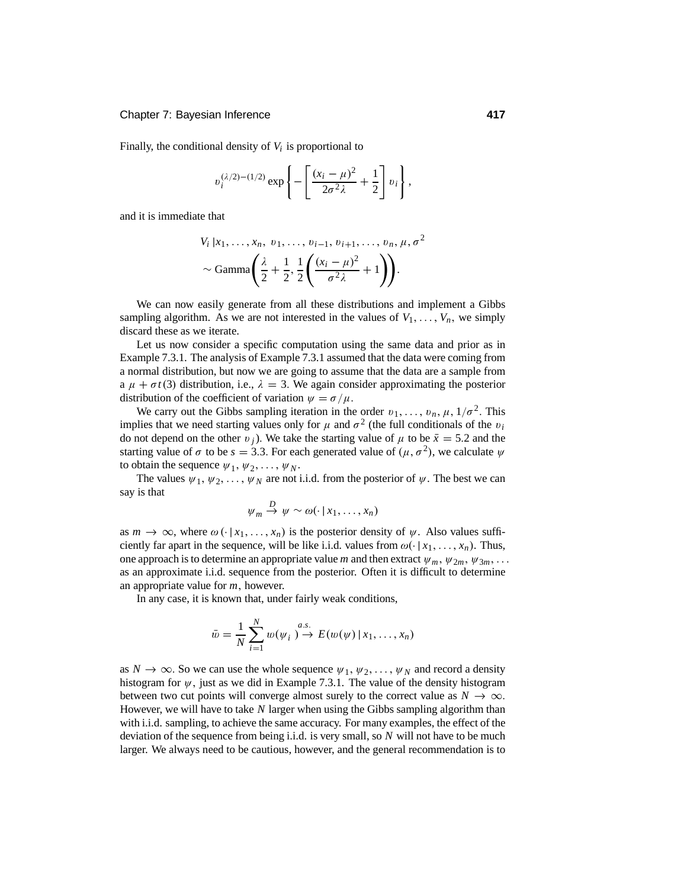### Chapter 7: Bayesian Inference **417**

Finally, the conditional density of *Vi* is proportional to

$$
v_i^{(\lambda/2)-(1/2)} \exp\left\{-\left[\frac{(x_i-\mu)^2}{2\sigma^2\lambda}+\frac{1}{2}\right]v_i\right\},\,
$$

and it is immediate that

$$
V_i | x_1, \ldots, x_n, v_1, \ldots, v_{i-1}, v_{i+1}, \ldots, v_n, \mu, \sigma^2
$$
  
 
$$
\sim \text{Gamma}\left(\frac{\lambda}{2} + \frac{1}{2}, \frac{1}{2}\left(\frac{(x_i - \mu)^2}{\sigma^2 \lambda} + 1\right)\right).
$$

We can now easily generate from all these distributions and implement a Gibbs sampling algorithm. As we are not interested in the values of  $V_1, \ldots, V_n$ , we simply discard these as we iterate.

Let us now consider a specific computation using the same data and prior as in Example 7.3.1. The analysis of Example 7.3.1 assumed that the data were coming from a normal distribution, but now we are going to assume that the data are a sample from a  $\mu + \sigma t$ (3) distribution, i.e.,  $\lambda = 3$ . We again consider approximating the posterior distribution of the coefficient of variation  $\psi = \sigma / \mu$ .

We carry out the Gibbs sampling iteration in the order  $v_1, \ldots, v_n, \mu, 1/\sigma^2$ . This implies that we need starting values only for  $\mu$  and  $\sigma^2$  (the full conditionals of the  $v_i$ do not depend on the other  $v_i$ ). We take the starting value of  $\mu$  to be  $\bar{x} = 5.2$  and the starting value of  $\sigma$  to be  $s = 3.3$ . For each generated value of  $(\mu, \sigma^2)$ , we calculate  $\psi$ to obtain the sequence  $\psi_1, \psi_2, \dots, \psi_N$ .

The values  $\psi_1, \psi_2, \dots, \psi_N$  are not i.i.d. from the posterior of  $\psi$ . The best we can say is that

$$
\psi_m \stackrel{D}{\rightarrow} \psi \sim \omega(\cdot \mid x_1, \ldots, x_n)
$$

as  $m \to \infty$ , where  $\omega(\cdot | x_1, \ldots, x_n)$  is the posterior density of  $\psi$ . Also values sufficiently far apart in the sequence, will be like i.i.d. values from  $\omega(\cdot | x_1, \ldots, x_n)$ . Thus, one approach is to determine an appropriate value *m* and then extract  $\psi_m$ ,  $\psi_{2m}$ ,  $\psi_{3m}$ ,... as an approximate i.i.d. sequence from the posterior. Often it is difficult to determine an appropriate value for *m*, however.

In any case, it is known that, under fairly weak conditions,

$$
\bar{w} = \frac{1}{N} \sum_{i=1}^{N} w(\psi_i) \stackrel{a.s.}{\rightarrow} E(w(\psi) | x_1, \dots, x_n)
$$

as  $N \to \infty$ . So we can use the whole sequence  $\psi_1, \psi_2, \dots, \psi_N$  and record a density histogram for  $\psi$ , just as we did in Example 7.3.1. The value of the density histogram between two cut points will converge almost surely to the correct value as  $N \to \infty$ . However, we will have to take *N* larger when using the Gibbs sampling algorithm than with i.i.d. sampling, to achieve the same accuracy. For many examples, the effect of the deviation of the sequence from being i.i.d. is very small, so *N* will not have to be much larger. We always need to be cautious, however, and the general recommendation is to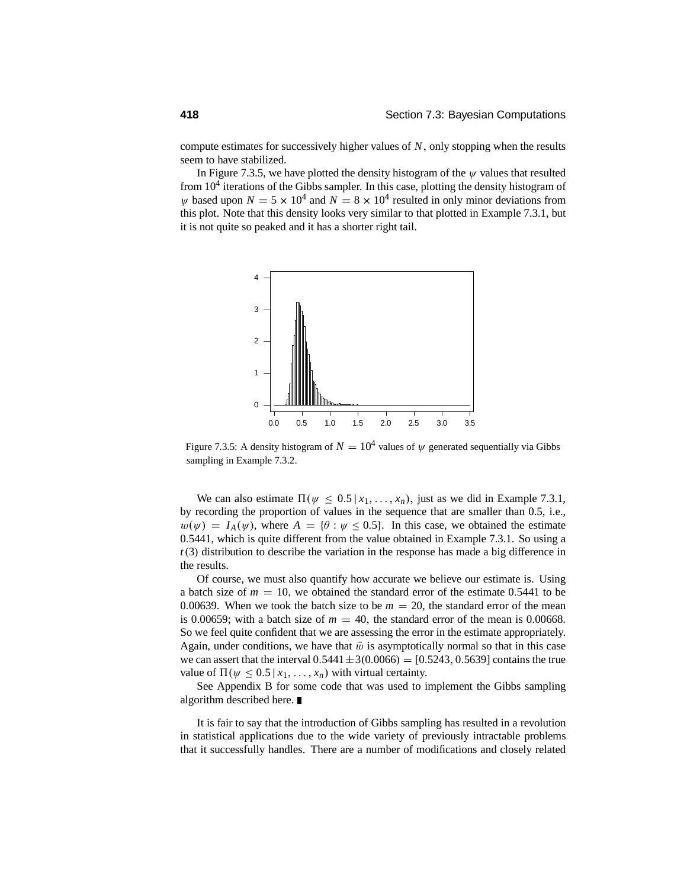compute estimates for successively higher values of *N*, only stopping when the results seem to have stabilized.

In Figure 7.3.5, we have plotted the density histogram of the  $\psi$  values that resulted from  $10<sup>4</sup>$  iterations of the Gibbs sampler. In this case, plotting the density histogram of w based upon  $N = 5 \times 10^4$  and  $N = 8 \times 10^4$  resulted in only minor deviations from this plot. Note that this density looks very similar to that plotted in Example 7.3.1, but it is not quite so peaked and it has a shorter right tail.



Figure 7.3.5: A density histogram of  $N = 10^4$  values of  $\psi$  generated sequentially via Gibbs sampling in Example 7.3.2.

We can also estimate  $\Pi(\psi \leq 0.5 | x_1, \ldots, x_n)$ , just as we did in Example 7.3.1, by recording the proportion of values in the sequence that are smaller than 0.5, i.e.,  $w(\psi) = I_A(\psi)$ , where  $A = {\theta : \psi \le 0.5}$ . In this case, we obtained the estimate 0.5441, which is quite different from the value obtained in Example 7.3.1. So using a *t*(3) distribution to describe the variation in the response has made a big difference in the results.

Of course, we must also quantify how accurate we believe our estimate is. Using a batch size of  $m = 10$ , we obtained the standard error of the estimate 0.5441 to be 0.00639. When we took the batch size to be  $m = 20$ , the standard error of the mean is 0.00659; with a batch size of  $m = 40$ , the standard error of the mean is 0.00668. So we feel quite confident that we are assessing the error in the estimate appropriately. Again, under conditions, we have that  $\bar{w}$  is asymptotically normal so that in this case we can assert that the interval  $0.5441 \pm 3(0.0066) = [0.5243, 0.5639]$  contains the true value of  $\Pi(\psi \leq 0.5 | x_1, \ldots, x_n)$  with virtual certainty.

See Appendix B for some code that was used to implement the Gibbs sampling algorithm described here.

It is fair to say that the introduction of Gibbs sampling has resulted in a revolution in statistical applications due to the wide variety of previously intractable problems that it successfully handles. There are a number of modifications and closely related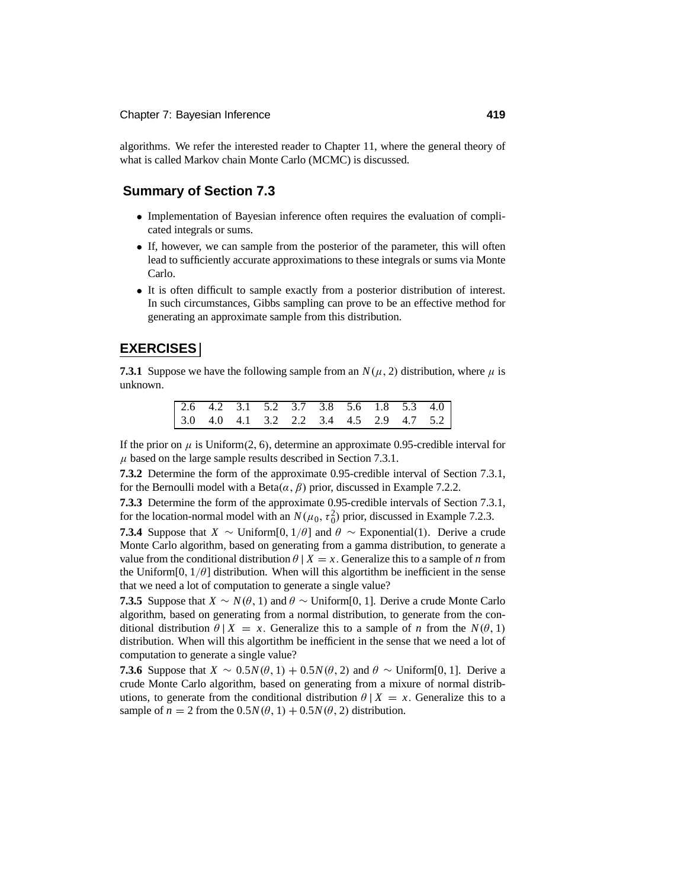algorithms. We refer the interested reader to Chapter 11, where the general theory of what is called Markov chain Monte Carlo (MCMC) is discussed.

### **Summary of Section 7.3**

- Implementation of Bayesian inference often requires the evaluation of complicated integrals or sums.
- If, however, we can sample from the posterior of the parameter, this will often lead to sufficiently accurate approximations to these integrals or sums via Monte Carlo.
- It is often difficult to sample exactly from a posterior distribution of interest. In such circumstances, Gibbs sampling can prove to be an effective method for generating an approximate sample from this distribution.

### **EXERCISES**

**7.3.1** Suppose we have the following sample from an  $N(\mu, 2)$  distribution, where  $\mu$  is unknown.

|  |  |  |  | $\begin{bmatrix} 3.0 & 4.0 & 4.1 & 3.2 & 2.2 & 3.4 & 4.5 & 2.9 & 4.7 & 5.2 \end{bmatrix}$ |
|--|--|--|--|-------------------------------------------------------------------------------------------|

If the prior on  $\mu$  is Uniform(2, 6), determine an approximate 0.95-credible interval for  $\mu$  based on the large sample results described in Section 7.3.1.

**7.3.2** Determine the form of the approximate 0.95-credible interval of Section 7.3.1, for the Bernoulli model with a Beta $(\alpha, \beta)$  prior, discussed in Example 7.2.2.

**7.3.3** Determine the form of the approximate 0.95-credible intervals of Section 7.3.1, for the location-normal model with an  $N(\mu_0, \tau_0^2)$  prior, discussed in Example 7.2.3.

**7.3.4** Suppose that *X* ∼ Uniform[0, 1/ $\theta$ ] and  $\theta$  ∼ Exponential(1). Derive a crude Monte Carlo algorithm, based on generating from a gamma distribution, to generate a value from the conditional distribution  $\theta$  |  $X = x$ . Generalize this to a sample of *n* from the Uniform[0,  $1/\theta$ ] distribution. When will this algortithm be inefficient in the sense that we need a lot of computation to generate a single value?

**7.3.5** Suppose that  $X \sim N(\theta, 1)$  and  $\theta \sim \text{Uniform}[0, 1]$ . Derive a crude Monte Carlo algorithm, based on generating from a normal distribution, to generate from the conditional distribution  $\theta | X = x$ . Generalize this to a sample of *n* from the  $N(\theta, 1)$ distribution. When will this algortithm be inefficient in the sense that we need a lot of computation to generate a single value?

**7.3.6** Suppose that  $X \sim 0.5N(\theta, 1) + 0.5N(\theta, 2)$  and  $\theta \sim$  Uniform[0, 1]. Derive a crude Monte Carlo algorithm, based on generating from a mixure of normal distributions, to generate from the conditional distribution  $\theta | X = x$ . Generalize this to a sample of  $n = 2$  from the  $0.5N(\theta, 1) + 0.5N(\theta, 2)$  distribution.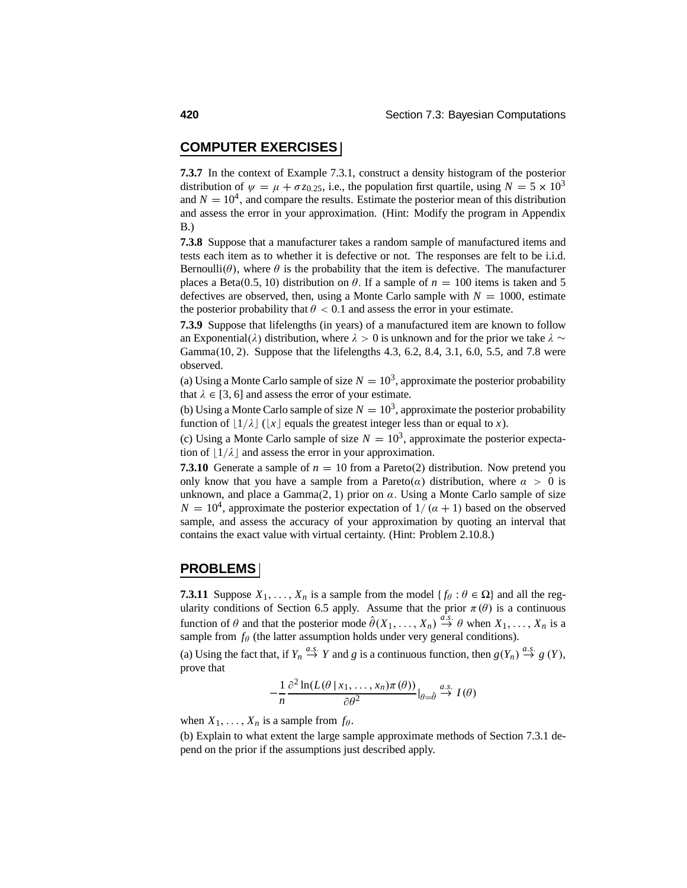### **COMPUTER EXERCISES**

**7.3.7** In the context of Example 7.3.1, construct a density histogram of the posterior distribution of  $\psi = \mu + \sigma z_0$  25, i.e., the population first quartile, using  $N = 5 \times 10^3$ and  $N = 10<sup>4</sup>$ , and compare the results. Estimate the posterior mean of this distribution and assess the error in your approximation. (Hint: Modify the program in Appendix B.)

**7.3.8** Suppose that a manufacturer takes a random sample of manufactured items and tests each item as to whether it is defective or not. The responses are felt to be i.i.d. Bernoulli( $\theta$ ), where  $\theta$  is the probability that the item is defective. The manufacturer places a Beta(0.5, 10) distribution on  $\theta$ . If a sample of  $n = 100$  items is taken and 5 defectives are observed, then, using a Monte Carlo sample with  $N = 1000$ , estimate the posterior probability that  $\theta < 0.1$  and assess the error in your estimate.

**7.3.9** Suppose that lifelengths (in years) of a manufactured item are known to follow an Exponential( $\lambda$ ) distribution, where  $\lambda > 0$  is unknown and for the prior we take  $\lambda \sim$ Gamma(10, 2). Suppose that the lifelengths 4.3, 6.2, 8.4, 3.1, 6.0, 5.5, and 7.8 were observed.

(a) Using a Monte Carlo sample of size  $N = 10^3$ , approximate the posterior probability that  $\lambda \in [3, 6]$  and assess the error of your estimate.

(b) Using a Monte Carlo sample of size  $N = 10^3$ , approximate the posterior probability function of  $\lfloor 1/\lambda \rfloor$  ( $\lfloor x \rfloor$  equals the greatest integer less than or equal to *x*).

(c) Using a Monte Carlo sample of size  $N = 10<sup>3</sup>$ , approximate the posterior expectation of  $|1/\lambda|$  and assess the error in your approximation.

**7.3.10** Generate a sample of  $n = 10$  from a Pareto(2) distribution. Now pretend you only know that you have a sample from a Pareto( $\alpha$ ) distribution, where  $\alpha > 0$  is unknown, and place a Gamma $(2, 1)$  prior on  $\alpha$ . Using a Monte Carlo sample of size  $N = 10<sup>4</sup>$ , approximate the posterior expectation of  $1/(\alpha + 1)$  based on the observed sample, and assess the accuracy of your approximation by quoting an interval that contains the exact value with virtual certainty. (Hint: Problem 2.10.8.)

### **PROBLEMS**

**7.3.11** Suppose  $X_1, \ldots, X_n$  is a sample from the model  $\{f_{\theta} : \theta \in \Omega\}$  and all the regularity conditions of Section 6.5 apply. Assume that the prior  $\pi(\theta)$  is a continuous function of  $\theta$  and that the posterior mode  $\hat{\theta}(X_1,\ldots,X_n) \stackrel{d.s.}{\rightarrow} \theta$  when  $X_1,\ldots,X_n$  is a sample from  $f_{\theta}$  (the latter assumption holds under very general conditions).

(a) Using the fact that, if  $Y_n \stackrel{a.s.}{\rightarrow} Y$  and *g* is a continuous function, then  $g(Y_n) \stackrel{a.s.}{\rightarrow} g(Y)$ , prove that

$$
-\frac{1}{n}\frac{\partial^2 \ln(L(\theta \mid x_1,\ldots,x_n)\pi(\theta))}{\partial \theta^2}\big|_{\theta=\hat{\theta}} \stackrel{a.s.}{\rightarrow} I(\theta)
$$

when  $X_1, \ldots, X_n$  is a sample from  $f_\theta$ .

(b) Explain to what extent the large sample approximate methods of Section 7.3.1 depend on the prior if the assumptions just described apply.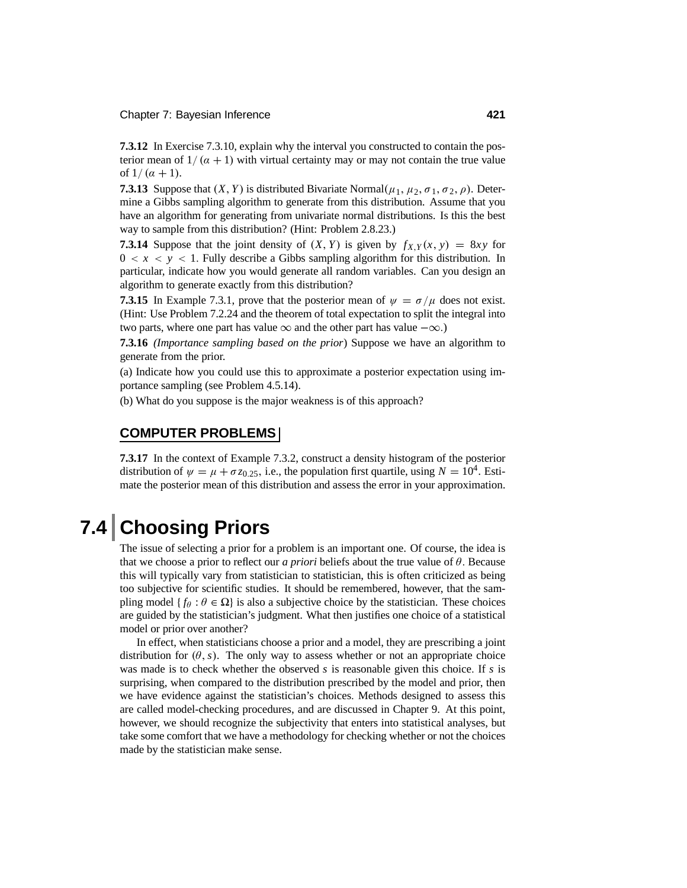**7.3.12** In Exercise 7.3.10, explain why the interval you constructed to contain the posterior mean of  $1/(\alpha + 1)$  with virtual certainty may or may not contain the true value of  $1/(\alpha + 1)$ .

**7.3.13** Suppose that  $(X, Y)$  is distributed Bivariate Normal $(\mu_1, \mu_2, \sigma_1, \sigma_2, \rho)$ . Determine a Gibbs sampling algorithm to generate from this distribution. Assume that you have an algorithm for generating from univariate normal distributions. Is this the best way to sample from this distribution? (Hint: Problem 2.8.23.)

**7.3.14** Suppose that the joint density of  $(X, Y)$  is given by  $f_{X,Y}(x, y) = 8xy$  for  $0 < x < y < 1$ . Fully describe a Gibbs sampling algorithm for this distribution. In particular, indicate how you would generate all random variables. Can you design an algorithm to generate exactly from this distribution?

**7.3.15** In Example 7.3.1, prove that the posterior mean of  $\psi = \frac{\sigma}{\mu}$  does not exist. (Hint: Use Problem 7.2.24 and the theorem of total expectation to split the integral into two parts, where one part has value  $\infty$  and the other part has value  $-\infty$ .)

**7.3.16** *(Importance sampling based on the prior*) Suppose we have an algorithm to generate from the prior.

(a) Indicate how you could use this to approximate a posterior expectation using importance sampling (see Problem 4.5.14).

(b) What do you suppose is the major weakness is of this approach?

### **COMPUTER PROBLEMS**

**7.3.17** In the context of Example 7.3.2, construct a density histogram of the posterior distribution of  $\psi = \mu + \sigma z_{0.25}$ , i.e., the population first quartile, using  $N = 10^4$ . Estimate the posterior mean of this distribution and assess the error in your approximation.

## **7.4 Choosing Priors**

The issue of selecting a prior for a problem is an important one. Of course, the idea is that we choose a prior to reflect our *a priori* beliefs about the true value of θ. Because this will typically vary from statistician to statistician, this is often criticized as being too subjective for scientific studies. It should be remembered, however, that the sampling model { $f_{\theta}$  :  $\theta \in \Omega$ } is also a subjective choice by the statistician. These choices are guided by the statistician's judgment. What then justifies one choice of a statistical model or prior over another?

In effect, when statisticians choose a prior and a model, they are prescribing a joint distribution for  $(\theta, s)$ . The only way to assess whether or not an appropriate choice was made is to check whether the observed *s* is reasonable given this choice. If *s* is surprising, when compared to the distribution prescribed by the model and prior, then we have evidence against the statistician's choices. Methods designed to assess this are called model-checking procedures, and are discussed in Chapter 9. At this point, however, we should recognize the subjectivity that enters into statistical analyses, but take some comfort that we have a methodology for checking whether or not the choices made by the statistician make sense.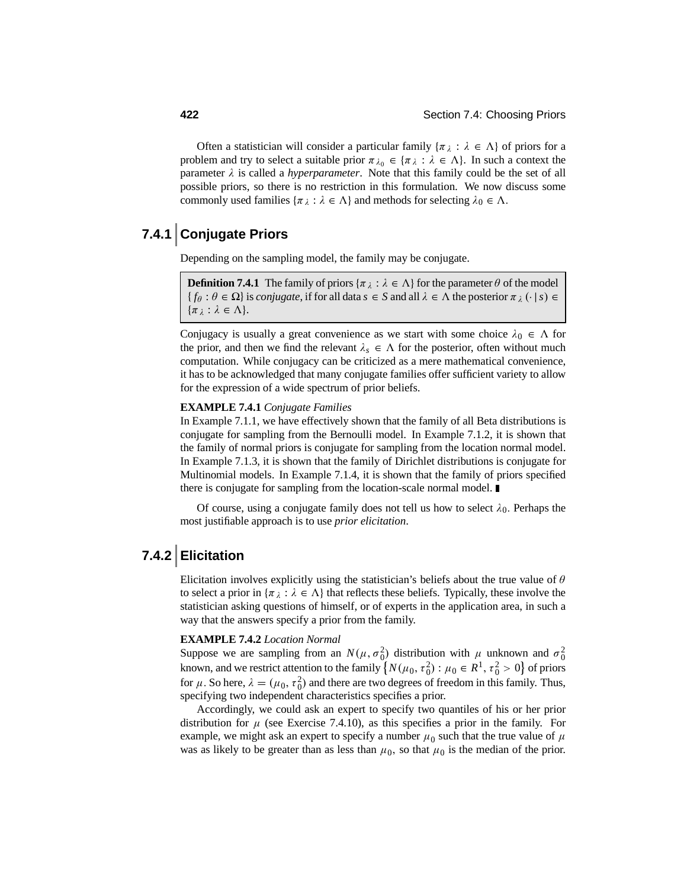Often a statistician will consider a particular family  $\{\pi_\lambda : \lambda \in \Lambda\}$  of priors for a problem and try to select a suitable prior  $\pi_{\lambda_0} \in {\{\pi_{\lambda} : \lambda \in \Lambda\}}$ . In such a context the parameter  $\lambda$  is called a *hyperparameter*. Note that this family could be the set of all possible priors, so there is no restriction in this formulation. We now discuss some commonly used families  $\{\pi_\lambda : \lambda \in \Lambda\}$  and methods for selecting  $\lambda_0 \in \Lambda$ .

### **7.4.1 Conjugate Priors**

Depending on the sampling model, the family may be conjugate.

**Definition 7.4.1** The family of priors  $\{\pi_\lambda : \lambda \in \Lambda\}$  for the parameter  $\theta$  of the model  ${f_{\theta} : \theta \in \Omega}$  is *conjugate*, if for all data  $s \in S$  and all  $\lambda \in \Lambda$  the posterior  $\pi_{\lambda}(\cdot | s) \in$  $\{\pi_{\lambda} : \lambda \in \Lambda\}.$ 

Conjugacy is usually a great convenience as we start with some choice  $\lambda_0 \in \Lambda$  for the prior, and then we find the relevant  $\lambda_s \in \Lambda$  for the posterior, often without much computation. While conjugacy can be criticized as a mere mathematical convenience, it has to be acknowledged that many conjugate families offer sufficient variety to allow for the expression of a wide spectrum of prior beliefs.

### **EXAMPLE 7.4.1** *Conjugate Families*

In Example 7.1.1, we have effectively shown that the family of all Beta distributions is conjugate for sampling from the Bernoulli model. In Example 7.1.2, it is shown that the family of normal priors is conjugate for sampling from the location normal model. In Example 7.1.3, it is shown that the family of Dirichlet distributions is conjugate for Multinomial models. In Example 7.1.4, it is shown that the family of priors specified there is conjugate for sampling from the location-scale normal model.

Of course, using a conjugate family does not tell us how to select  $\lambda_0$ . Perhaps the most justifiable approach is to use *prior elicitation*.

### **7.4.2 Elicitation**

Elicitation involves explicitly using the statistician's beliefs about the true value of  $\theta$ to select a prior in  $\{\pi_{\lambda} : \lambda \in \Lambda\}$  that reflects these beliefs. Typically, these involve the statistician asking questions of himself, or of experts in the application area, in such a way that the answers specify a prior from the family.

#### **EXAMPLE 7.4.2** *Location Normal*

Suppose we are sampling from an  $N(\mu, \sigma_0^2)$  distribution with  $\mu$  unknown and  $\sigma_0^2$ known, and we restrict attention to the family  $\{N(\mu_0, \tau_0^2) : \mu_0 \in R^1, \tau_0^2 > 0\}$  of priors for  $\mu$ . So here,  $\lambda = (\mu_0, \tau_0^2)$  and there are two degrees of freedom in this family. Thus, specifying two independent characteristics specifies a prior.

Accordingly, we could ask an expert to specify two quantiles of his or her prior distribution for  $\mu$  (see Exercise 7.4.10), as this specifies a prior in the family. For example, we might ask an expert to specify a number  $\mu_0$  such that the true value of  $\mu$ was as likely to be greater than as less than  $\mu_0$ , so that  $\mu_0$  is the median of the prior.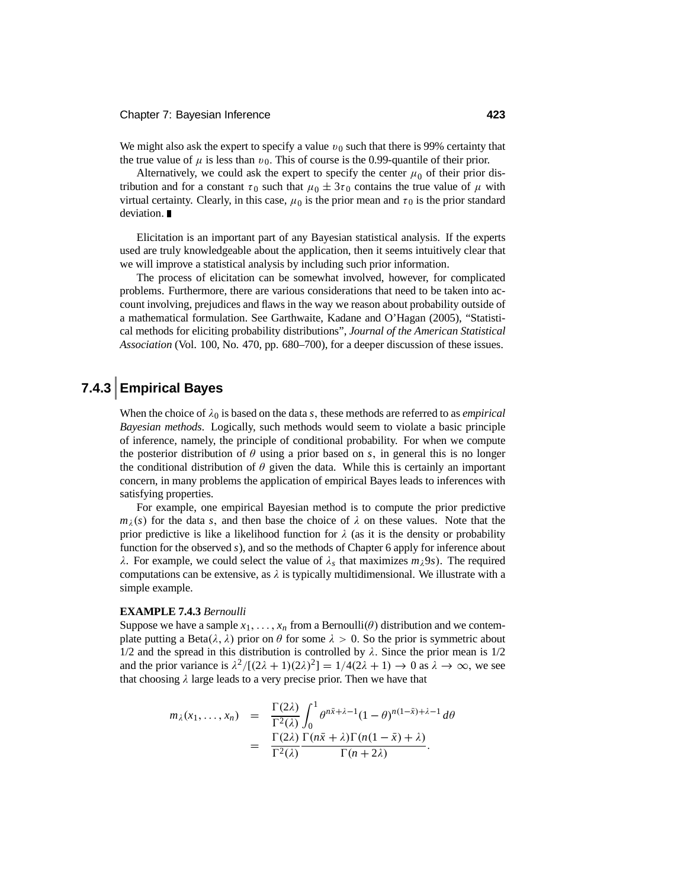We might also ask the expert to specify a value  $v_0$  such that there is 99% certainty that the true value of  $\mu$  is less than  $v_0$ . This of course is the 0.99-quantile of their prior.

Alternatively, we could ask the expert to specify the center  $\mu_0$  of their prior distribution and for a constant  $\tau_0$  such that  $\mu_0 \pm 3\tau_0$  contains the true value of  $\mu$  with virtual certainty. Clearly, in this case,  $\mu_0$  is the prior mean and  $\tau_0$  is the prior standard deviation.

Elicitation is an important part of any Bayesian statistical analysis. If the experts used are truly knowledgeable about the application, then it seems intuitively clear that we will improve a statistical analysis by including such prior information.

The process of elicitation can be somewhat involved, however, for complicated problems. Furthermore, there are various considerations that need to be taken into account involving, prejudices and flaws in the way we reason about probability outside of a mathematical formulation. See Garthwaite, Kadane and O'Hagan (2005), "Statistical methods for eliciting probability distributions", *Journal of the American Statistical Association* (Vol. 100, No. 470, pp. 680–700), for a deeper discussion of these issues.

### **7.4.3 Empirical Bayes**

When the choice of  $\lambda_0$  is based on the data *s*, these methods are referred to as *empirical Bayesian methods*. Logically, such methods would seem to violate a basic principle of inference, namely, the principle of conditional probability. For when we compute the posterior distribution of  $\theta$  using a prior based on *s*, in general this is no longer the conditional distribution of  $\theta$  given the data. While this is certainly an important concern, in many problems the application of empirical Bayes leads to inferences with satisfying properties.

For example, one empirical Bayesian method is to compute the prior predictive  $m_{\lambda}(s)$  for the data *s*, and then base the choice of  $\lambda$  on these values. Note that the prior predictive is like a likelihood function for  $\lambda$  (as it is the density or probability function for the observed *s*), and so the methods of Chapter 6 apply for inference about λ. For example, we could select the value of  $λ<sub>s</sub>$  that maximizes  $m<sub>λ</sub>9s$ ). The required computations can be extensive, as  $\lambda$  is typically multidimensional. We illustrate with a simple example.

#### **EXAMPLE 7.4.3** *Bernoulli*

Suppose we have a sample  $x_1, \ldots, x_n$  from a Bernoulli( $\theta$ ) distribution and we contemplate putting a Beta $(\lambda, \lambda)$  prior on  $\theta$  for some  $\lambda > 0$ . So the prior is symmetric about 1/2 and the spread in this distribution is controlled by  $λ$ . Since the prior mean is 1/2 and the prior variance is  $\lambda^2/[(2\lambda + 1)(2\lambda)^2] = 1/4(2\lambda + 1) \rightarrow 0$  as  $\lambda \rightarrow \infty$ , we see that choosing  $\lambda$  large leads to a very precise prior. Then we have that

$$
m_{\lambda}(x_1,\ldots,x_n) = \frac{\Gamma(2\lambda)}{\Gamma^2(\lambda)} \int_0^1 \theta^{n\bar{x}+\lambda-1} (1-\theta)^{n(1-\bar{x})+\lambda-1} d\theta
$$
  
= 
$$
\frac{\Gamma(2\lambda)}{\Gamma^2(\lambda)} \frac{\Gamma(n\bar{x}+\lambda)\Gamma(n(1-\bar{x})+\lambda)}{\Gamma(n+2\lambda)}.
$$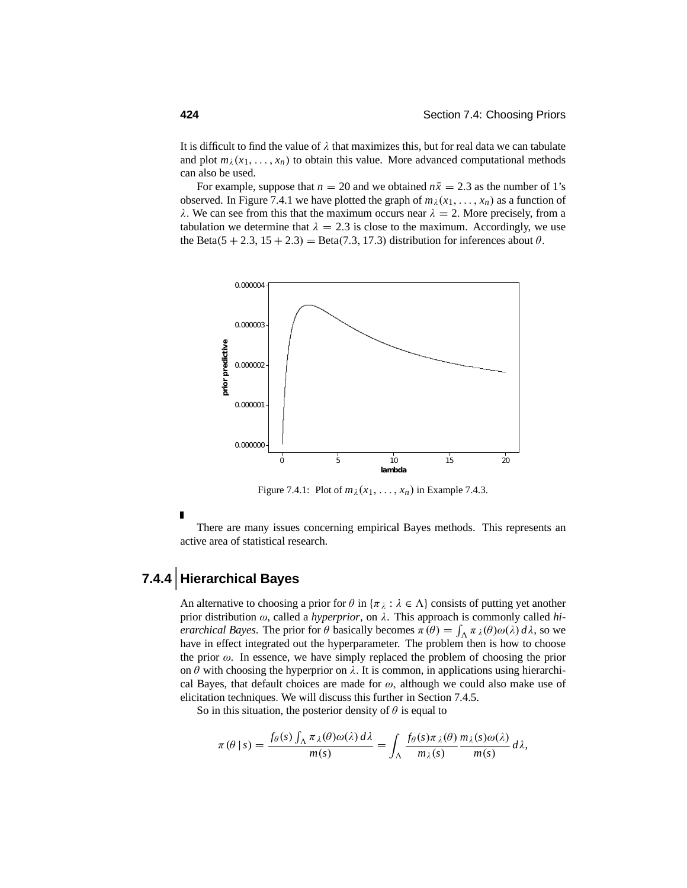It is difficult to find the value of  $\lambda$  that maximizes this, but for real data we can tabulate and plot  $m_\lambda(x_1,\ldots,x_n)$  to obtain this value. More advanced computational methods can also be used.

For example, suppose that  $n = 20$  and we obtained  $n\bar{x} = 2.3$  as the number of 1's observed. In Figure 7.4.1 we have plotted the graph of  $m_\lambda(x_1,\ldots,x_n)$  as a function of  $λ$ . We can see from this that the maximum occurs near  $λ = 2$ . More precisely, from a tabulation we determine that  $\lambda = 2.3$  is close to the maximum. Accordingly, we use the Beta(5 + 2.3, 15 + 2.3) = Beta(7.3, 17.3) distribution for inferences about  $\theta$ .



Figure 7.4.1: Plot of  $m_\lambda(x_1,\ldots,x_n)$  in Example 7.4.3.

П

There are many issues concerning empirical Bayes methods. This represents an active area of statistical research.

### **7.4.4 Hierarchical Bayes**

An alternative to choosing a prior for  $\theta$  in  $\{\pi_\lambda : \lambda \in \Lambda\}$  consists of putting yet another prior distribution ω, called a *hyperprior*, on λ. This approach is commonly called *hierarchical Bayes*. The prior for  $\theta$  basically becomes  $\pi(\theta) = \int_{\Lambda} \pi_{\lambda}(\theta) \omega(\lambda) d\lambda$ , so we have in effect integrated out the hyperparameter. The problem then is how to choose the prior  $\omega$ . In essence, we have simply replaced the problem of choosing the prior on  $\theta$  with choosing the hyperprior on  $\lambda$ . It is common, in applications using hierarchical Bayes, that default choices are made for  $\omega$ , although we could also make use of elicitation techniques. We will discuss this further in Section 7.4.5.

So in this situation, the posterior density of  $\theta$  is equal to

$$
\pi(\theta \mid s) = \frac{f_{\theta}(s) \int_{\Lambda} \pi_{\lambda}(\theta) \omega(\lambda) d\lambda}{m(s)} = \int_{\Lambda} \frac{f_{\theta}(s) \pi_{\lambda}(\theta)}{m_{\lambda}(s)} \frac{m_{\lambda}(s) \omega(\lambda)}{m(s)} d\lambda,
$$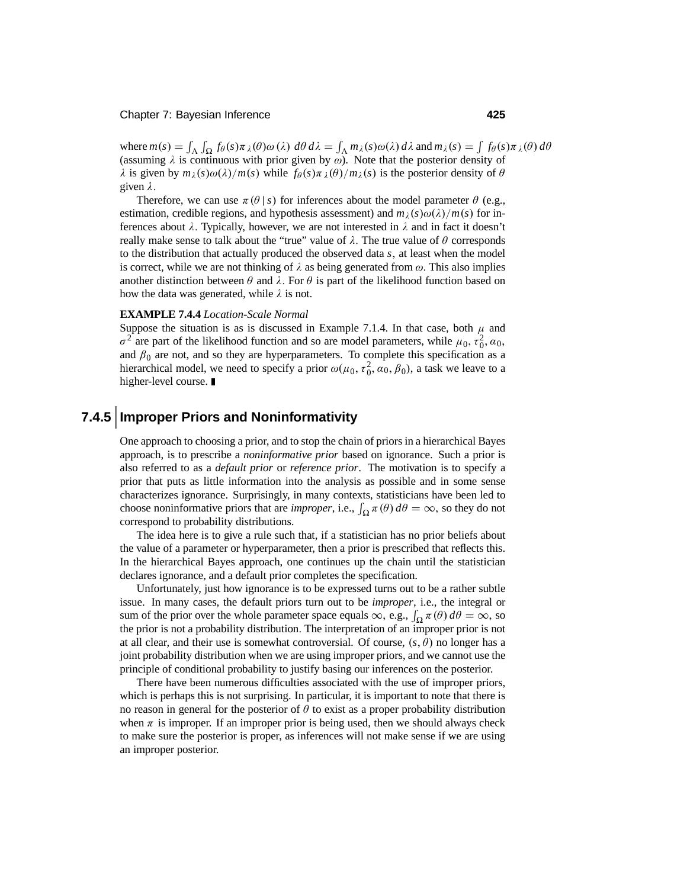### Chapter 7: Bayesian Inference **425**

where  $m(s) = \int_{\Lambda} \int_{\Omega} f_{\theta}(s) \pi_{\lambda}(\theta) \omega(\lambda) d\theta d\lambda = \int_{\Lambda} m_{\lambda}(s) \omega(\lambda) d\lambda$  and  $m_{\lambda}(s) = \int f_{\theta}(s) \pi_{\lambda}(\theta) d\theta$ (assuming  $\lambda$  is continuous with prior given by  $\omega$ ). Note that the posterior density of  $λ$  is given by  $m_\lambda(s) \omega(λ)/m(s)$  while  $f_\theta(s) \pi_\lambda(\theta)/m_\lambda(s)$  is the posterior density of  $\theta$ given  $\lambda$ .

Therefore, we can use  $\pi(\theta | s)$  for inferences about the model parameter  $\theta$  (e.g., estimation, credible regions, and hypothesis assessment) and  $m_\lambda(s)\omega(\lambda)/m(s)$  for inferences about  $\lambda$ . Typically, however, we are not interested in  $\lambda$  and in fact it doesn't really make sense to talk about the "true" value of  $\lambda$ . The true value of  $\theta$  corresponds to the distribution that actually produced the observed data *s*, at least when the model is correct, while we are not thinking of  $\lambda$  as being generated from  $\omega$ . This also implies another distinction between  $\theta$  and  $\lambda$ . For  $\theta$  is part of the likelihood function based on how the data was generated, while  $\lambda$  is not.

### **EXAMPLE 7.4.4** *Location-Scale Normal*

Suppose the situation is as is discussed in Example 7.1.4. In that case, both  $\mu$  and  $\sigma^2$  are part of the likelihood function and so are model parameters, while  $\mu_0$ ,  $\tau_0^2$ ,  $\alpha_0$ , and  $\beta_0$  are not, and so they are hyperparameters. To complete this specification as a hierarchical model, we need to specify a prior  $\omega(\mu_0, \tau_0^2, \alpha_0, \beta_0)$ , a task we leave to a higher-level course.

### **7.4.5 Improper Priors and Noninformativity**

One approach to choosing a prior, and to stop the chain of priors in a hierarchical Bayes approach, is to prescribe a *noninformative prior* based on ignorance. Such a prior is also referred to as a *default prior* or *reference prior*. The motivation is to specify a prior that puts as little information into the analysis as possible and in some sense characterizes ignorance. Surprisingly, in many contexts, statisticians have been led to choose noninformative priors that are *improper*, i.e.,  $\int_{\Omega} \pi(\theta) d\theta = \infty$ , so they do not correspond to probability distributions.

The idea here is to give a rule such that, if a statistician has no prior beliefs about the value of a parameter or hyperparameter, then a prior is prescribed that reflects this. In the hierarchical Bayes approach, one continues up the chain until the statistician declares ignorance, and a default prior completes the specification.

Unfortunately, just how ignorance is to be expressed turns out to be a rather subtle issue. In many cases, the default priors turn out to be *improper*, i.e., the integral or sum of the prior over the whole parameter space equals  $\infty$ , e.g.,  $\int_{\Omega} \pi(\theta) d\theta = \infty$ , so the prior is not a probability distribution. The interpretation of an improper prior is not at all clear, and their use is somewhat controversial. Of course,  $(s, \theta)$  no longer has a joint probability distribution when we are using improper priors, and we cannot use the principle of conditional probability to justify basing our inferences on the posterior.

There have been numerous difficulties associated with the use of improper priors, which is perhaps this is not surprising. In particular, it is important to note that there is no reason in general for the posterior of  $\theta$  to exist as a proper probability distribution when  $\pi$  is improper. If an improper prior is being used, then we should always check to make sure the posterior is proper, as inferences will not make sense if we are using an improper posterior.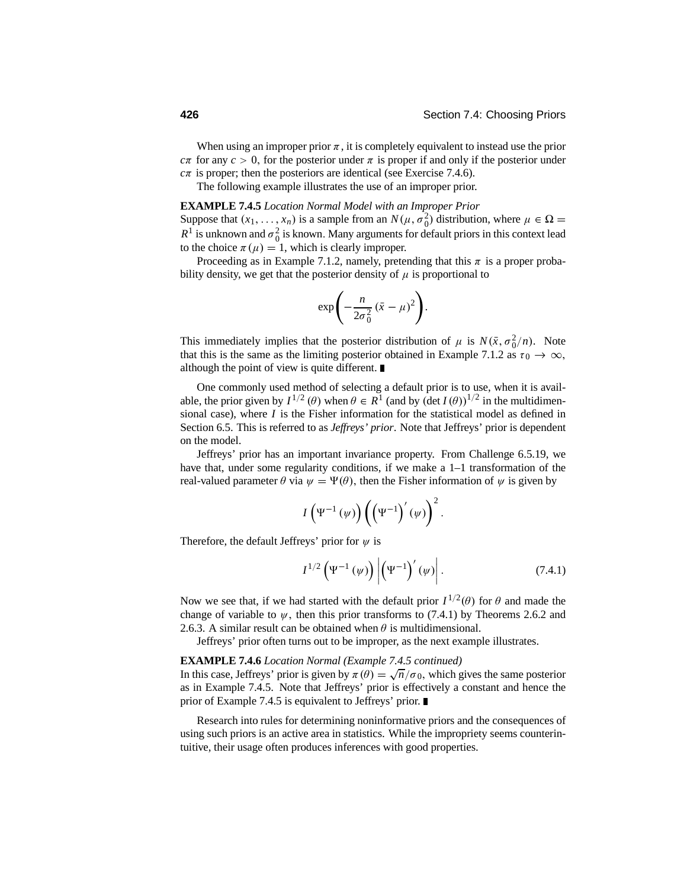When using an improper prior  $\pi$ , it is completely equivalent to instead use the prior *c*π for any  $c > 0$ , for the posterior under  $\pi$  is proper if and only if the posterior under  $c\pi$  is proper; then the posteriors are identical (see Exercise 7.4.6).

The following example illustrates the use of an improper prior.

### **EXAMPLE 7.4.5** *Location Normal Model with an Improper Prior*

Suppose that  $(x_1, \ldots, x_n)$  is a sample from an  $N(\mu, \sigma_0^2)$  distribution, where  $\mu \in \Omega$  $R^1$  is unknown and  $\sigma_0^2$  is known. Many arguments for default priors in this context lead to the choice  $\pi(\mu) = 1$ , which is clearly improper.

Proceeding as in Example 7.1.2, namely, pretending that this  $\pi$  is a proper probability density, we get that the posterior density of  $\mu$  is proportional to

$$
\exp\left(-\frac{n}{2\sigma_0^2}(\bar{x}-\mu)^2\right).
$$

This immediately implies that the posterior distribution of  $\mu$  is  $N(\bar{x}, \sigma_0^2/n)$ . Note that this is the same as the limiting posterior obtained in Example 7.1.2 as  $\tau_0 \to \infty$ , although the point of view is quite different.

One commonly used method of selecting a default prior is to use, when it is available, the prior given by  $I^{1/2}(\theta)$  when  $\theta \in R^1$  (and by  $(\det I(\theta))^{1/2}$  in the multidimensional case), where *I* is the Fisher information for the statistical model as defined in Section 6.5. This is referred to as *Jeffreys' prior*. Note that Jeffreys' prior is dependent on the model.

Jeffreys' prior has an important invariance property. From Challenge 6.5.19, we have that, under some regularity conditions, if we make a 1–1 transformation of the real-valued parameter  $\theta$  via  $\psi = \Psi(\theta)$ , then the Fisher information of  $\psi$  is given by

$$
I\left(\Psi^{-1}\left(\psi\right)\right)\left(\left(\Psi^{-1}\right)'\left(\psi\right)\right)^2.
$$

Therefore, the default Jeffreys' prior for  $\psi$  is

$$
I^{1/2}(\Psi^{-1}(\psi)) | (\Psi^{-1})'(\psi)|.
$$
 (7.4.1)

Now we see that, if we had started with the default prior  $I^{1/2}(\theta)$  for  $\theta$  and made the change of variable to  $\psi$ , then this prior transforms to (7.4.1) by Theorems 2.6.2 and 2.6.3. A similar result can be obtained when  $\theta$  is multidimensional.

Jeffreys' prior often turns out to be improper, as the next example illustrates.

### **EXAMPLE 7.4.6** *Location Normal (Example 7.4.5 continued)*

In this case, Jeffreys' prior is given by  $\pi(\theta) = \sqrt{n}/\sigma_0$ , which gives the same posterior as in Example 7.4.5. Note that Jeffreys' prior is effectively a constant and hence the prior of Example 7.4.5 is equivalent to Jeffreys' prior.

Research into rules for determining noninformative priors and the consequences of using such priors is an active area in statistics. While the impropriety seems counterintuitive, their usage often produces inferences with good properties.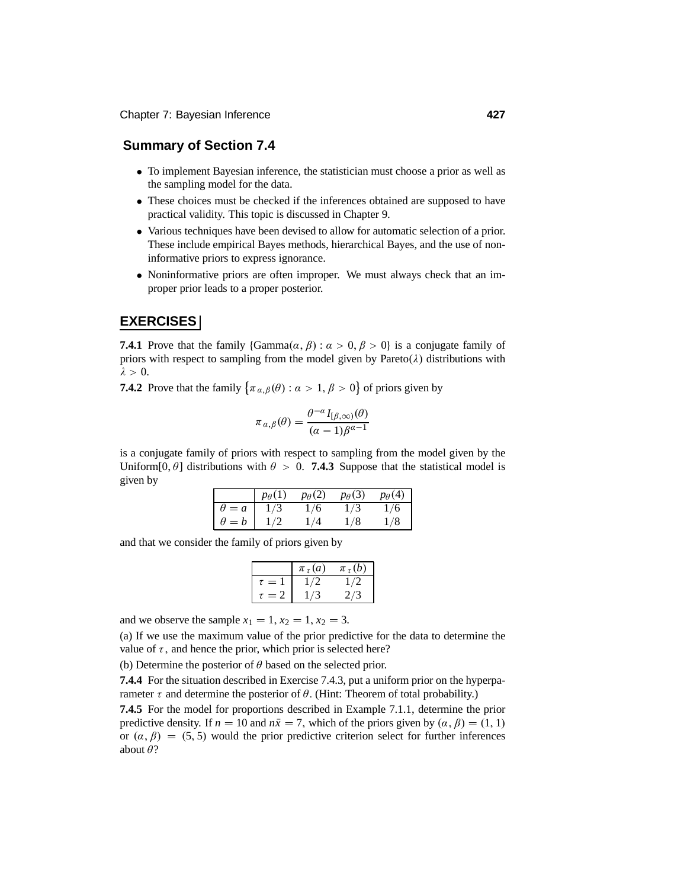### **Summary of Section 7.4**

- To implement Bayesian inference, the statistician must choose a prior as well as the sampling model for the data.
- These choices must be checked if the inferences obtained are supposed to have practical validity. This topic is discussed in Chapter 9.
- Various techniques have been devised to allow for automatic selection of a prior. These include empirical Bayes methods, hierarchical Bayes, and the use of noninformative priors to express ignorance.
- Noninformative priors are often improper. We must always check that an improper prior leads to a proper posterior.

### **EXERCISES**

**7.4.1** Prove that the family  ${\text{Gamma}(\alpha, \beta) : \alpha > 0, \beta > 0}$  is a conjugate family of priors with respect to sampling from the model given by Pareto $(\lambda)$  distributions with  $\lambda > 0$ .

**7.4.2** Prove that the family  $\{\pi_{\alpha,\beta}(\theta): \alpha > 1, \beta > 0\}$  of priors given by

$$
\pi_{\alpha,\beta}(\theta) = \frac{\theta^{-\alpha} I_{[\beta,\infty)}(\theta)}{(\alpha-1)\beta^{\alpha-1}}
$$

is a conjugate family of priors with respect to sampling from the model given by the Uniform[0,  $\theta$ ] distributions with  $\theta > 0$ . **7.4.3** Suppose that the statistical model is given by

|              | $p_{\theta}(1)$ | $p_{\theta}(2)$ | $p_{\theta}(3)$ | $p_{\theta}(4)$ |
|--------------|-----------------|-----------------|-----------------|-----------------|
| $\theta = a$ | 1/3             | 1/6             | 1/3             | 1/6             |
| $\theta = b$ | 1/2             | 174             | 1/8             | 1/8             |

and that we consider the family of priors given by

| $\pi_{\tau}(a)$ | $\pi_{\tau}(b)$ |
|-----------------|-----------------|
|                 |                 |
|                 |                 |

and we observe the sample  $x_1 = 1, x_2 = 1, x_2 = 3$ .

(a) If we use the maximum value of the prior predictive for the data to determine the value of  $\tau$ , and hence the prior, which prior is selected here?

(b) Determine the posterior of  $\theta$  based on the selected prior.

**7.4.4** For the situation described in Exercise 7.4.3, put a uniform prior on the hyperparameter  $\tau$  and determine the posterior of  $\theta$ . (Hint: Theorem of total probability.)

**7.4.5** For the model for proportions described in Example 7.1.1, determine the prior predictive density. If  $n = 10$  and  $n\bar{x} = 7$ , which of the priors given by  $(\alpha, \beta) = (1, 1)$ or  $(a, \beta) = (5, 5)$  would the prior predictive criterion select for further inferences about  $\theta$ ?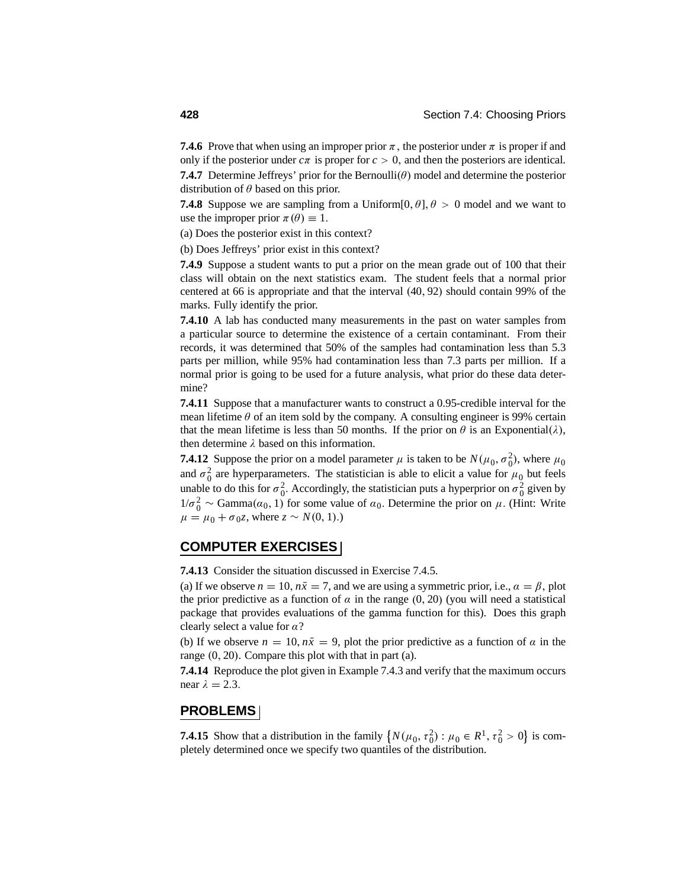**7.4.6** Prove that when using an improper prior  $\pi$ , the posterior under  $\pi$  is proper if and only if the posterior under  $c\pi$  is proper for  $c > 0$ , and then the posteriors are identical.

**7.4.7** Determine Jeffreys' prior for the Bernoulli $(\theta)$  model and determine the posterior distribution of  $\theta$  based on this prior.

**7.4.8** Suppose we are sampling from a Uniform  $[0, \theta]$ ,  $\theta > 0$  model and we want to use the improper prior  $\pi(\theta) \equiv 1$ .

(a) Does the posterior exist in this context?

(b) Does Jeffreys' prior exist in this context?

**7.4.9** Suppose a student wants to put a prior on the mean grade out of 100 that their class will obtain on the next statistics exam. The student feels that a normal prior centered at 66 is appropriate and that the interval (40, 92) should contain 99% of the marks. Fully identify the prior.

**7.4.10** A lab has conducted many measurements in the past on water samples from a particular source to determine the existence of a certain contaminant. From their records, it was determined that 50% of the samples had contamination less than 5.3 parts per million, while 95% had contamination less than 7.3 parts per million. If a normal prior is going to be used for a future analysis, what prior do these data determine?

**7.4.11** Suppose that a manufacturer wants to construct a 0.95-credible interval for the mean lifetime  $\theta$  of an item sold by the company. A consulting engineer is 99% certain that the mean lifetime is less than 50 months. If the prior on  $\theta$  is an Exponential( $\lambda$ ), then determine  $\lambda$  based on this information.

**7.4.12** Suppose the prior on a model parameter  $\mu$  is taken to be  $N(\mu_0, \sigma_0^2)$ , where  $\mu_0$ and  $\sigma_0^2$  are hyperparameters. The statistician is able to elicit a value for  $\mu_0$  but feels unable to do this for  $\sigma_0^2$ . Accordingly, the statistician puts a hyperprior on  $\sigma_0^2$  given by  $1/\sigma_0^2$  ~ Gamma $(\alpha_0, 1)$  for some value of  $\alpha_0$ . Determine the prior on  $\mu$ . (Hint: Write  $\mu = \mu_0 + \sigma_0 z$ , where  $z \sim N(0, 1)$ .)

### **COMPUTER EXERCISES**

**7.4.13** Consider the situation discussed in Exercise 7.4.5.

(a) If we observe  $n = 10$ ,  $n\bar{x} = 7$ , and we are using a symmetric prior, i.e.,  $\alpha = \beta$ , plot the prior predictive as a function of  $\alpha$  in the range (0, 20) (you will need a statistical package that provides evaluations of the gamma function for this). Does this graph clearly select a value for  $\alpha$ ?

(b) If we observe  $n = 10$ ,  $n\bar{x} = 9$ , plot the prior predictive as a function of  $\alpha$  in the range (0, 20). Compare this plot with that in part (a).

**7.4.14** Reproduce the plot given in Example 7.4.3 and verify that the maximum occurs near  $\lambda = 2.3$ .

### **PROBLEMS**

**7.4.15** Show that a distribution in the family  $\{N(\mu_0, \tau_0^2) : \mu_0 \in R^1, \tau_0^2 > 0\}$  is completely determined once we specify two quantiles of the distribution.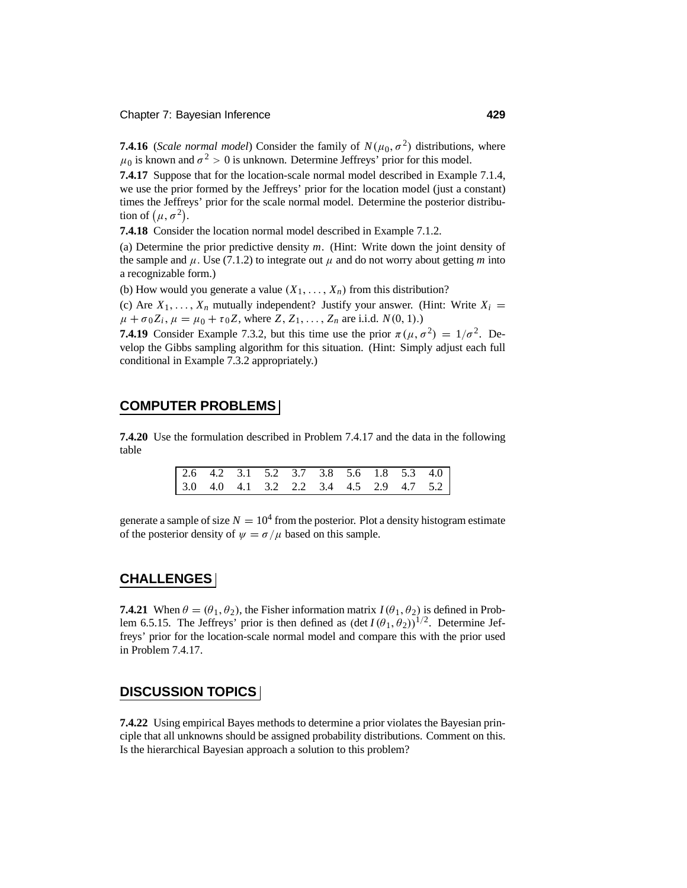Chapter 7: Bayesian Inference **429**

**7.4.16** (*Scale normal model*) Consider the family of  $N(\mu_0, \sigma^2)$  distributions, where  $\mu_0$  is known and  $\sigma^2 > 0$  is unknown. Determine Jeffreys' prior for this model.

**7.4.17** Suppose that for the location-scale normal model described in Example 7.1.4, we use the prior formed by the Jeffreys' prior for the location model (just a constant) times the Jeffreys' prior for the scale normal model. Determine the posterior distribution of  $(\mu, \sigma^2)$ .

**7.4.18** Consider the location normal model described in Example 7.1.2.

(a) Determine the prior predictive density *m*. (Hint: Write down the joint density of the sample and  $\mu$ . Use (7.1.2) to integrate out  $\mu$  and do not worry about getting *m* into a recognizable form.)

(b) How would you generate a value  $(X_1, \ldots, X_n)$  from this distribution?

(c) Are  $X_1, \ldots, X_n$  mutually independent? Justify your answer. (Hint: Write  $X_i =$  $\mu + \sigma_0 Z_i$ ,  $\mu = \mu_0 + \tau_0 Z$ , where  $Z, Z_1, \ldots, Z_n$  are i.i.d.  $N(0, 1)$ .)

**7.4.19** Consider Example 7.3.2, but this time use the prior  $\pi(\mu, \sigma^2) = 1/\sigma^2$ . Develop the Gibbs sampling algorithm for this situation. (Hint: Simply adjust each full conditional in Example 7.3.2 appropriately.)

### **COMPUTER PROBLEMS**

**7.4.20** Use the formulation described in Problem 7.4.17 and the data in the following table

| $\begin{array}{ rrrrrrrrrrrrrrrrrrrrrrrrrrrrrrrrrrrrrrrrrrrrrrrrrrrrrr} 2.6 & 4.2 & 3.1 & 5.2 & 3.7 & 3.8 & 5.6 & 1.8 & 5.3 & 4.0 \end{array}$ |  |  |  |  |  |
|------------------------------------------------------------------------------------------------------------------------------------------------|--|--|--|--|--|
| $\begin{bmatrix} 3.0 & 4.0 & 4.1 & 3.2 & 2.2 & 3.4 & 4.5 & 2.9 & 4.7 & 5.2 \end{bmatrix}$                                                      |  |  |  |  |  |

generate a sample of size  $N = 10^4$  from the posterior. Plot a density histogram estimate of the posterior density of  $\psi = \sigma / \mu$  based on this sample.

### **CHALLENGES**

**7.4.21** When  $\theta = (\theta_1, \theta_2)$ , the Fisher information matrix  $I(\theta_1, \theta_2)$  is defined in Problem 6.5.15. The Jeffreys' prior is then defined as  $(\det I(\theta_1, \theta_2))^{1/2}$ . Determine Jeffreys' prior for the location-scale normal model and compare this with the prior used in Problem 7.4.17.

### **DISCUSSION TOPICS**

**7.4.22** Using empirical Bayes methods to determine a prior violates the Bayesian principle that all unknowns should be assigned probability distributions. Comment on this. Is the hierarchical Bayesian approach a solution to this problem?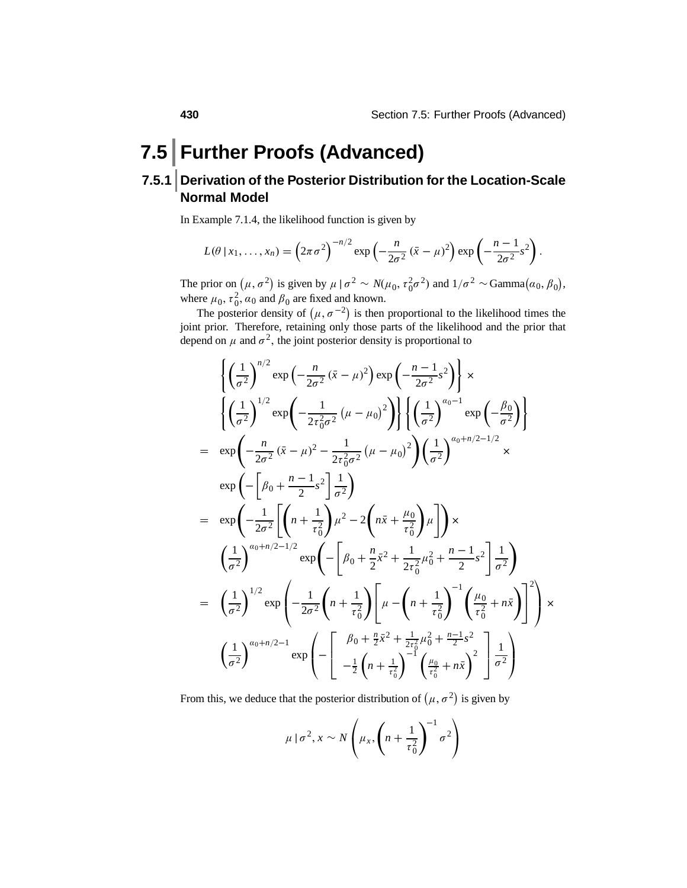## **7.5 Further Proofs (Advanced)**

### **7.5.1 Derivation of the Posterior Distribution for the Location-Scale Normal Model**

In Example 7.1.4, the likelihood function is given by

$$
L(\theta \mid x_1,\ldots,x_n) = \left(2\pi\,\sigma^2\right)^{-n/2} \exp\left(-\frac{n}{2\sigma^2}\left(\bar{x} - \mu\right)^2\right) \exp\left(-\frac{n-1}{2\sigma^2}s^2\right).
$$

The prior on  $(\mu, \sigma^2)$  is given by  $\mu | \sigma^2 \sim N(\mu_0, \tau_0^2 \sigma^2)$  and  $1/\sigma^2 \sim \text{Gamma}(\alpha_0, \beta_0)$ , where  $\mu_0$ ,  $\tau_0^2$ ,  $\alpha_0$  and  $\beta_0$  are fixed and known.

The posterior density of  $(\mu, \sigma^{-2})$  is then proportional to the likelihood times the joint prior. Therefore, retaining only those parts of the likelihood and the prior that depend on  $\mu$  and  $\sigma^2$ , the joint posterior density is proportional to

$$
\left\{\left(\frac{1}{\sigma^{2}}\right)^{n/2} \exp\left(-\frac{n}{2\sigma^{2}}\left(\bar{x} - \mu\right)^{2}\right) \exp\left(-\frac{n-1}{2\sigma^{2}}s^{2}\right)\right\} \times \n\left\{\left(\frac{1}{\sigma^{2}}\right)^{1/2} \exp\left(-\frac{1}{2\tau_{0}^{2}\sigma^{2}}\left(\mu - \mu_{0}\right)^{2}\right)\right\} \left\{\left(\frac{1}{\sigma^{2}}\right)^{\alpha_{0}-1} \exp\left(-\frac{\beta_{0}}{\sigma^{2}}\right)\right\} \n= \exp\left(-\frac{n}{2\sigma^{2}}\left(\bar{x} - \mu\right)^{2} - \frac{1}{2\tau_{0}^{2}\sigma^{2}}\left(\mu - \mu_{0}\right)^{2}\right)\left(\frac{1}{\sigma^{2}}\right)^{\alpha_{0}+n/2-1/2} \times \n\exp\left(-\left[\beta_{0} + \frac{n-1}{2}s^{2}\right] \frac{1}{\sigma^{2}}\right) \n= \exp\left(-\frac{1}{2\sigma^{2}}\left[\left(n + \frac{1}{\tau_{0}^{2}}\right)\mu^{2} - 2\left(n\bar{x} + \frac{\mu_{0}}{\tau_{0}^{2}}\right)\mu\right]\right) \times \n\left(\frac{1}{\sigma^{2}}\right)^{\alpha_{0}+n/2-1/2} \exp\left(-\left[\beta_{0} + \frac{n}{2}\bar{x}^{2} + \frac{1}{2\tau_{0}^{2}}\mu_{0}^{2} + \frac{n-1}{2}s^{2}\right] \frac{1}{\sigma^{2}}\right) \n= \left(\frac{1}{\sigma^{2}}\right)^{1/2} \exp\left(-\frac{1}{2\sigma^{2}}\left(n + \frac{1}{\tau_{0}^{2}}\right)\left[\mu - \left(n + \frac{1}{\tau_{0}^{2}}\right)^{-1}\left(\frac{\mu_{0}}{\tau_{0}^{2}} + n\bar{x}\right)\right]^{2}\right) \times \n\left(\frac{1}{\sigma^{2}}\right)^{\alpha_{0}+n/2-1} \exp\left(-\left[\frac{\beta_{0} + \frac{n}{2}\bar{x}^{2} + \frac{1}{2\tau_{0}^{2}}\mu_{0}^{2} + \frac{n-1}{2}s^{2}}{\tau_{0}^{2}+
$$

From this, we deduce that the posterior distribution of  $(\mu, \sigma^2)$  is given by

$$
\mu \mid \sigma^2, x \sim N\left(\mu_x, \left(n + \frac{1}{\tau_0^2}\right)^{-1} \sigma^2\right)
$$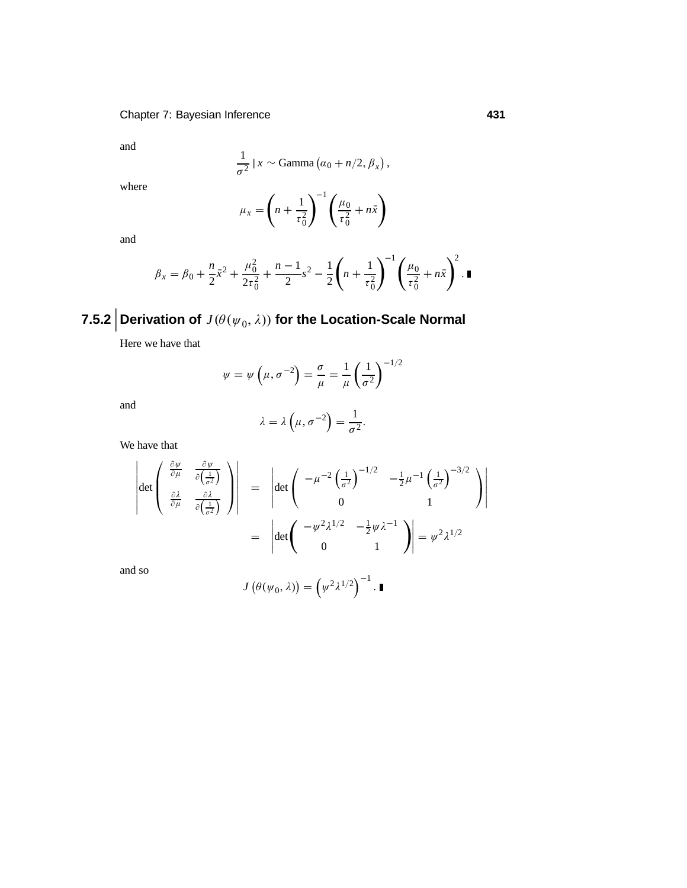### Chapter 7: Bayesian Inference **431**

and

$$
\frac{1}{\sigma^2} \mid x \sim \text{Gamma} \left( \alpha_0 + n/2, \beta_x \right)
$$

,

where

$$
\mu_x = \left(n + \frac{1}{\tau_0^2}\right)^{-1} \left(\frac{\mu_0}{\tau_0^2} + n\bar{x}\right)
$$

and

$$
\beta_x = \beta_0 + \frac{n}{2}\bar{x}^2 + \frac{\mu_0^2}{2\tau_0^2} + \frac{n-1}{2}s^2 - \frac{1}{2}\left(n + \frac{1}{\tau_0^2}\right)^{-1}\left(\frac{\mu_0}{\tau_0^2} + n\bar{x}\right)^2. \blacksquare
$$

## **7.5.2 Derivation of**  $J(\theta(\psi_0, \lambda))$  for the Location-Scale Normal

Here we have that

$$
\psi = \psi\left(\mu, \sigma^{-2}\right) = \frac{\sigma}{\mu} = \frac{1}{\mu} \left(\frac{1}{\sigma^2}\right)^{-1/2}
$$

and

$$
\lambda = \lambda \left( \mu, \sigma^{-2} \right) = \frac{1}{\sigma^2}.
$$

We have that

$$
\left| \det \begin{pmatrix} \frac{\partial \psi}{\partial \mu} & \frac{\partial \psi}{\partial \left( \frac{1}{\sigma^2} \right)} \\ \frac{\partial \lambda}{\partial \mu} & \frac{\partial \lambda}{\partial \left( \frac{1}{\sigma^2} \right)} \end{pmatrix} \right| = \left| \det \begin{pmatrix} -\mu^{-2} \left( \frac{1}{\sigma^2} \right)^{-1/2} & -\frac{1}{2} \mu^{-1} \left( \frac{1}{\sigma^2} \right)^{-3/2} \\ 0 & 1 \end{pmatrix} \right|
$$

$$
= \left| \det \begin{pmatrix} -\psi^2 \lambda^{1/2} & -\frac{1}{2} \psi \lambda^{-1} \\ 0 & 1 \end{pmatrix} \right| = \psi^2 \lambda^{1/2}
$$

and so

$$
J(\theta(\psi_0,\lambda))=\left(\psi^2\lambda^{1/2}\right)^{-1}.\blacksquare
$$